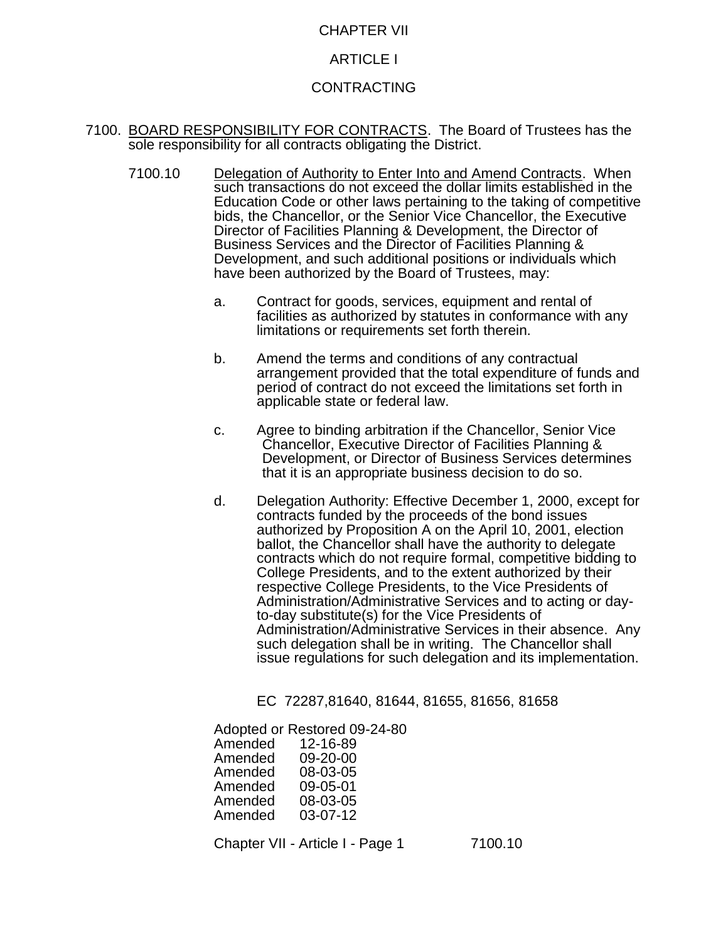#### CHAPTER VII

## ARTICLE I

### CONTRACTING

- 7100. BOARD RESPONSIBILITY FOR CONTRACTS. The Board of Trustees has the sole responsibility for all contracts obligating the District.
	- 7100.10 Delegation of Authority to Enter Into and Amend Contracts. When such transactions do not exceed the dollar limits established in the Education Code or other laws pertaining to the taking of competitive bids, the Chancellor, or the Senior Vice Chancellor, the Executive Director of Facilities Planning & Development, the Director of Business Services and the Director of Facilities Planning & Development, and such additional positions or individuals which have been authorized by the Board of Trustees, may:
		- a. Contract for goods, services, equipment and rental of facilities as authorized by statutes in conformance with any limitations or requirements set forth therein.
		- b. Amend the terms and conditions of any contractual arrangement provided that the total expenditure of funds and period of contract do not exceed the limitations set forth in applicable state or federal law.
		- c. Agree to binding arbitration if the Chancellor, Senior Vice Chancellor, Executive Director of Facilities Planning & Development, or Director of Business Services determines that it is an appropriate business decision to do so.
		- d. Delegation Authority: Effective December 1, 2000, except for contracts funded by the proceeds of the bond issues authorized by Proposition A on the April 10, 2001, election ballot, the Chancellor shall have the authority to delegate contracts which do not require formal, competitive bidding to College Presidents, and to the extent authorized by their respective College Presidents, to the Vice Presidents of Administration/Administrative Services and to acting or dayto-day substitute(s) for the Vice Presidents of Administration/Administrative Services in their absence. Any such delegation shall be in writing. The Chancellor shall issue regulations for such delegation and its implementation.

EC 72287,81640, 81644, 81655, 81656, 81658

Adopted or Restored 09-24-80<br>Amended 12-16-89 Amended 12-16-89<br>Amended 09-20-00 Amended 09-20-00<br>Amended 08-03-05 Amended Amended 09-05-01 Amended 08-03-05 Amended 03-07-12

Chapter VII - Article I - Page 1 7100.10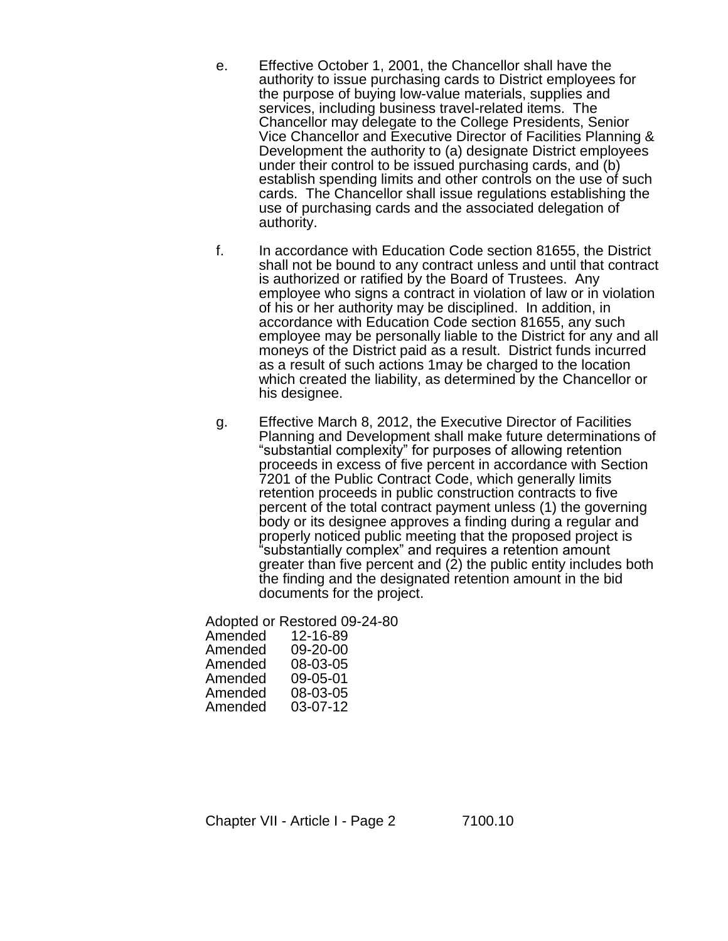- e. Effective October 1, 2001, the Chancellor shall have the authority to issue purchasing cards to District employees for the purpose of buying low-value materials, supplies and services, including business travel-related items. The Chancellor may delegate to the College Presidents, Senior Vice Chancellor and Executive Director of Facilities Planning & Development the authority to (a) designate District employees under their control to be issued purchasing cards, and (b) establish spending limits and other controls on the use of such cards. The Chancellor shall issue regulations establishing the use of purchasing cards and the associated delegation of authority.
- f. In accordance with Education Code section 81655, the District shall not be bound to any contract unless and until that contract is authorized or ratified by the Board of Trustees. Any employee who signs a contract in violation of law or in violation of his or her authority may be disciplined. In addition, in accordance with Education Code section 81655, any such employee may be personally liable to the District for any and all moneys of the District paid as a result. District funds incurred as a result of such actions 1may be charged to the location which created the liability, as determined by the Chancellor or his designee.
- g. Effective March 8, 2012, the Executive Director of Facilities Planning and Development shall make future determinations of "substantial complexity" for purposes of allowing retention proceeds in excess of five percent in accordance with Section 7201 of the Public Contract Code, which generally limits retention proceeds in public construction contracts to five percent of the total contract payment unless (1) the governing body or its designee approves a finding during a regular and properly noticed public meeting that the proposed project is "substantially complex" and requires a retention amount greater than five percent and (2) the public entity includes both the finding and the designated retention amount in the bid documents for the project.

Adopted or Restored 09-24-80 Amended 12-16-89 Amended 09-20-00 Amended 08-03-05 Amended 09-05-01 Amended 08-03-05 Amended 03-07-12

Chapter VII - Article I - Page 2 7100.10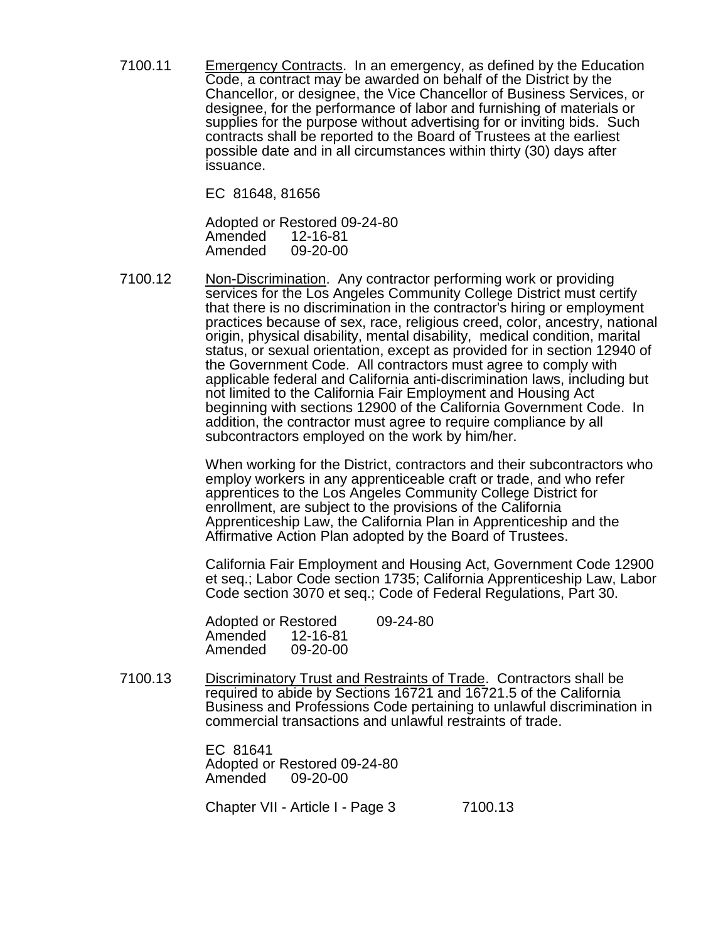7100.11 Emergency Contracts. In an emergency, as defined by the Education Code, a contract may be awarded on behalf of the District by the Chancellor, or designee, the Vice Chancellor of Business Services, or designee, for the performance of labor and furnishing of materials or supplies for the purpose without advertising for or inviting bids. Such contracts shall be reported to the Board of Trustees at the earliest possible date and in all circumstances within thirty (30) days after issuance.

EC 81648, 81656

Adopted or Restored 09-24-80 Amended 12-16-81 Amended 09-20-00

7100.12 Non-Discrimination. Any contractor performing work or providing services for the Los Angeles Community College District must certify that there is no discrimination in the contractor's hiring or employment practices because of sex, race, religious creed, color, ancestry, national origin, physical disability, mental disability, medical condition, marital status, or sexual orientation, except as provided for in section 12940 of the Government Code. All contractors must agree to comply with applicable federal and California anti-discrimination laws, including but not limited to the California Fair Employment and Housing Act beginning with sections 12900 of the California Government Code. In addition, the contractor must agree to require compliance by all subcontractors employed on the work by him/her.

> When working for the District, contractors and their subcontractors who employ workers in any apprenticeable craft or trade, and who refer apprentices to the Los Angeles Community College District for enrollment, are subject to the provisions of the California Apprenticeship Law, the California Plan in Apprenticeship and the Affirmative Action Plan adopted by the Board of Trustees.

> California Fair Employment and Housing Act, Government Code 12900 et seq.; Labor Code section 1735; California Apprenticeship Law, Labor Code section 3070 et seq.; Code of Federal Regulations, Part 30.

Adopted or Restored 09-24-80 Amended 12-16-81 Amended 09-20-00

7100.13 Discriminatory Trust and Restraints of Trade. Contractors shall be required to abide by Sections 16721 and 16721.5 of the California Business and Professions Code pertaining to unlawful discrimination in commercial transactions and unlawful restraints of trade.

> EC 81641 Adopted or Restored 09-24-80<br>Amended 09-20-00 Amended

Chapter VII - Article I - Page 3 7100.13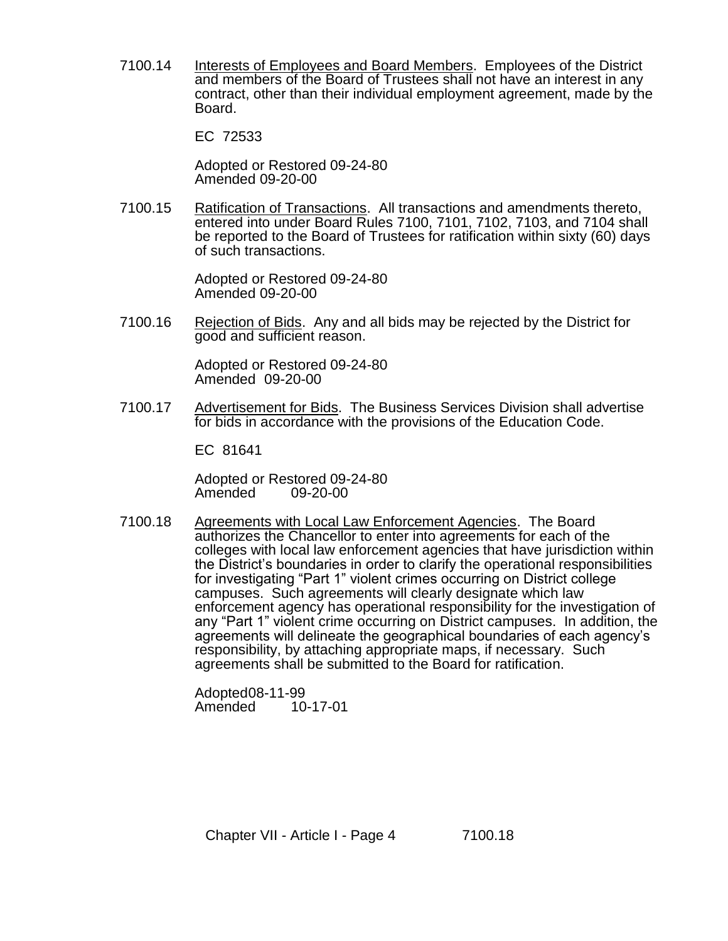7100.14 Interests of Employees and Board Members. Employees of the District and members of the Board of Trustees shall not have an interest in any contract, other than their individual employment agreement, made by the Board.

EC 72533

Adopted or Restored 09-24-80 Amended 09-20-00

7100.15 Ratification of Transactions. All transactions and amendments thereto, entered into under Board Rules 7100, 7101, 7102, 7103, and 7104 shall be reported to the Board of Trustees for ratification within sixty (60) days of such transactions.

> Adopted or Restored 09-24-80 Amended 09-20-00

7100.16 Rejection of Bids. Any and all bids may be rejected by the District for good and sufficient reason.

> Adopted or Restored 09-24-80 Amended 09-20-00

7100.17 Advertisement for Bids. The Business Services Division shall advertise for bids in accordance with the provisions of the Education Code.

EC 81641

Adopted or Restored 09-24-80 Amended 09-20-00

7100.18 Agreements with Local Law Enforcement Agencies. The Board authorizes the Chancellor to enter into agreements for each of the colleges with local law enforcement agencies that have jurisdiction within the District's boundaries in order to clarify the operational responsibilities for investigating "Part 1" violent crimes occurring on District college campuses. Such agreements will clearly designate which law enforcement agency has operational responsibility for the investigation of any "Part 1" violent crime occurring on District campuses. In addition, the agreements will delineate the geographical boundaries of each agency's responsibility, by attaching appropriate maps, if necessary. Such agreements shall be submitted to the Board for ratification.

> Adopted08-11-99 10-17-01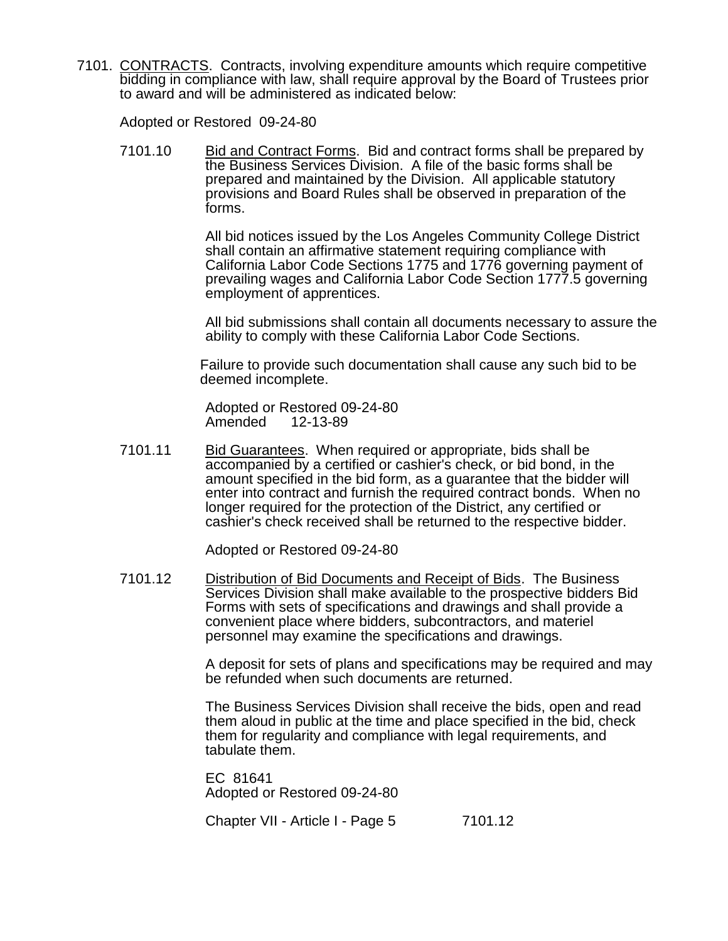7101. CONTRACTS. Contracts, involving expenditure amounts which require competitive bidding in compliance with law, shall require approval by the Board of Trustees prior to award and will be administered as indicated below:

Adopted or Restored 09-24-80

7101.10 Bid and Contract Forms. Bid and contract forms shall be prepared by the Business Services Division. A file of the basic forms shall be prepared and maintained by the Division. All applicable statutory provisions and Board Rules shall be observed in preparation of the forms.

> All bid notices issued by the Los Angeles Community College District shall contain an affirmative statement requiring compliance with California Labor Code Sections 1775 and 1776 governing payment of prevailing wages and California Labor Code Section 1777.5 governing employment of apprentices.

All bid submissions shall contain all documents necessary to assure the ability to comply with these California Labor Code Sections.

Failure to provide such documentation shall cause any such bid to be deemed incomplete.

Adopted or Restored 09-24-80 Amended 12-13-89

7101.11 Bid Guarantees. When required or appropriate, bids shall be accompanied by a certified or cashier's check, or bid bond, in the amount specified in the bid form, as a guarantee that the bidder will enter into contract and furnish the required contract bonds. When no longer required for the protection of the District, any certified or cashier's check received shall be returned to the respective bidder.

Adopted or Restored 09-24-80

7101.12 Distribution of Bid Documents and Receipt of Bids. The Business Services Division shall make available to the prospective bidders Bid Forms with sets of specifications and drawings and shall provide a convenient place where bidders, subcontractors, and materiel personnel may examine the specifications and drawings.

> A deposit for sets of plans and specifications may be required and may be refunded when such documents are returned.

The Business Services Division shall receive the bids, open and read them aloud in public at the time and place specified in the bid, check them for regularity and compliance with legal requirements, and tabulate them.

EC 81641 Adopted or Restored 09-24-80

Chapter VII - Article I - Page 5 7101.12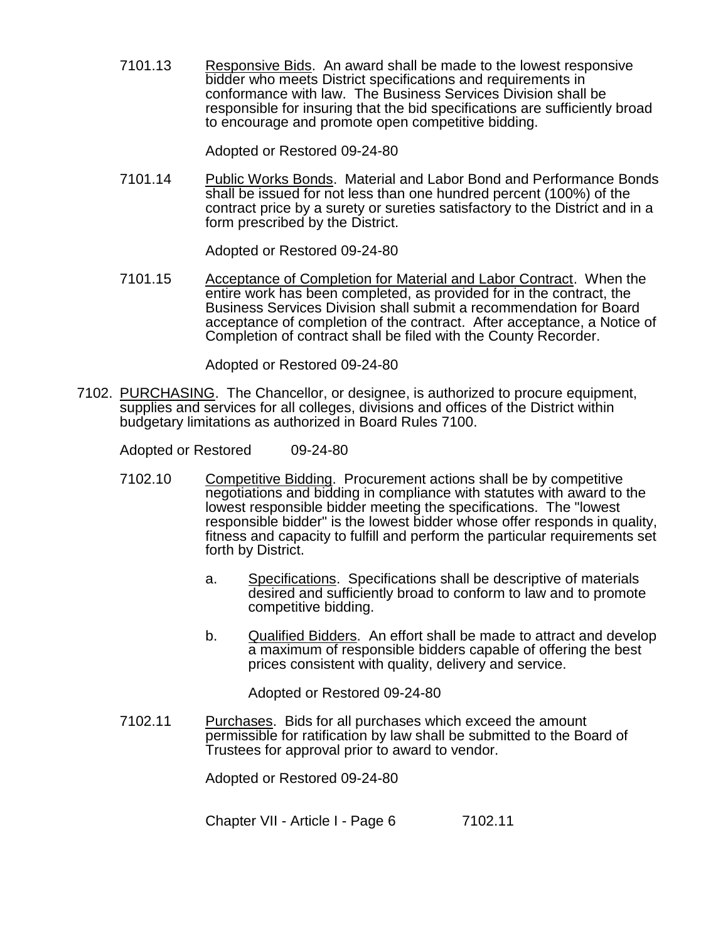7101.13 Responsive Bids. An award shall be made to the lowest responsive bidder who meets District specifications and requirements in conformance with law. The Business Services Division shall be responsible for insuring that the bid specifications are sufficiently broad to encourage and promote open competitive bidding.

Adopted or Restored 09-24-80

7101.14 Public Works Bonds. Material and Labor Bond and Performance Bonds shall be issued for not less than one hundred percent (100%) of the contract price by a surety or sureties satisfactory to the District and in a form prescribed by the District.

Adopted or Restored 09-24-80

7101.15 Acceptance of Completion for Material and Labor Contract. When the entire work has been completed, as provided for in the contract, the Business Services Division shall submit a recommendation for Board acceptance of completion of the contract. After acceptance, a Notice of Completion of contract shall be filed with the County Recorder.

Adopted or Restored 09-24-80

7102. PURCHASING. The Chancellor, or designee, is authorized to procure equipment, supplies and services for all colleges, divisions and offices of the District within budgetary limitations as authorized in Board Rules 7100.

Adopted or Restored 09-24-80

- 7102.10 Competitive Bidding. Procurement actions shall be by competitive negotiations and bidding in compliance with statutes with award to the lowest responsible bidder meeting the specifications. The "lowest responsible bidder" is the lowest bidder whose offer responds in quality, fitness and capacity to fulfill and perform the particular requirements set forth by District.
	- a. Specifications. Specifications shall be descriptive of materials desired and sufficiently broad to conform to law and to promote competitive bidding.
	- b. Qualified Bidders. An effort shall be made to attract and develop a maximum of responsible bidders capable of offering the best prices consistent with quality, delivery and service.

Adopted or Restored 09-24-80

7102.11 Purchases. Bids for all purchases which exceed the amount permissible for ratification by law shall be submitted to the Board of Trustees for approval prior to award to vendor.

Adopted or Restored 09-24-80

Chapter VII - Article I - Page 6 7102.11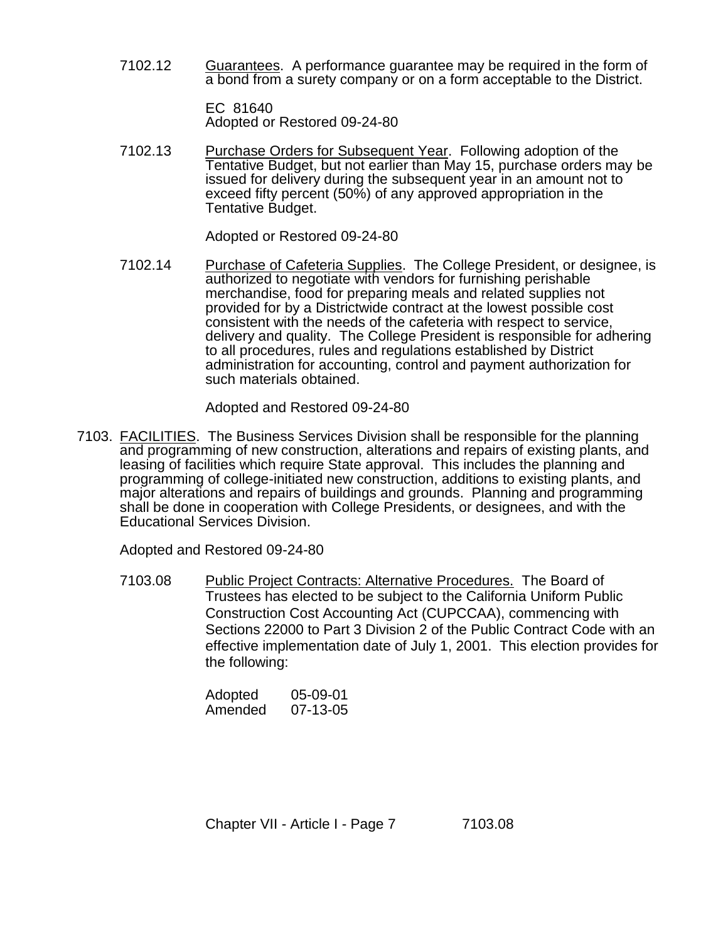7102.12 Guarantees. A performance guarantee may be required in the form of a bond from a surety company or on a form acceptable to the District.

> EC 81640 Adopted or Restored 09-24-80

7102.13 Purchase Orders for Subsequent Year. Following adoption of the Tentative Budget, but not earlier than May 15, purchase orders may be issued for delivery during the subsequent year in an amount not to exceed fifty percent (50%) of any approved appropriation in the Tentative Budget.

Adopted or Restored 09-24-80

7102.14 Purchase of Cafeteria Supplies. The College President, or designee, is authorized to negotiate with vendors for furnishing perishable merchandise, food for preparing meals and related supplies not provided for by a Districtwide contract at the lowest possible cost consistent with the needs of the cafeteria with respect to service, delivery and quality. The College President is responsible for adhering to all procedures, rules and regulations established by District administration for accounting, control and payment authorization for such materials obtained.

Adopted and Restored 09-24-80

7103. FACILITIES. The Business Services Division shall be responsible for the planning and programming of new construction, alterations and repairs of existing plants, and leasing of facilities which require State approval. This includes the planning and programming of college-initiated new construction, additions to existing plants, and major alterations and repairs of buildings and grounds. Planning and programming shall be done in cooperation with College Presidents, or designees, and with the Educational Services Division.

Adopted and Restored 09-24-80

7103.08 Public Project Contracts: Alternative Procedures. The Board of Trustees has elected to be subject to the California Uniform Public Construction Cost Accounting Act (CUPCCAA), commencing with Sections 22000 to Part 3 Division 2 of the Public Contract Code with an effective implementation date of July 1, 2001. This election provides for the following:

> Adopted 05-09-01 Amended 07-13-05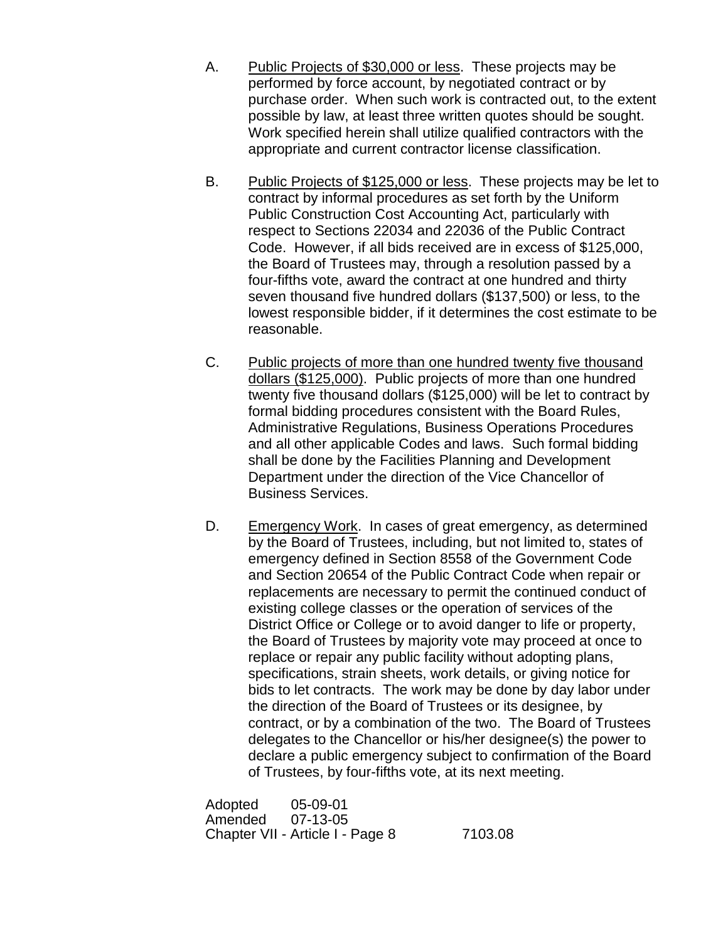- A. Public Projects of \$30,000 or less. These projects may be performed by force account, by negotiated contract or by purchase order. When such work is contracted out, to the extent possible by law, at least three written quotes should be sought. Work specified herein shall utilize qualified contractors with the appropriate and current contractor license classification.
- B. Public Projects of \$125,000 or less. These projects may be let to contract by informal procedures as set forth by the Uniform Public Construction Cost Accounting Act, particularly with respect to Sections 22034 and 22036 of the Public Contract Code. However, if all bids received are in excess of \$125,000, the Board of Trustees may, through a resolution passed by a four-fifths vote, award the contract at one hundred and thirty seven thousand five hundred dollars (\$137,500) or less, to the lowest responsible bidder, if it determines the cost estimate to be reasonable.
- C. Public projects of more than one hundred twenty five thousand dollars (\$125,000). Public projects of more than one hundred twenty five thousand dollars (\$125,000) will be let to contract by formal bidding procedures consistent with the Board Rules, Administrative Regulations, Business Operations Procedures and all other applicable Codes and laws. Such formal bidding shall be done by the Facilities Planning and Development Department under the direction of the Vice Chancellor of Business Services.
- D. Emergency Work. In cases of great emergency, as determined by the Board of Trustees, including, but not limited to, states of emergency defined in Section 8558 of the Government Code and Section 20654 of the Public Contract Code when repair or replacements are necessary to permit the continued conduct of existing college classes or the operation of services of the District Office or College or to avoid danger to life or property, the Board of Trustees by majority vote may proceed at once to replace or repair any public facility without adopting plans, specifications, strain sheets, work details, or giving notice for bids to let contracts. The work may be done by day labor under the direction of the Board of Trustees or its designee, by contract, or by a combination of the two. The Board of Trustees delegates to the Chancellor or his/her designee(s) the power to declare a public emergency subject to confirmation of the Board of Trustees, by four-fifths vote, at its next meeting.

Adopted 05-09-01 Amended 07-13-05 Chapter VII - Article I - Page 8 7103.08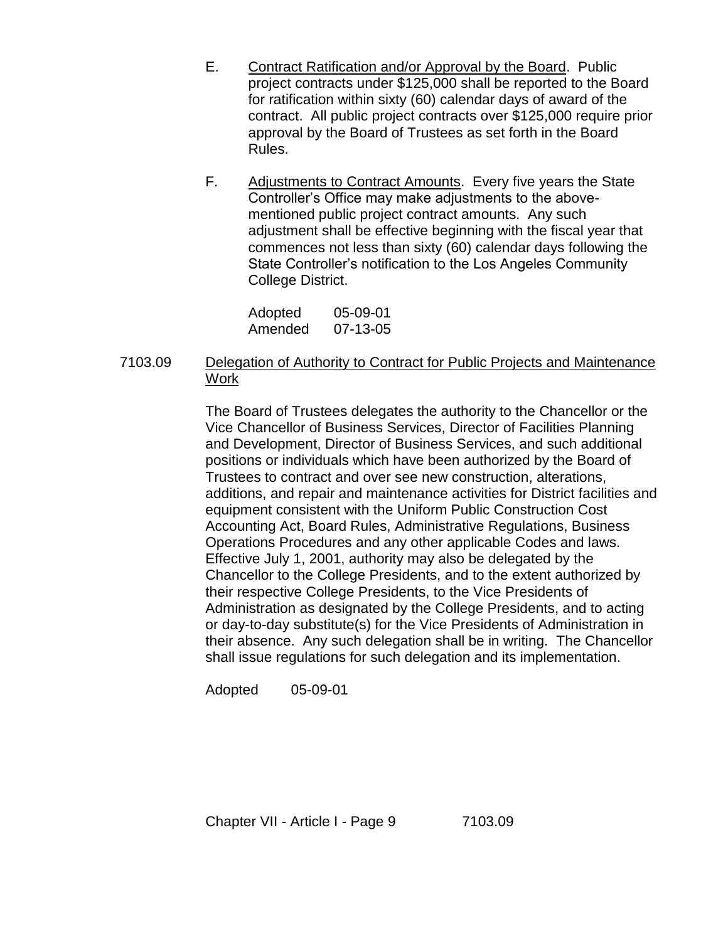- E. Contract Ratification and/or Approval by the Board. Public project contracts under \$125,000 shall be reported to the Board for ratification within sixty (60) calendar days of award of the contract. All public project contracts over \$125,000 require prior approval by the Board of Trustees as set forth in the Board Rules.
- F. Adjustments to Contract Amounts. Every five years the State Controller's Office may make adjustments to the abovementioned public project contract amounts. Any such adjustment shall be effective beginning with the fiscal year that commences not less than sixty (60) calendar days following the State Controller's notification to the Los Angeles Community College District.

| Adopted | 05-09-01 |
|---------|----------|
| Amended | 07-13-05 |

7103.09 Delegation of Authority to Contract for Public Projects and Maintenance Work

> The Board of Trustees delegates the authority to the Chancellor or the Vice Chancellor of Business Services, Director of Facilities Planning and Development, Director of Business Services, and such additional positions or individuals which have been authorized by the Board of Trustees to contract and over see new construction, alterations, additions, and repair and maintenance activities for District facilities and equipment consistent with the Uniform Public Construction Cost Accounting Act, Board Rules, Administrative Regulations, Business Operations Procedures and any other applicable Codes and laws. Effective July 1, 2001, authority may also be delegated by the Chancellor to the College Presidents, and to the extent authorized by their respective College Presidents, to the Vice Presidents of Administration as designated by the College Presidents, and to acting or day-to-day substitute(s) for the Vice Presidents of Administration in their absence. Any such delegation shall be in writing. The Chancellor shall issue regulations for such delegation and its implementation.

Adopted 05-09-01

Chapter VII - Article I - Page 9 7103.09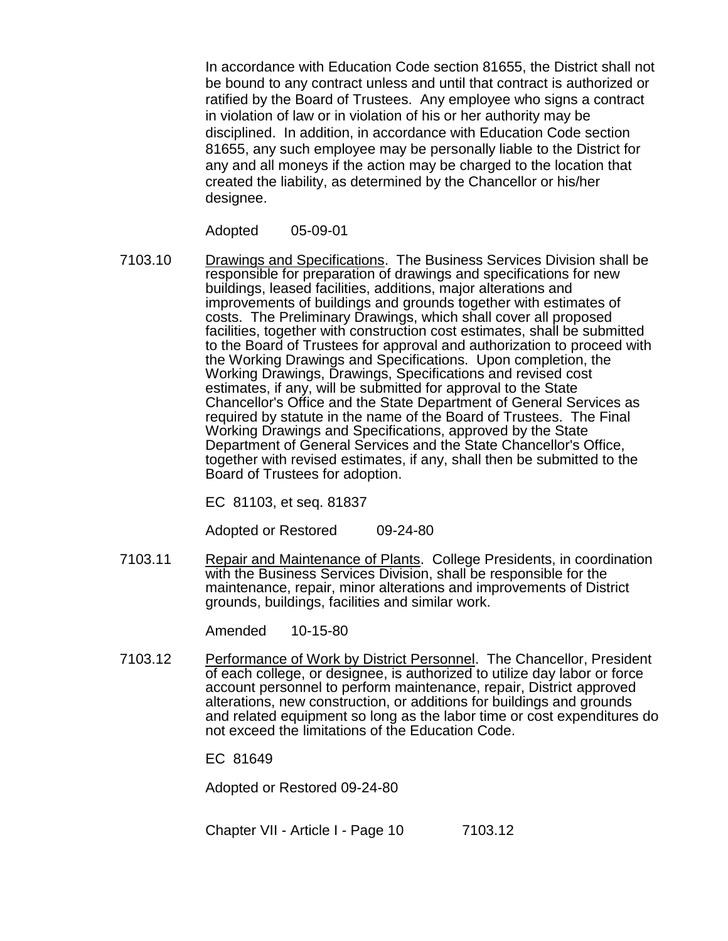In accordance with Education Code section 81655, the District shall not be bound to any contract unless and until that contract is authorized or ratified by the Board of Trustees. Any employee who signs a contract in violation of law or in violation of his or her authority may be disciplined. In addition, in accordance with Education Code section 81655, any such employee may be personally liable to the District for any and all moneys if the action may be charged to the location that created the liability, as determined by the Chancellor or his/her designee.

Adopted 05-09-01

7103.10 Drawings and Specifications. The Business Services Division shall be responsible for preparation of drawings and specifications for new buildings, leased facilities, additions, major alterations and improvements of buildings and grounds together with estimates of costs. The Preliminary Drawings, which shall cover all proposed facilities, together with construction cost estimates, shall be submitted to the Board of Trustees for approval and authorization to proceed with the Working Drawings and Specifications. Upon completion, the Working Drawings, Drawings, Specifications and revised cost estimates, if any, will be submitted for approval to the State Chancellor's Office and the State Department of General Services as required by statute in the name of the Board of Trustees. The Final Working Drawings and Specifications, approved by the State Department of General Services and the State Chancellor's Office, together with revised estimates, if any, shall then be submitted to the Board of Trustees for adoption.

EC 81103, et seq. 81837

Adopted or Restored 09-24-80

7103.11 Repair and Maintenance of Plants. College Presidents, in coordination with the Business Services Division, shall be responsible for the maintenance, repair, minor alterations and improvements of District grounds, buildings, facilities and similar work.

Amended 10-15-80

7103.12 Performance of Work by District Personnel. The Chancellor, President of each college, or designee, is authorized to utilize day labor or force account personnel to perform maintenance, repair, District approved alterations, new construction, or additions for buildings and grounds and related equipment so long as the labor time or cost expenditures do not exceed the limitations of the Education Code.

EC 81649

Adopted or Restored 09-24-80

Chapter VII - Article I - Page 10 7103.12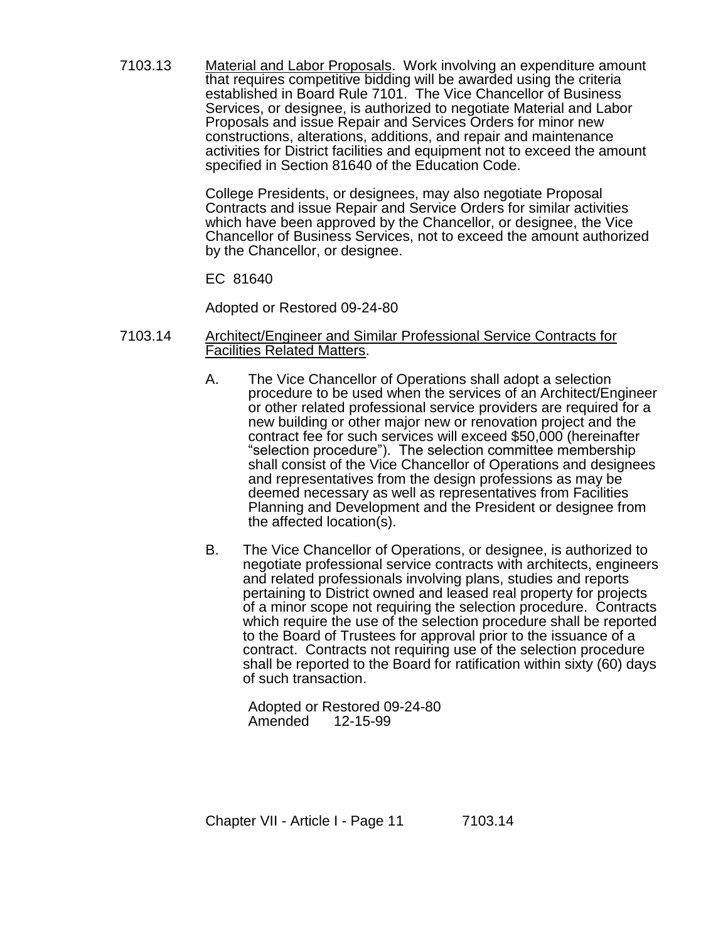7103.13 Material and Labor Proposals. Work involving an expenditure amount that requires competitive bidding will be awarded using the criteria established in Board Rule 7101. The Vice Chancellor of Business Services, or designee, is authorized to negotiate Material and Labor Proposals and issue Repair and Services Orders for minor new constructions, alterations, additions, and repair and maintenance activities for District facilities and equipment not to exceed the amount specified in Section 81640 of the Education Code.

> College Presidents, or designees, may also negotiate Proposal Contracts and issue Repair and Service Orders for similar activities which have been approved by the Chancellor, or designee, the Vice Chancellor of Business Services, not to exceed the amount authorized by the Chancellor, or designee.

EC 81640

Adopted or Restored 09-24-80

- 7103.14 Architect/Engineer and Similar Professional Service Contracts for Facilities Related Matters.
	- A. The Vice Chancellor of Operations shall adopt a selection procedure to be used when the services of an Architect/Engineer or other related professional service providers are required for a new building or other major new or renovation project and the contract fee for such services will exceed \$50,000 (hereinafter "selection procedure"). The selection committee membership shall consist of the Vice Chancellor of Operations and designees and representatives from the design professions as may be deemed necessary as well as representatives from Facilities Planning and Development and the President or designee from the affected location(s).
	- B. The Vice Chancellor of Operations, or designee, is authorized to negotiate professional service contracts with architects, engineers and related professionals involving plans, studies and reports pertaining to District owned and leased real property for projects of a minor scope not requiring the selection procedure. Contracts which require the use of the selection procedure shall be reported to the Board of Trustees for approval prior to the issuance of a contract. Contracts not requiring use of the selection procedure shall be reported to the Board for ratification within sixty (60) days of such transaction.

Adopted or Restored 09-24-80 Amended 12-15-99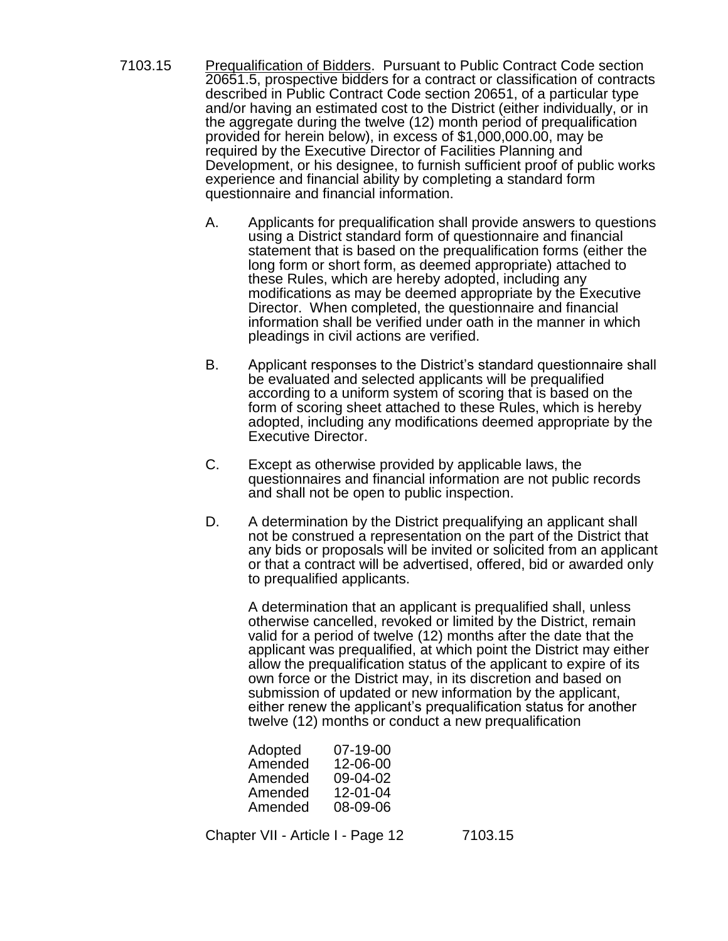- 7103.15 Prequalification of Bidders. Pursuant to Public Contract Code section 20651.5, prospective bidders for a contract or classification of contracts described in Public Contract Code section 20651, of a particular type and/or having an estimated cost to the District (either individually, or in the aggregate during the twelve (12) month period of prequalification provided for herein below), in excess of \$1,000,000.00, may be required by the Executive Director of Facilities Planning and Development, or his designee, to furnish sufficient proof of public works experience and financial ability by completing a standard form questionnaire and financial information.
	- A. Applicants for prequalification shall provide answers to questions using a District standard form of questionnaire and financial statement that is based on the prequalification forms (either the long form or short form, as deemed appropriate) attached to these Rules, which are hereby adopted, including any modifications as may be deemed appropriate by the Executive Director. When completed, the questionnaire and financial information shall be verified under oath in the manner in which pleadings in civil actions are verified.
	- B. Applicant responses to the District's standard questionnaire shall be evaluated and selected applicants will be prequalified according to a uniform system of scoring that is based on the form of scoring sheet attached to these Rules, which is hereby adopted, including any modifications deemed appropriate by the Executive Director.
	- C. Except as otherwise provided by applicable laws, the questionnaires and financial information are not public records and shall not be open to public inspection.
	- D. A determination by the District prequalifying an applicant shall not be construed a representation on the part of the District that any bids or proposals will be invited or solicited from an applicant or that a contract will be advertised, offered, bid or awarded only to prequalified applicants.

A determination that an applicant is prequalified shall, unless otherwise cancelled, revoked or limited by the District, remain valid for a period of twelve (12) months after the date that the applicant was prequalified, at which point the District may either allow the prequalification status of the applicant to expire of its own force or the District may, in its discretion and based on submission of updated or new information by the applicant, either renew the applicant's prequalification status for another twelve (12) months or conduct a new prequalification

| Adopted | 07-19-00 |
|---------|----------|
| Amended | 12-06-00 |
| Amended | 09-04-02 |
| Amended | 12-01-04 |
| Amended | 08-09-06 |

Chapter VII - Article I - Page 12 7103.15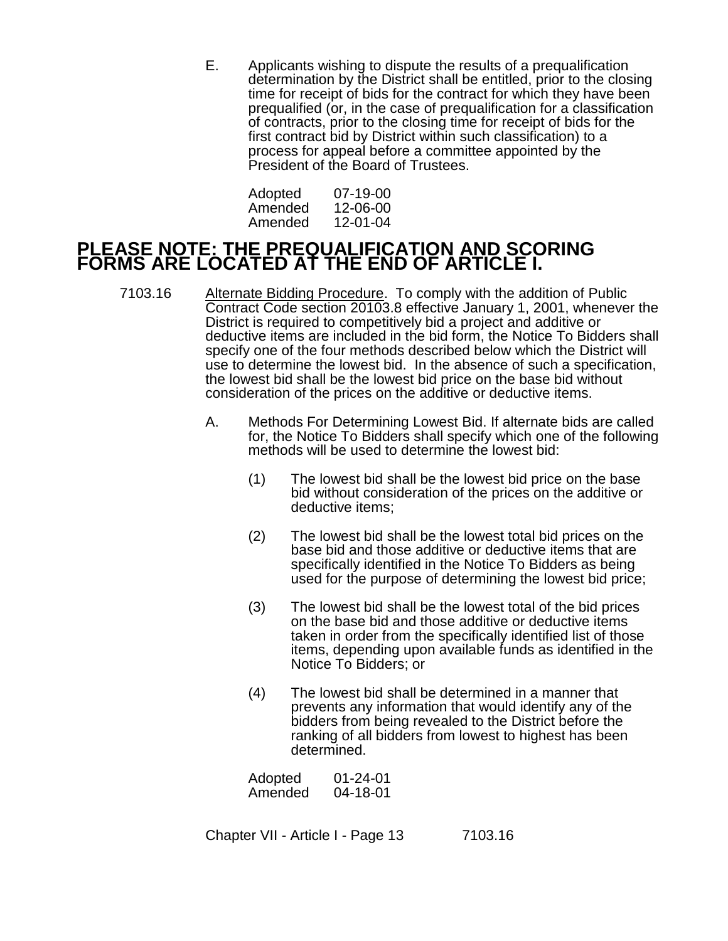E. Applicants wishing to dispute the results of a prequalification determination by the District shall be entitled, prior to the closing time for receipt of bids for the contract for which they have been prequalified (or, in the case of prequalification for a classification of contracts, prior to the closing time for receipt of bids for the first contract bid by District within such classification) to a process for appeal before a committee appointed by the President of the Board of Trustees.

| Adopted | 07-19-00 |
|---------|----------|
| Amended | 12-06-00 |
| Amended | 12-01-04 |

## **PLEASE NOTE: THE PREQUALIFICATION AND SCORING FORMS ARE LOCATED AT THE END OF ARTICLE I.**

- 7103.16 Alternate Bidding Procedure. To comply with the addition of Public Contract Code section 20103.8 effective January 1, 2001, whenever the District is required to competitively bid a project and additive or deductive items are included in the bid form, the Notice To Bidders shall specify one of the four methods described below which the District will use to determine the lowest bid. In the absence of such a specification, the lowest bid shall be the lowest bid price on the base bid without consideration of the prices on the additive or deductive items.
	- A. Methods For Determining Lowest Bid. If alternate bids are called for, the Notice To Bidders shall specify which one of the following methods will be used to determine the lowest bid:
		- (1) The lowest bid shall be the lowest bid price on the base bid without consideration of the prices on the additive or deductive items;
		- (2) The lowest bid shall be the lowest total bid prices on the base bid and those additive or deductive items that are specifically identified in the Notice To Bidders as being used for the purpose of determining the lowest bid price;
		- (3) The lowest bid shall be the lowest total of the bid prices on the base bid and those additive or deductive items taken in order from the specifically identified list of those items, depending upon available funds as identified in the Notice To Bidders; or
		- (4) The lowest bid shall be determined in a manner that prevents any information that would identify any of the bidders from being revealed to the District before the ranking of all bidders from lowest to highest has been determined.

| Adopted | $01 - 24 - 01$ |
|---------|----------------|
| Amended | 04-18-01       |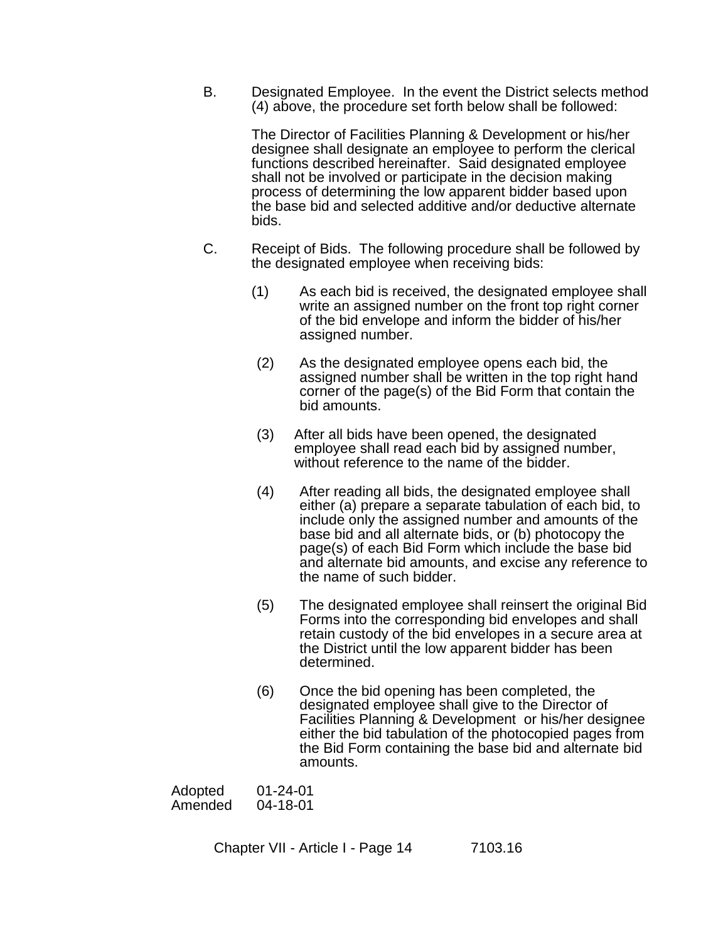B. Designated Employee. In the event the District selects method (4) above, the procedure set forth below shall be followed:

> The Director of Facilities Planning & Development or his/her designee shall designate an employee to perform the clerical functions described hereinafter. Said designated employee shall not be involved or participate in the decision making process of determining the low apparent bidder based upon the base bid and selected additive and/or deductive alternate bids.

- C. Receipt of Bids. The following procedure shall be followed by the designated employee when receiving bids:
	- (1) As each bid is received, the designated employee shall write an assigned number on the front top right corner of the bid envelope and inform the bidder of his/her assigned number.
	- (2) As the designated employee opens each bid, the assigned number shall be written in the top right hand corner of the page(s) of the Bid Form that contain the bid amounts.
	- (3) After all bids have been opened, the designated employee shall read each bid by assigned number, without reference to the name of the bidder.
	- (4) After reading all bids, the designated employee shall either (a) prepare a separate tabulation of each bid, to include only the assigned number and amounts of the base bid and all alternate bids, or (b) photocopy the page(s) of each Bid Form which include the base bid and alternate bid amounts, and excise any reference to the name of such bidder.
	- (5) The designated employee shall reinsert the original Bid Forms into the corresponding bid envelopes and shall retain custody of the bid envelopes in a secure area at the District until the low apparent bidder has been determined.
	- (6) Once the bid opening has been completed, the designated employee shall give to the Director of Facilities Planning & Development or his/her designee either the bid tabulation of the photocopied pages from the Bid Form containing the base bid and alternate bid amounts.

| Adopted | $01 - 24 - 01$ |
|---------|----------------|
| Amended | 04-18-01       |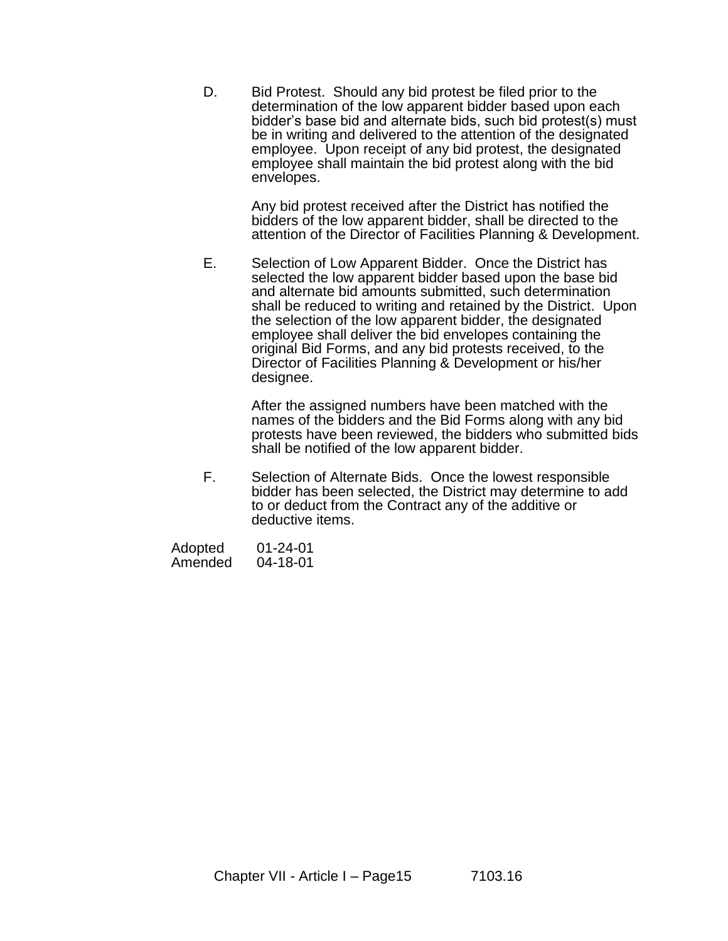D. Bid Protest. Should any bid protest be filed prior to the determination of the low apparent bidder based upon each bidder's base bid and alternate bids, such bid protest(s) must be in writing and delivered to the attention of the designated employee. Upon receipt of any bid protest, the designated employee shall maintain the bid protest along with the bid envelopes.

> Any bid protest received after the District has notified the bidders of the low apparent bidder, shall be directed to the attention of the Director of Facilities Planning & Development.

E. Selection of Low Apparent Bidder. Once the District has selected the low apparent bidder based upon the base bid and alternate bid amounts submitted, such determination shall be reduced to writing and retained by the District. Upon the selection of the low apparent bidder, the designated employee shall deliver the bid envelopes containing the original Bid Forms, and any bid protests received, to the Director of Facilities Planning & Development or his/her designee.

> After the assigned numbers have been matched with the names of the bidders and the Bid Forms along with any bid protests have been reviewed, the bidders who submitted bids shall be notified of the low apparent bidder.

F. Selection of Alternate Bids. Once the lowest responsible bidder has been selected, the District may determine to add to or deduct from the Contract any of the additive or deductive items.

| Adopted | $01 - 24 - 01$ |
|---------|----------------|
| Amended | 04-18-01       |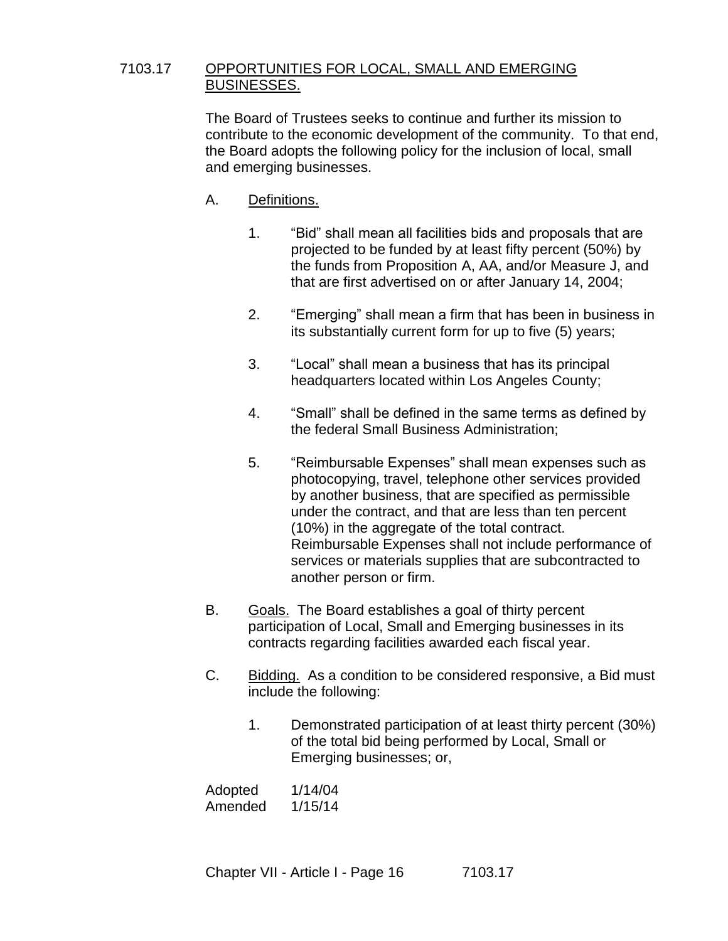## 7103.17 OPPORTUNITIES FOR LOCAL, SMALL AND EMERGING BUSINESSES.

The Board of Trustees seeks to continue and further its mission to contribute to the economic development of the community. To that end, the Board adopts the following policy for the inclusion of local, small and emerging businesses.

- A. Definitions.
	- 1. "Bid" shall mean all facilities bids and proposals that are projected to be funded by at least fifty percent (50%) by the funds from Proposition A, AA, and/or Measure J, and that are first advertised on or after January 14, 2004;
	- 2. "Emerging" shall mean a firm that has been in business in its substantially current form for up to five (5) years;
	- 3. "Local" shall mean a business that has its principal headquarters located within Los Angeles County;
	- 4. "Small" shall be defined in the same terms as defined by the federal Small Business Administration;
	- 5. "Reimbursable Expenses" shall mean expenses such as photocopying, travel, telephone other services provided by another business, that are specified as permissible under the contract, and that are less than ten percent (10%) in the aggregate of the total contract. Reimbursable Expenses shall not include performance of services or materials supplies that are subcontracted to another person or firm.
- B. Goals. The Board establishes a goal of thirty percent participation of Local, Small and Emerging businesses in its contracts regarding facilities awarded each fiscal year.
- C. Bidding. As a condition to be considered responsive, a Bid must include the following:
	- 1. Demonstrated participation of at least thirty percent (30%) of the total bid being performed by Local, Small or Emerging businesses; or,

| Adopted | 1/14/04 |
|---------|---------|
| Amended | 1/15/14 |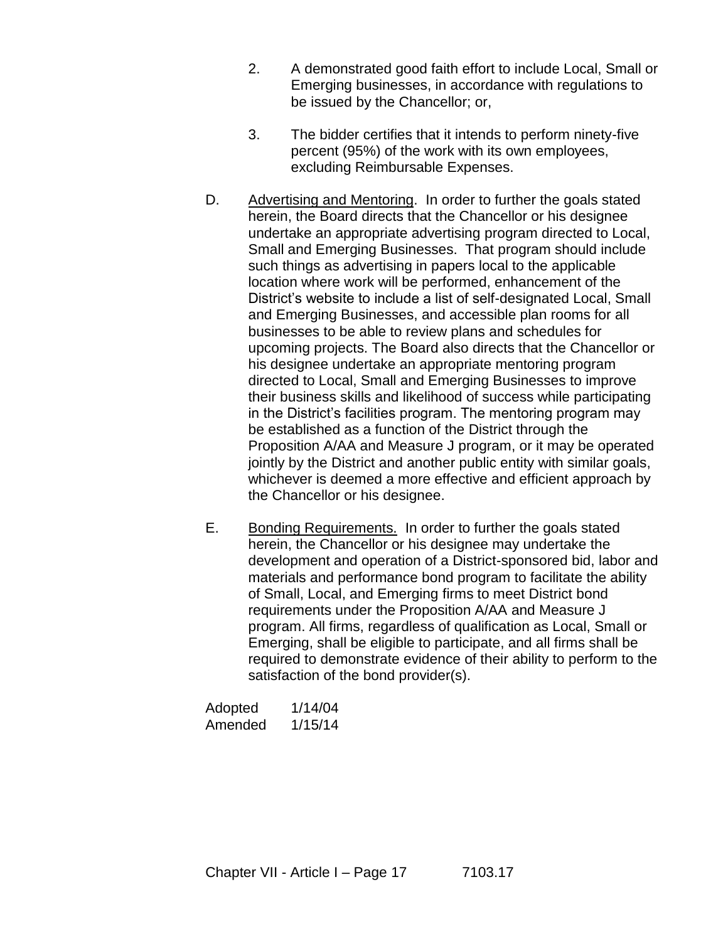- 2. A demonstrated good faith effort to include Local, Small or Emerging businesses, in accordance with regulations to be issued by the Chancellor; or,
- 3. The bidder certifies that it intends to perform ninety-five percent (95%) of the work with its own employees, excluding Reimbursable Expenses.
- D. Advertising and Mentoring. In order to further the goals stated herein, the Board directs that the Chancellor or his designee undertake an appropriate advertising program directed to Local, Small and Emerging Businesses. That program should include such things as advertising in papers local to the applicable location where work will be performed, enhancement of the District's website to include a list of self-designated Local, Small and Emerging Businesses, and accessible plan rooms for all businesses to be able to review plans and schedules for upcoming projects. The Board also directs that the Chancellor or his designee undertake an appropriate mentoring program directed to Local, Small and Emerging Businesses to improve their business skills and likelihood of success while participating in the District's facilities program. The mentoring program may be established as a function of the District through the Proposition A/AA and Measure J program, or it may be operated jointly by the District and another public entity with similar goals, whichever is deemed a more effective and efficient approach by the Chancellor or his designee.
- E. Bonding Requirements. In order to further the goals stated herein, the Chancellor or his designee may undertake the development and operation of a District-sponsored bid, labor and materials and performance bond program to facilitate the ability of Small, Local, and Emerging firms to meet District bond requirements under the Proposition A/AA and Measure J program. All firms, regardless of qualification as Local, Small or Emerging, shall be eligible to participate, and all firms shall be required to demonstrate evidence of their ability to perform to the satisfaction of the bond provider(s).

| Adopted | 1/14/04 |
|---------|---------|
| Amended | 1/15/14 |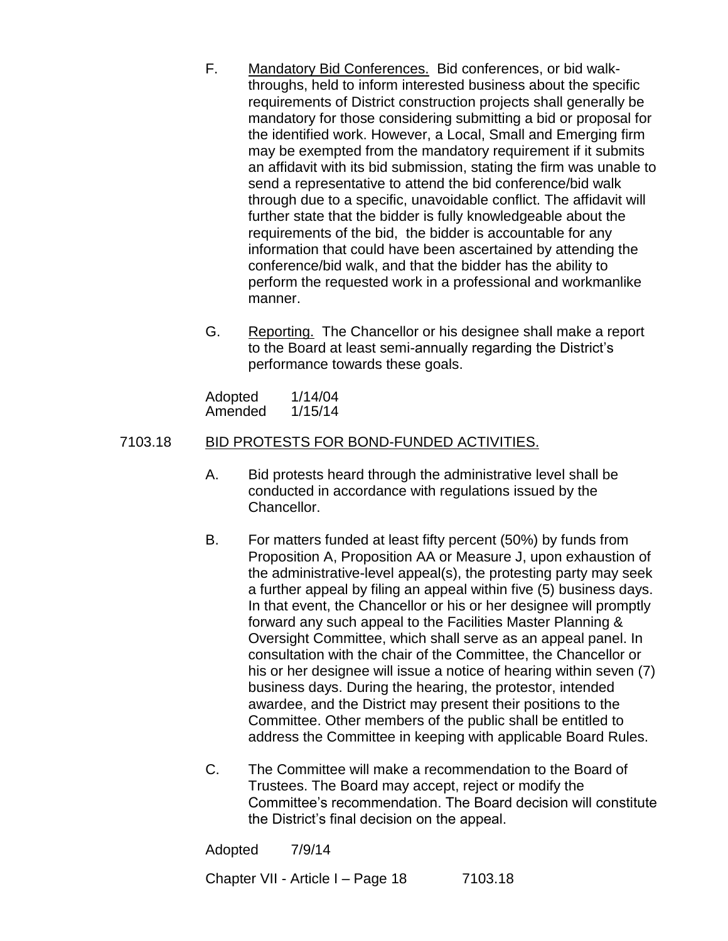- F. Mandatory Bid Conferences. Bid conferences, or bid walkthroughs, held to inform interested business about the specific requirements of District construction projects shall generally be mandatory for those considering submitting a bid or proposal for the identified work. However, a Local, Small and Emerging firm may be exempted from the mandatory requirement if it submits an affidavit with its bid submission, stating the firm was unable to send a representative to attend the bid conference/bid walk through due to a specific, unavoidable conflict. The affidavit will further state that the bidder is fully knowledgeable about the requirements of the bid, the bidder is accountable for any information that could have been ascertained by attending the conference/bid walk, and that the bidder has the ability to perform the requested work in a professional and workmanlike manner.
- G. Reporting. The Chancellor or his designee shall make a report to the Board at least semi-annually regarding the District's performance towards these goals.

Adopted 1/14/04 Amended 1/15/14

## 7103.18 BID PROTESTS FOR BOND-FUNDED ACTIVITIES.

- A. Bid protests heard through the administrative level shall be conducted in accordance with regulations issued by the Chancellor.
- B. For matters funded at least fifty percent (50%) by funds from Proposition A, Proposition AA or Measure J, upon exhaustion of the administrative-level appeal(s), the protesting party may seek a further appeal by filing an appeal within five (5) business days. In that event, the Chancellor or his or her designee will promptly forward any such appeal to the Facilities Master Planning & Oversight Committee, which shall serve as an appeal panel. In consultation with the chair of the Committee, the Chancellor or his or her designee will issue a notice of hearing within seven (7) business days. During the hearing, the protestor, intended awardee, and the District may present their positions to the Committee. Other members of the public shall be entitled to address the Committee in keeping with applicable Board Rules.
- C. The Committee will make a recommendation to the Board of Trustees. The Board may accept, reject or modify the Committee's recommendation. The Board decision will constitute the District's final decision on the appeal.

Adopted 7/9/14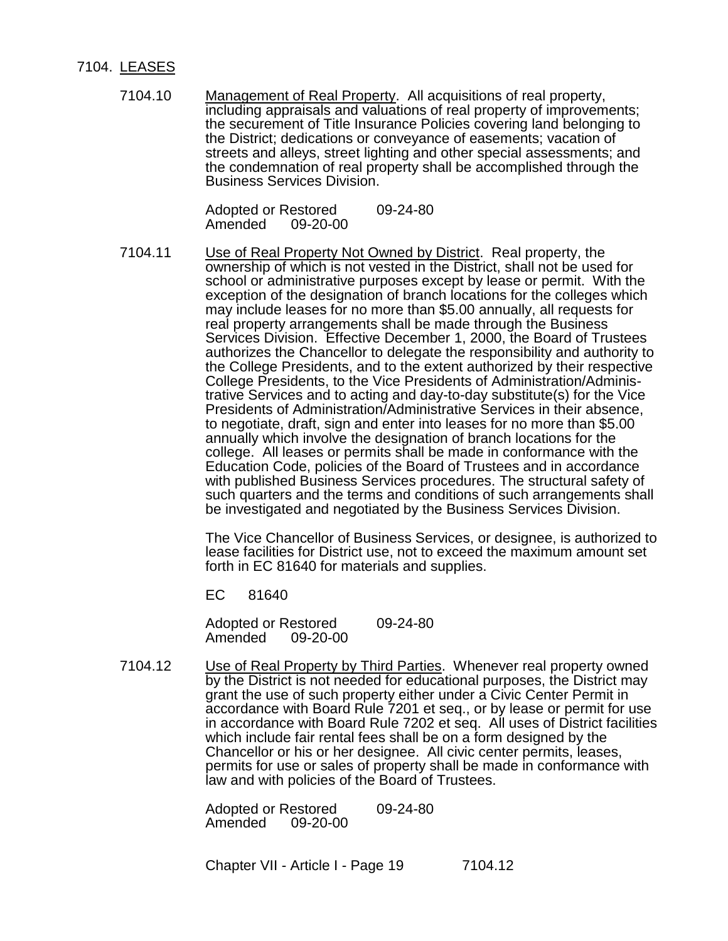#### 7104. LEASES

7104.10 Management of Real Property. All acquisitions of real property, including appraisals and valuations of real property of improvements; the securement of Title Insurance Policies covering land belonging to the District; dedications or conveyance of easements; vacation of streets and alleys, street lighting and other special assessments; and the condemnation of real property shall be accomplished through the Business Services Division.

> Adopted or Restored 09-24-80<br>Amended 09-20-00 Amended

7104.11 Use of Real Property Not Owned by District. Real property, the ownership of which is not vested in the District, shall not be used for school or administrative purposes except by lease or permit. With the exception of the designation of branch locations for the colleges which may include leases for no more than \$5.00 annually, all requests for real property arrangements shall be made through the Business Services Division. Effective December 1, 2000, the Board of Trustees authorizes the Chancellor to delegate the responsibility and authority to the College Presidents, and to the extent authorized by their respective College Presidents, to the Vice Presidents of Administration/Administrative Services and to acting and day-to-day substitute(s) for the Vice Presidents of Administration/Administrative Services in their absence, to negotiate, draft, sign and enter into leases for no more than \$5.00 annually which involve the designation of branch locations for the college. All leases or permits shall be made in conformance with the Education Code, policies of the Board of Trustees and in accordance with published Business Services procedures. The structural safety of such quarters and the terms and conditions of such arrangements shall be investigated and negotiated by the Business Services Division.

> The Vice Chancellor of Business Services, or designee, is authorized to lease facilities for District use, not to exceed the maximum amount set forth in EC 81640 for materials and supplies.

EC 81640

Adopted or Restored 09-24-80<br>Amended 09-20-00 09-20-00

7104.12 Use of Real Property by Third Parties. Whenever real property owned by the District is not needed for educational purposes, the District may grant the use of such property either under a Civic Center Permit in accordance with Board Rule 7201 et seq., or by lease or permit for use in accordance with Board Rule 7202 et seq. All uses of District facilities which include fair rental fees shall be on a form designed by the Chancellor or his or her designee. All civic center permits, leases, permits for use or sales of property shall be made in conformance with law and with policies of the Board of Trustees.

> Adopted or Restored 09-24-80<br>Amended 09-20-00 Amended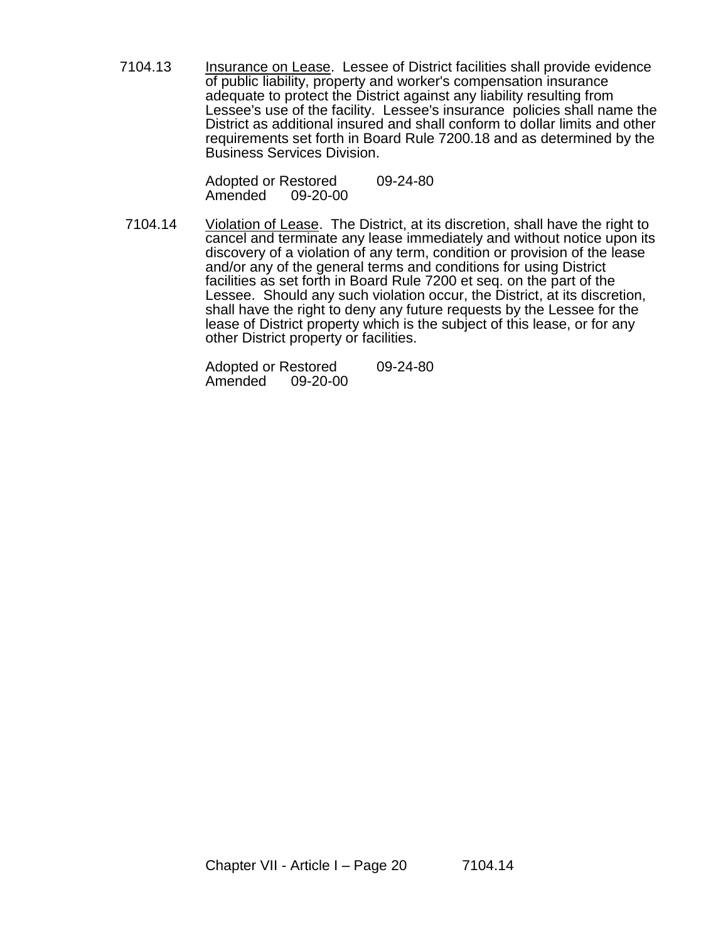7104.13 Insurance on Lease. Lessee of District facilities shall provide evidence of public liability, property and worker's compensation insurance adequate to protect the District against any liability resulting from Lessee's use of the facility. Lessee's insurance policies shall name the District as additional insured and shall conform to dollar limits and other requirements set forth in Board Rule 7200.18 and as determined by the Business Services Division.

> Adopted or Restored 09-24-80<br>Amended 09-20-00 Amended

7104.14 Violation of Lease. The District, at its discretion, shall have the right to cancel and terminate any lease immediately and without notice upon its discovery of a violation of any term, condition or provision of the lease and/or any of the general terms and conditions for using District facilities as set forth in Board Rule 7200 et seq. on the part of the Lessee. Should any such violation occur, the District, at its discretion, shall have the right to deny any future requests by the Lessee for the lease of District property which is the subject of this lease, or for any other District property or facilities.

> Adopted or Restored 09-24-80<br>Amended 09-20-00 Amended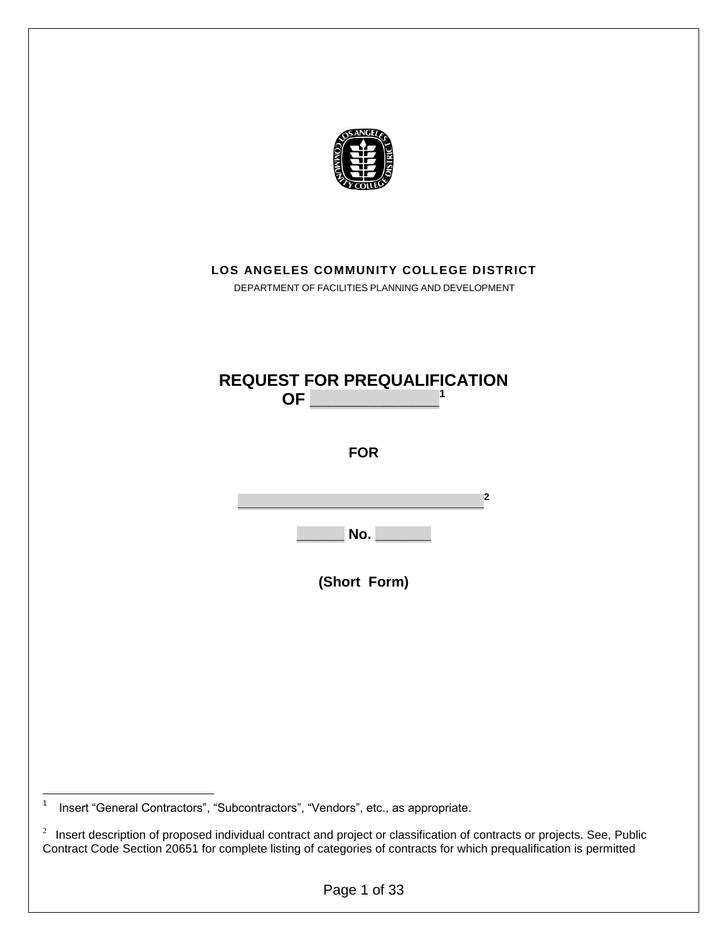

Insert "General Contractors", "Subcontractors", "Vendors", etc., as appropriate.

 $2$  Insert description of proposed individual contract and project or classification of contracts or projects. See, Public Contract Code Section 20651 for complete listing of categories of contracts for which prequalification is permitted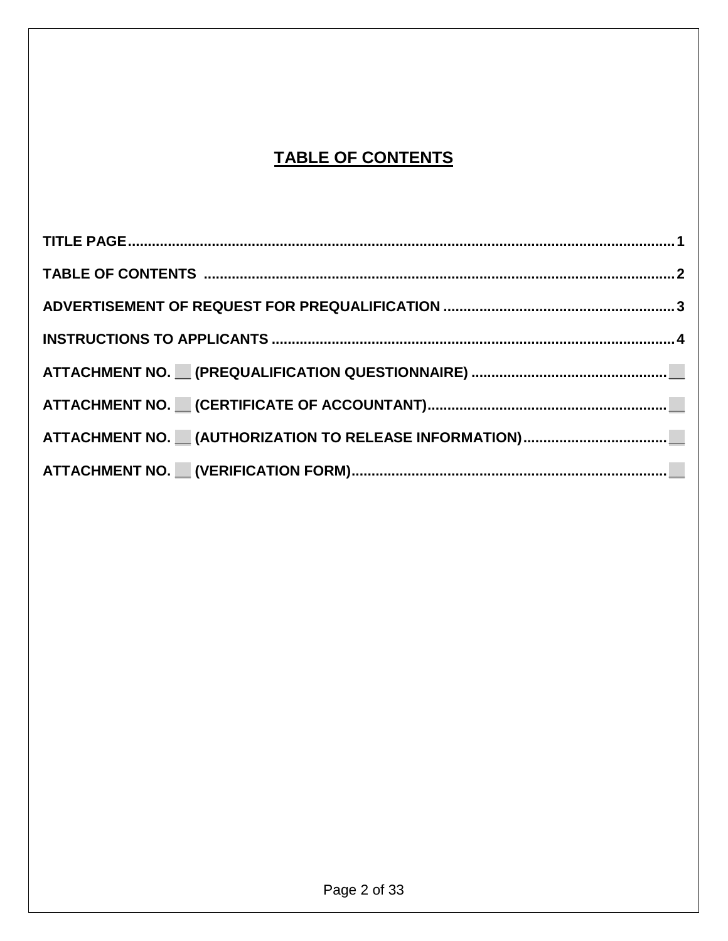# **TABLE OF CONTENTS**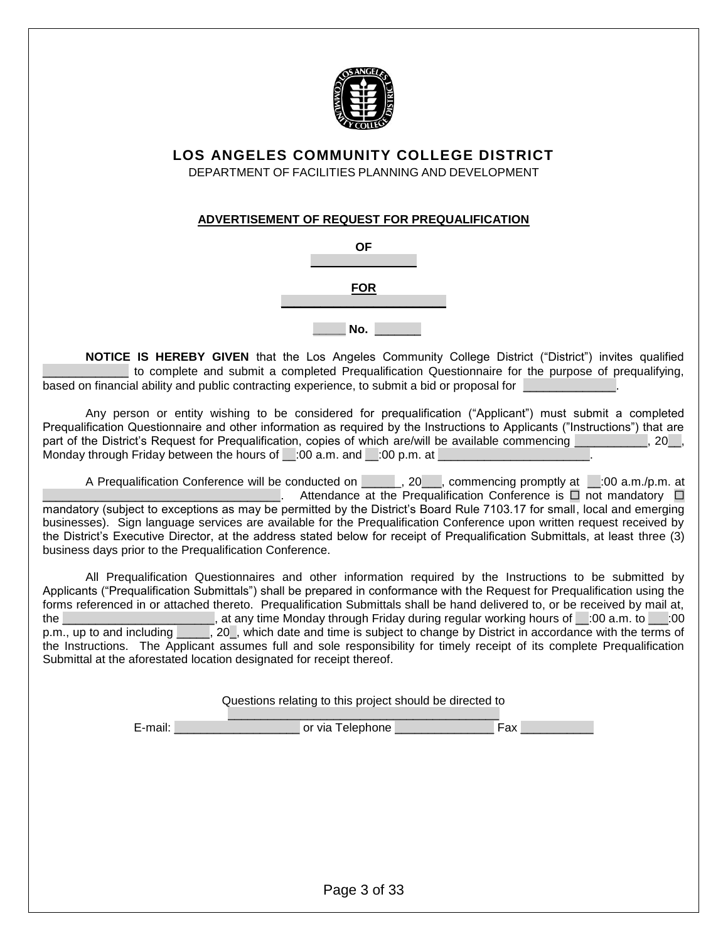

## **LOS ANGELES COMMUNITY COLLEGE DISTRICT**

DEPARTMENT OF FACILITIES PLANNING AND DEVELOPMENT

#### **ADVERTISEMENT OF REQUEST FOR PREQUALIFICATION**

| <b>OF</b>  |  |
|------------|--|
| <b>FOR</b> |  |
| No.        |  |

**NOTICE IS HEREBY GIVEN** that the Los Angeles Community College District ("District") invites qualified \_\_\_\_\_\_\_\_\_\_\_\_\_ to complete and submit a completed Prequalification Questionnaire for the purpose of prequalifying, based on financial ability and public contracting experience, to submit a bid or proposal for

Any person or entity wishing to be considered for prequalification ("Applicant") must submit a completed Prequalification Questionnaire and other information as required by the Instructions to Applicants ("Instructions") that are part of the District's Request for Prequalification, copies of which are/will be available commencing  $\sim$  20  $\,$ , 20 Monday through Friday between the hours of  $\equiv$  :00 a.m. and  $\equiv$  :00 p.m. at

A Prequalification Conference will be conducted on \_\_\_\_\_\_, 20\_\_\_, commencing promptly at \_\_:00 a.m./p.m. at  $\Box$  Attendance at the Prequalification Conference is  $\Box$  not mandatory  $\Box$ mandatory (subject to exceptions as may be permitted by the District's Board Rule 7103.17 for small, local and emerging businesses). Sign language services are available for the Prequalification Conference upon written request received by the District's Executive Director, at the address stated below for receipt of Prequalification Submittals, at least three (3) business days prior to the Prequalification Conference.

All Prequalification Questionnaires and other information required by the Instructions to be submitted by Applicants ("Prequalification Submittals") shall be prepared in conformance with the Request for Prequalification using the forms referenced in or attached thereto. Prequalification Submittals shall be hand delivered to, or be received by mail at, the \_\_\_\_\_\_\_\_\_\_\_\_\_\_\_\_\_\_\_\_\_\_\_, at any time Monday through Friday during regular working hours of \_\_:00 a.m. to \_\_\_:00 p.m., up to and including \_\_\_\_\_, 20\_, which date and time is subject to change by District in accordance with the terms of the Instructions. The Applicant assumes full and sole responsibility for timely receipt of its complete Prequalification Submittal at the aforestated location designated for receipt thereof.

> Questions relating to this project should be directed to \_\_\_\_\_\_\_\_\_\_\_\_\_\_\_\_\_\_\_\_\_\_\_\_\_\_\_\_\_\_\_\_\_\_\_\_\_\_\_\_\_

E-mail: etc. The contract of via Telephone and the contract of the contract of the contract of the contract of the contract of the contract of the contract of the contract of the contract of the contract of the contract of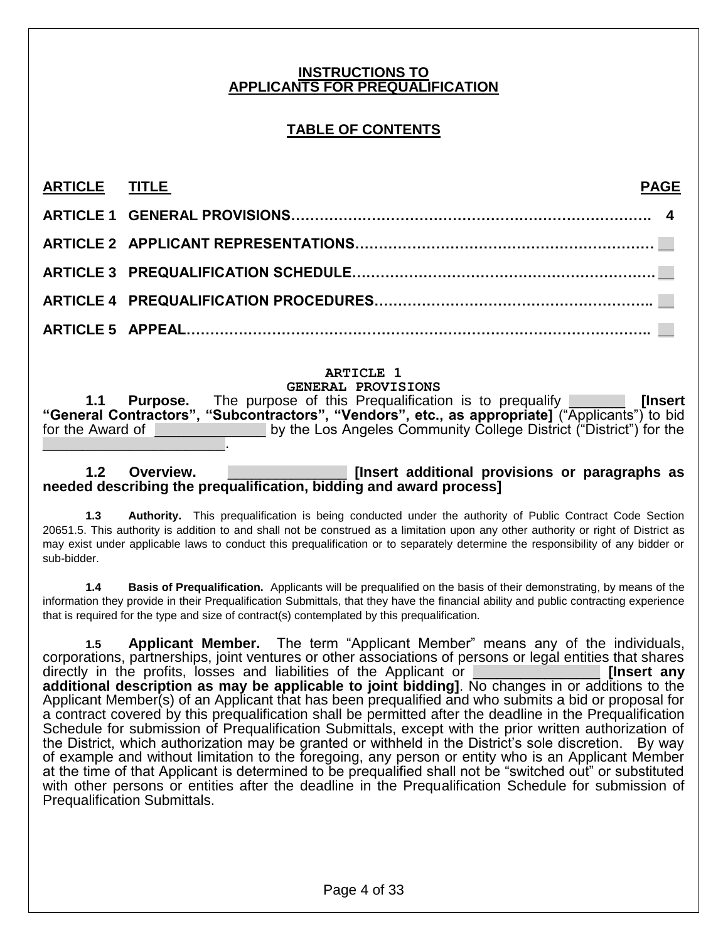#### **INSTRUCTIONS TO APPLICANTS FOR PREQUALIFICATION**

## **TABLE OF CONTENTS**

| ARTICLE TITLE | <b>PAGE</b> |
|---------------|-------------|
|               |             |
|               |             |
|               |             |
|               |             |
|               |             |

#### **ARTICLE 1**

**GENERAL PROVISIONS 1.1 Purpose.** The purpose of this Prequalification is to prequalify \_\_\_\_\_\_\_ **[Insert "General Contractors", "Subcontractors", "Vendors", etc., as appropriate]** ("Applicants") to bid for the Award of **Example 20** by the Los Angeles Community College District ("District") for the  $\overline{\phantom{a}}$  , where  $\overline{\phantom{a}}$  , where  $\overline{\phantom{a}}$  , where  $\overline{\phantom{a}}$  , where  $\overline{\phantom{a}}$ 

#### **1.2 Overview.** \_\_\_\_\_\_\_\_\_\_\_\_\_\_\_ **[Insert additional provisions or paragraphs as needed describing the prequalification, bidding and award process]**

**1.3 Authority.** This prequalification is being conducted under the authority of Public Contract Code Section 20651.5. This authority is addition to and shall not be construed as a limitation upon any other authority or right of District as may exist under applicable laws to conduct this prequalification or to separately determine the responsibility of any bidder or sub-bidder.

**1.4 Basis of Prequalification.** Applicants will be prequalified on the basis of their demonstrating, by means of the information they provide in their Prequalification Submittals, that they have the financial ability and public contracting experience that is required for the type and size of contract(s) contemplated by this prequalification.

**1.5 Applicant Member.** The term "Applicant Member" means any of the individuals, corporations, partnerships, joint ventures or other associations of persons or legal entities that shares directly in the profits, losses and liabilities of the Applicant or \_\_\_\_\_\_\_\_\_\_\_\_\_\_\_\_ **[Insert any additional description as may be applicable to joint bidding]**. No changes in or additions to the Applicant Member(s) of an Applicant that has been prequalified and who submits a bid or proposal for a contract covered by this prequalification shall be permitted after the deadline in the Prequalification Schedule for submission of Prequalification Submittals, except with the prior written authorization of the District, which authorization may be granted or withheld in the District's sole discretion. By way of example and without limitation to the foregoing, any person or entity who is an Applicant Member at the time of that Applicant is determined to be prequalified shall not be "switched out" or substituted with other persons or entities after the deadline in the Prequalification Schedule for submission of Prequalification Submittals.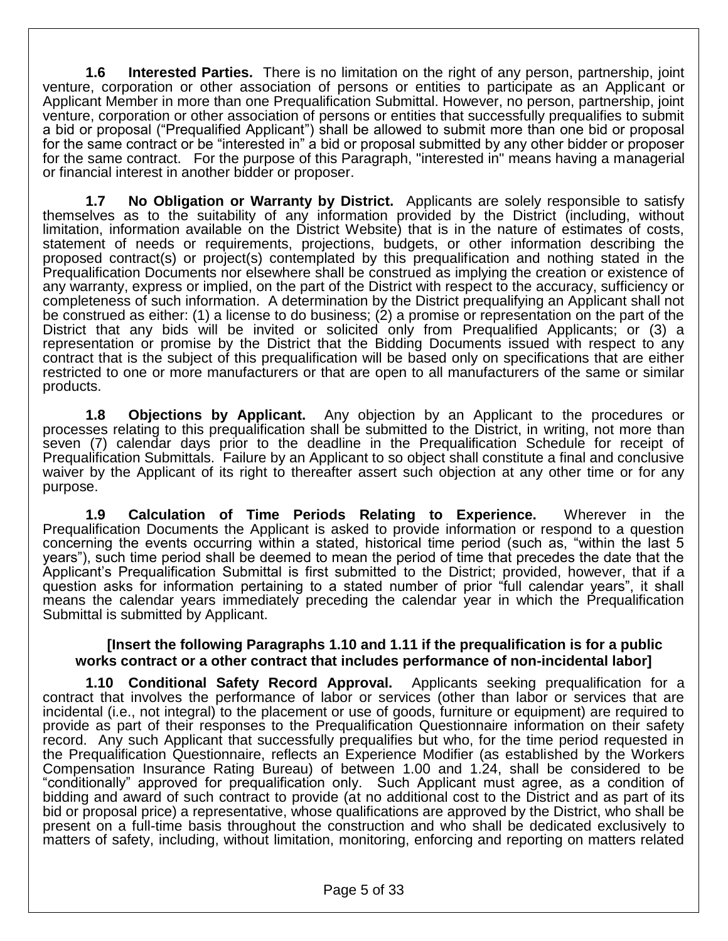**1.6 Interested Parties.** There is no limitation on the right of any person, partnership, joint venture, corporation or other association of persons or entities to participate as an Applicant or Applicant Member in more than one Prequalification Submittal. However, no person, partnership, joint venture, corporation or other association of persons or entities that successfully prequalifies to submit a bid or proposal ("Prequalified Applicant") shall be allowed to submit more than one bid or proposal for the same contract or be "interested in" a bid or proposal submitted by any other bidder or proposer for the same contract. For the purpose of this Paragraph, "interested in" means having a managerial or financial interest in another bidder or proposer.

**1.7 No Obligation or Warranty by District.** Applicants are solely responsible to satisfy themselves as to the suitability of any information provided by the District (including, without limitation, information available on the District Website) that is in the nature of estimates of costs, statement of needs or requirements, projections, budgets, or other information describing the proposed contract(s) or project(s) contemplated by this prequalification and nothing stated in the Prequalification Documents nor elsewhere shall be construed as implying the creation or existence of any warranty, express or implied, on the part of the District with respect to the accuracy, sufficiency or completeness of such information. A determination by the District prequalifying an Applicant shall not be construed as either: (1) a license to do business; (2) a promise or representation on the part of the District that any bids will be invited or solicited only from Prequalified Applicants; or (3) a representation or promise by the District that the Bidding Documents issued with respect to any contract that is the subject of this prequalification will be based only on specifications that are either restricted to one or more manufacturers or that are open to all manufacturers of the same or similar products.

**1.8 Objections by Applicant.** Any objection by an Applicant to the procedures or processes relating to this prequalification shall be submitted to the District, in writing, not more than seven (7) calendar days prior to the deadline in the Prequalification Schedule for receipt of Prequalification Submittals. Failure by an Applicant to so object shall constitute a final and conclusive waiver by the Applicant of its right to thereafter assert such objection at any other time or for any purpose.

**1.9 Calculation of Time Periods Relating to Experience.** Wherever in the Prequalification Documents the Applicant is asked to provide information or respond to a question concerning the events occurring within a stated, historical time period (such as, "within the last 5 years"), such time period shall be deemed to mean the period of time that precedes the date that the Applicant's Prequalification Submittal is first submitted to the District; provided, however, that if a question asks for information pertaining to a stated number of prior "full calendar years", it shall means the calendar years immediately preceding the calendar year in which the Prequalification Submittal is submitted by Applicant.

### **[Insert the following Paragraphs 1.10 and 1.11 if the prequalification is for a public works contract or a other contract that includes performance of non-incidental labor]**

**1.10 Conditional Safety Record Approval.** Applicants seeking prequalification for a contract that involves the performance of labor or services (other than labor or services that are incidental (i.e., not integral) to the placement or use of goods, furniture or equipment) are required to provide as part of their responses to the Prequalification Questionnaire information on their safety record. Any such Applicant that successfully prequalifies but who, for the time period requested in the Prequalification Questionnaire, reflects an Experience Modifier (as established by the Workers Compensation Insurance Rating Bureau) of between 1.00 and 1.24, shall be considered to be "conditionally" approved for prequalification only. Such Applicant must agree, as a condition of bidding and award of such contract to provide (at no additional cost to the District and as part of its bid or proposal price) a representative, whose qualifications are approved by the District, who shall be present on a full-time basis throughout the construction and who shall be dedicated exclusively to matters of safety, including, without limitation, monitoring, enforcing and reporting on matters related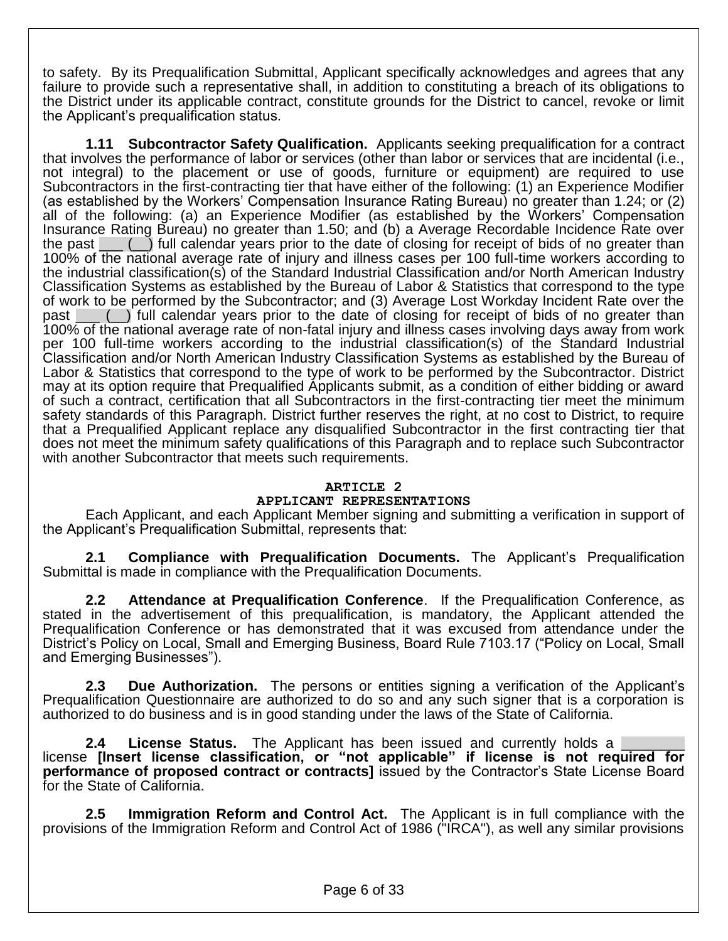to safety. By its Prequalification Submittal, Applicant specifically acknowledges and agrees that any failure to provide such a representative shall, in addition to constituting a breach of its obligations to the District under its applicable contract, constitute grounds for the District to cancel, revoke or limit the Applicant's prequalification status.

**1.11 Subcontractor Safety Qualification.** Applicants seeking prequalification for a contract that involves the performance of labor or services (other than labor or services that are incidental (i.e., not integral) to the placement or use of goods, furniture or equipment) are required to use Subcontractors in the first-contracting tier that have either of the following: (1) an Experience Modifier (as established by the Workers' Compensation Insurance Rating Bureau) no greater than 1.24; or (2) all of the following: (a) an Experience Modifier (as established by the Workers' Compensation Insurance Rating Bureau) no greater than 1.50; and (b) a Average Recordable Incidence Rate over the past  $\Box$  ( $\Box$ ) full calendar years prior to the date of closing for receipt of bids of no greater than 100% of the national average rate of injury and illness cases per 100 full-time workers according to the industrial classification(s) of the Standard Industrial Classification and/or North American Industry Classification Systems as established by the Bureau of Labor & Statistics that correspond to the type of work to be performed by the Subcontractor; and (3) Average Lost Workday Incident Rate over the past  $\Box$  ( ) full calendar years prior to the date of closing for receipt of bids of no greater than 100% of the national average rate of non-fatal injury and illness cases involving days away from work per 100 full-time workers according to the industrial classification(s) of the Standard Industrial Classification and/or North American Industry Classification Systems as established by the Bureau of Labor & Statistics that correspond to the type of work to be performed by the Subcontractor. District may at its option require that Prequalified Applicants submit, as a condition of either bidding or award of such a contract, certification that all Subcontractors in the first-contracting tier meet the minimum safety standards of this Paragraph. District further reserves the right, at no cost to District, to require that a Prequalified Applicant replace any disqualified Subcontractor in the first contracting tier that does not meet the minimum safety qualifications of this Paragraph and to replace such Subcontractor with another Subcontractor that meets such requirements.

#### ARTICLE 2

#### **APPLICANT REPRESENTATIONS**

Each Applicant, and each Applicant Member signing and submitting a verification in support of the Applicant's Prequalification Submittal, represents that:

**2.1 Compliance with Prequalification Documents.** The Applicant's Prequalification Submittal is made in compliance with the Prequalification Documents.

**2.2 Attendance at Prequalification Conference**. If the Prequalification Conference, as stated in the advertisement of this prequalification, is mandatory, the Applicant attended the Prequalification Conference or has demonstrated that it was excused from attendance under the District's Policy on Local, Small and Emerging Business, Board Rule 7103.17 ("Policy on Local, Small and Emerging Businesses").

**2.3 Due Authorization.** The persons or entities signing a verification of the Applicant's Prequalification Questionnaire are authorized to do so and any such signer that is a corporation is authorized to do business and is in good standing under the laws of the State of California.

**2.4 License Status.** The Applicant has been issued and currently holds a \_\_\_\_\_\_\_\_ license **[Insert license classification, or "not applicable" if license is not required for performance of proposed contract or contracts]** issued by the Contractor's State License Board for the State of California.

**2.5 Immigration Reform and Control Act.** The Applicant is in full compliance with the provisions of the Immigration Reform and Control Act of 1986 ("IRCA"), as well any similar provisions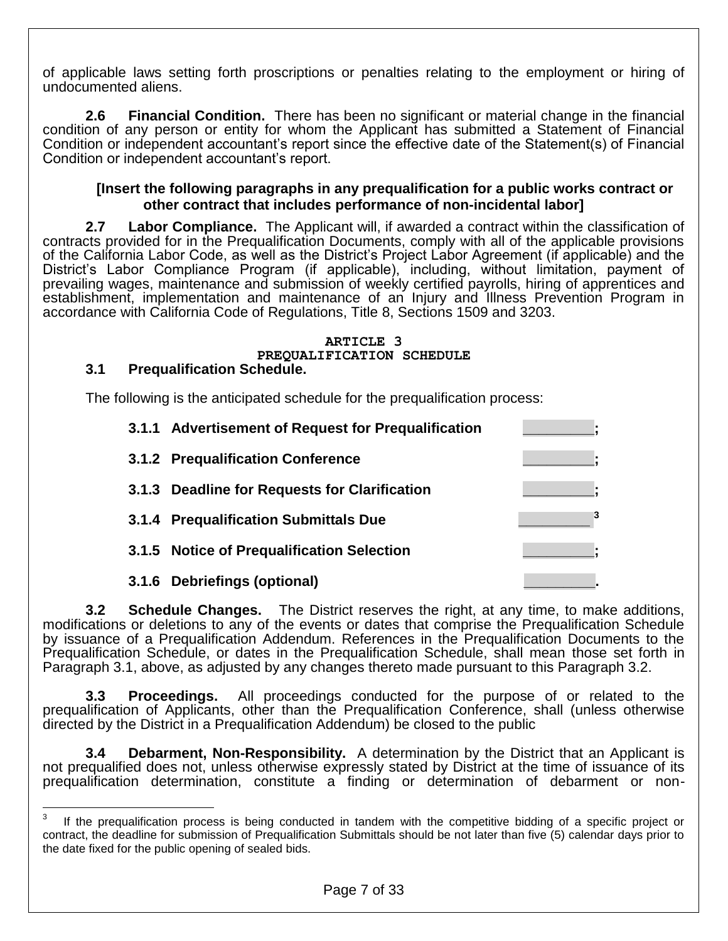of applicable laws setting forth proscriptions or penalties relating to the employment or hiring of undocumented aliens.

**2.6 Financial Condition.** There has been no significant or material change in the financial condition of any person or entity for whom the Applicant has submitted a Statement of Financial Condition or independent accountant's report since the effective date of the Statement(s) of Financial Condition or independent accountant's report.

#### **[Insert the following paragraphs in any prequalification for a public works contract or other contract that includes performance of non-incidental labor]**

**2.7 Labor Compliance.** The Applicant will, if awarded a contract within the classification of contracts provided for in the Prequalification Documents, comply with all of the applicable provisions of the California Labor Code, as well as the District's Project Labor Agreement (if applicable) and the District's Labor Compliance Program (if applicable), including, without limitation, payment of prevailing wages, maintenance and submission of weekly certified payrolls, hiring of apprentices and establishment, implementation and maintenance of an Injury and Illness Prevention Program in accordance with California Code of Regulations, Title 8, Sections 1509 and 3203.

#### **ARTICLE 3 PREQUALIFICATION SCHEDULE 3.1 Prequalification Schedule.**

The following is the anticipated schedule for the prequalification process:

|  | 3.1.1 Advertisement of Request for Prequalification |  |
|--|-----------------------------------------------------|--|
|  | 3.1.2 Prequalification Conference                   |  |
|  | 3.1.3 Deadline for Requests for Clarification       |  |
|  | 3.1.4 Prequalification Submittals Due               |  |
|  | 3.1.5 Notice of Prequalification Selection          |  |
|  | 3.1.6 Debriefings (optional)                        |  |

**3.2 Schedule Changes.** The District reserves the right, at any time, to make additions, modifications or deletions to any of the events or dates that comprise the Prequalification Schedule by issuance of a Prequalification Addendum. References in the Prequalification Documents to the Prequalification Schedule, or dates in the Prequalification Schedule, shall mean those set forth in Paragraph 3.1, above, as adjusted by any changes thereto made pursuant to this Paragraph 3.2.

**3.3 Proceedings.** All proceedings conducted for the purpose of or related to the prequalification of Applicants, other than the Prequalification Conference, shall (unless otherwise directed by the District in a Prequalification Addendum) be closed to the public

**3.4 Debarment, Non-Responsibility.** A determination by the District that an Applicant is not prequalified does not, unless otherwise expressly stated by District at the time of issuance of its prequalification determination, constitute a finding or determination of debarment or non-

<sup>-&</sup>lt;br>3 If the prequalification process is being conducted in tandem with the competitive bidding of a specific project or contract, the deadline for submission of Prequalification Submittals should be not later than five (5) calendar days prior to the date fixed for the public opening of sealed bids.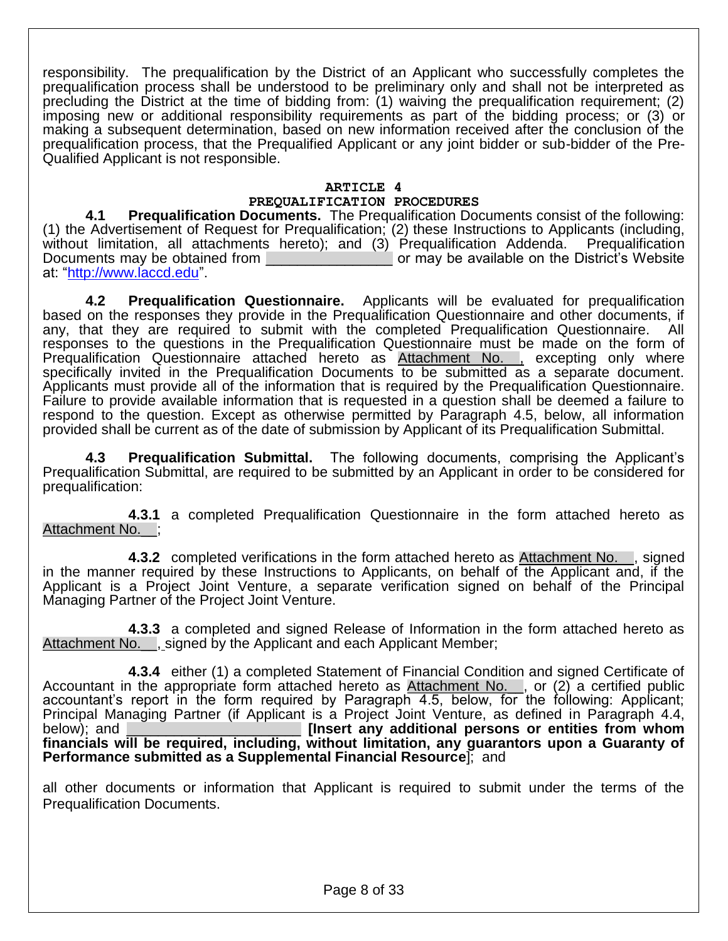responsibility. The prequalification by the District of an Applicant who successfully completes the prequalification process shall be understood to be preliminary only and shall not be interpreted as precluding the District at the time of bidding from: (1) waiving the prequalification requirement; (2) imposing new or additional responsibility requirements as part of the bidding process; or (3) or making a subsequent determination, based on new information received after the conclusion of the prequalification process, that the Prequalified Applicant or any joint bidder or sub-bidder of the Pre-Qualified Applicant is not responsible.

#### **ARTICLE 4 PREQUALIFICATION PROCEDURES**

**4.1 Prequalification Documents.** The Prequalification Documents consist of the following: (1) the Advertisement of Request for Prequalification; (2) these Instructions to Applicants (including, without limitation, all attachments hereto); and (3) Prequalification Addenda. Prequalification Documents may be obtained from **Example 20** or may be available on the District's Website at: ["http://www.laccd.edu"](http://www.laccd.edu/).

**4.2 Prequalification Questionnaire.** Applicants will be evaluated for prequalification based on the responses they provide in the Prequalification Questionnaire and other documents, if any, that they are required to submit with the completed Prequalification Questionnaire. All responses to the questions in the Prequalification Questionnaire must be made on the form of Prequalification Questionnaire attached hereto as **Attachment No.** excepting only where specifically invited in the Prequalification Documents to be submitted as a separate document. Applicants must provide all of the information that is required by the Prequalification Questionnaire. Failure to provide available information that is requested in a question shall be deemed a failure to respond to the question. Except as otherwise permitted by Paragraph 4.5, below, all information provided shall be current as of the date of submission by Applicant of its Prequalification Submittal.

**4.3 Prequalification Submittal.** The following documents, comprising the Applicant's Prequalification Submittal, are required to be submitted by an Applicant in order to be considered for prequalification:

**4.3.1** a completed Prequalification Questionnaire in the form attached hereto as Attachment No.

**4.3.2** completed verifications in the form attached hereto as Attachment No.\_\_, signed in the manner required by these Instructions to Applicants, on behalf of the Applicant and, if the Applicant is a Project Joint Venture, a separate verification signed on behalf of the Principal Managing Partner of the Project Joint Venture.

**4.3.3** a completed and signed Release of Information in the form attached hereto as Attachment No.\_\_, signed by the Applicant and each Applicant Member;

**4.3.4** either (1) a completed Statement of Financial Condition and signed Certificate of Accountant in the appropriate form attached hereto as Attachment No. , or (2) a certified public accountant's report in the form required by Paragraph 4.5, below, for the following: Applicant; Principal Managing Partner (if Applicant is a Project Joint Venture, as defined in Paragraph 4.4, below); and **the contract of the set of the set of the set of the set of the set of the set of the set of the set of the set of the set of the set of the set of the set of the set of the set of the set of the set of the se financials will be required, including, without limitation, any guarantors upon a Guaranty of Performance submitted as a Supplemental Financial Resource**]; and

all other documents or information that Applicant is required to submit under the terms of the Prequalification Documents.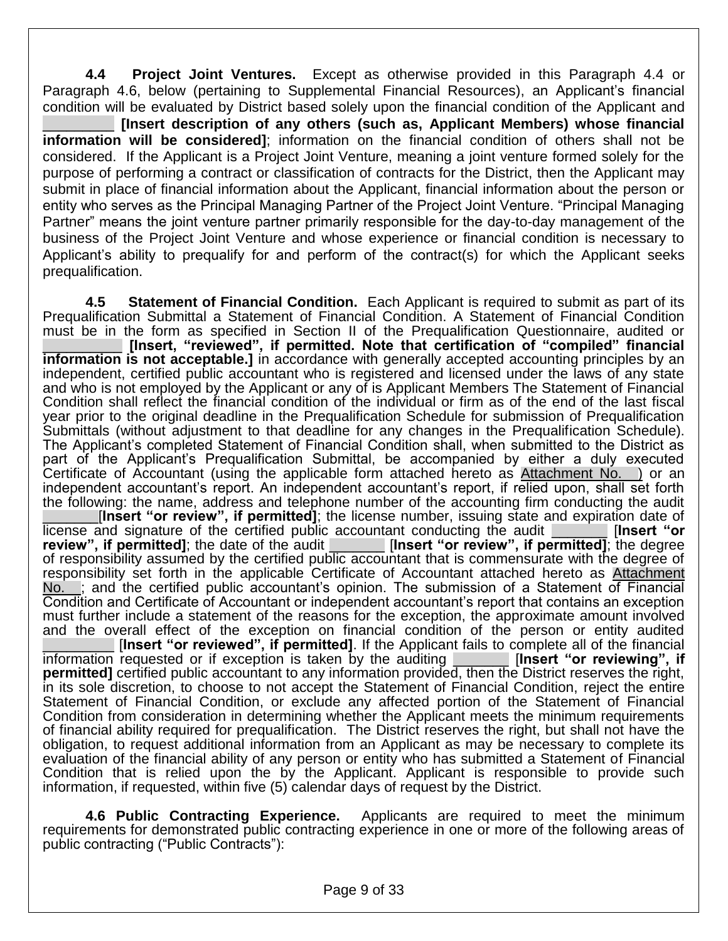**4.4 Project Joint Ventures.** Except as otherwise provided in this Paragraph 4.4 or Paragraph 4.6, below (pertaining to Supplemental Financial Resources), an Applicant's financial condition will be evaluated by District based solely upon the financial condition of the Applicant and

\_\_\_\_\_\_\_\_\_ **[Insert description of any others (such as, Applicant Members) whose financial information will be considered]**; information on the financial condition of others shall not be considered. If the Applicant is a Project Joint Venture, meaning a joint venture formed solely for the purpose of performing a contract or classification of contracts for the District, then the Applicant may submit in place of financial information about the Applicant, financial information about the person or entity who serves as the Principal Managing Partner of the Project Joint Venture. "Principal Managing Partner" means the joint venture partner primarily responsible for the day-to-day management of the business of the Project Joint Venture and whose experience or financial condition is necessary to Applicant's ability to prequalify for and perform of the contract(s) for which the Applicant seeks prequalification.

**4.5 Statement of Financial Condition.** Each Applicant is required to submit as part of its Prequalification Submittal a Statement of Financial Condition. A Statement of Financial Condition must be in the form as specified in Section II of the Prequalification Questionnaire, audited or \_\_\_\_\_\_\_\_\_\_ **[Insert, "reviewed", if permitted. Note that certification of "compiled" financial information is not acceptable.**] in accordance with generally accepted accounting principles by an independent, certified public accountant who is registered and licensed under the laws of any state and who is not employed by the Applicant or any of is Applicant Members The Statement of Financial Condition shall reflect the financial condition of the individual or firm as of the end of the last fiscal year prior to the original deadline in the Prequalification Schedule for submission of Prequalification Submittals (without adjustment to that deadline for any changes in the Prequalification Schedule). The Applicant's completed Statement of Financial Condition shall, when submitted to the District as part of the Applicant's Prequalification Submittal, be accompanied by either a duly executed Certificate of Accountant (using the applicable form attached hereto as Attachment No. ) or an independent accountant's report. An independent accountant's report, if relied upon, shall set forth the following: the name, address and telephone number of the accounting firm conducting the audit \_\_\_\_\_\_\_[**Insert "or review", if permitted]**; the license number, issuing state and expiration date of license and signature of the certified public accountant conducting the audit **Insert "or review", if permitted]**; the date of the audit \_\_\_\_\_\_\_ [**Insert "or review", if permitted]**; the degree of responsibility assumed by the certified public accountant that is commensurate with the degree of responsibility set forth in the applicable Certificate of Accountant attached hereto as **Attachment** No.  $\Box$ ; and the certified public accountant's opinion. The submission of a Statement of Financial Condition and Certificate of Accountant or independent accountant's report that contains an exception must further include a statement of the reasons for the exception, the approximate amount involved and the overall effect of the exception on financial condition of the person or entity audited \_\_\_\_\_\_\_\_\_ [**Insert "or reviewed", if permitted]**. If the Applicant fails to complete all of the financial information requested or if exception is taken by the auditing \_\_\_\_\_\_\_ [**Insert "or reviewing", if permitted]** certified public accountant to any information provided, then the District reserves the right, in its sole discretion, to choose to not accept the Statement of Financial Condition, reject the entire Statement of Financial Condition, or exclude any affected portion of the Statement of Financial Condition from consideration in determining whether the Applicant meets the minimum requirements of financial ability required for prequalification. The District reserves the right, but shall not have the obligation, to request additional information from an Applicant as may be necessary to complete its evaluation of the financial ability of any person or entity who has submitted a Statement of Financial Condition that is relied upon the by the Applicant. Applicant is responsible to provide such information, if requested, within five (5) calendar days of request by the District.

**4.6 Public Contracting Experience.** Applicants are required to meet the minimum requirements for demonstrated public contracting experience in one or more of the following areas of public contracting ("Public Contracts"):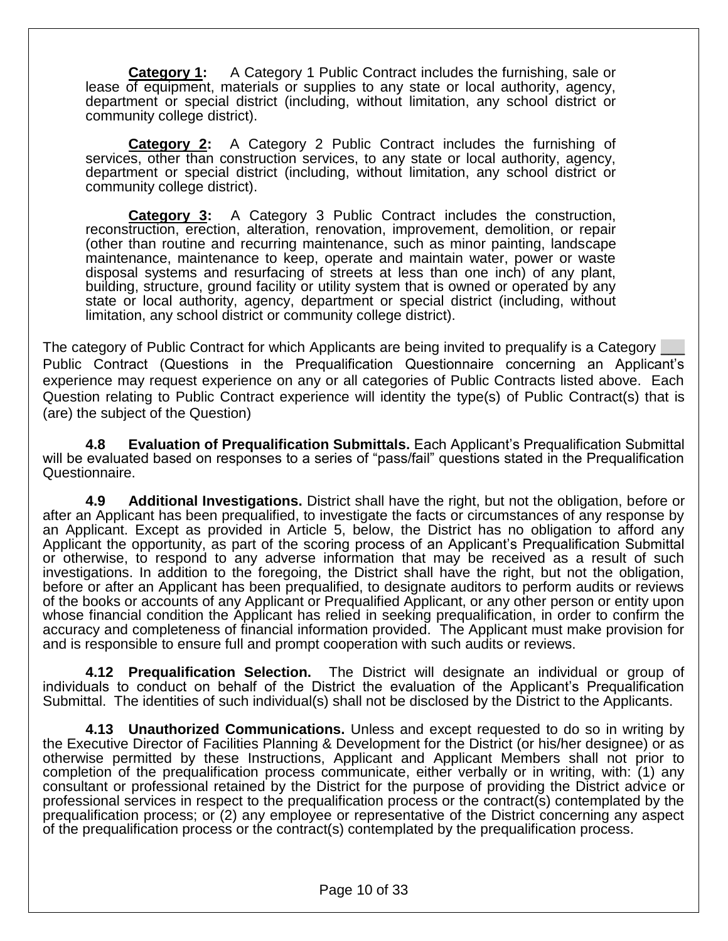**Category 1:** A Category 1 Public Contract includes the furnishing, sale or lease of equipment, materials or supplies to any state or local authority, agency, department or special district (including, without limitation, any school district or community college district).

**Category 2:** A Category 2 Public Contract includes the furnishing of services, other than construction services, to any state or local authority, agency, department or special district (including, without limitation, any school district or community college district).

**Category 3:** A Category 3 Public Contract includes the construction, reconstruction, erection, alteration, renovation, improvement, demolition, or repair (other than routine and recurring maintenance, such as minor painting, landscape maintenance, maintenance to keep, operate and maintain water, power or waste disposal systems and resurfacing of streets at less than one inch) of any plant, building, structure, ground facility or utility system that is owned or operated by any state or local authority, agency, department or special district (including, without limitation, any school district or community college district).

The category of Public Contract for which Applicants are being invited to prequalify is a Category Public Contract (Questions in the Prequalification Questionnaire concerning an Applicant's experience may request experience on any or all categories of Public Contracts listed above. Each Question relating to Public Contract experience will identity the type(s) of Public Contract(s) that is (are) the subject of the Question)

**4.8 Evaluation of Prequalification Submittals.** Each Applicant's Prequalification Submittal will be evaluated based on responses to a series of "pass/fail" questions stated in the Prequalification Questionnaire.

**4.9 Additional Investigations.** District shall have the right, but not the obligation, before or after an Applicant has been prequalified, to investigate the facts or circumstances of any response by an Applicant. Except as provided in Article 5, below, the District has no obligation to afford any Applicant the opportunity, as part of the scoring process of an Applicant's Prequalification Submittal or otherwise, to respond to any adverse information that may be received as a result of such investigations. In addition to the foregoing, the District shall have the right, but not the obligation, before or after an Applicant has been prequalified, to designate auditors to perform audits or reviews of the books or accounts of any Applicant or Prequalified Applicant, or any other person or entity upon whose financial condition the Applicant has relied in seeking prequalification, in order to confirm the accuracy and completeness of financial information provided. The Applicant must make provision for and is responsible to ensure full and prompt cooperation with such audits or reviews.

**4.12 Prequalification Selection.** The District will designate an individual or group of individuals to conduct on behalf of the District the evaluation of the Applicant's Prequalification Submittal. The identities of such individual(s) shall not be disclosed by the District to the Applicants.

**4.13 Unauthorized Communications.** Unless and except requested to do so in writing by the Executive Director of Facilities Planning & Development for the District (or his/her designee) or as otherwise permitted by these Instructions, Applicant and Applicant Members shall not prior to completion of the prequalification process communicate, either verbally or in writing, with: (1) any consultant or professional retained by the District for the purpose of providing the District advice or professional services in respect to the prequalification process or the contract(s) contemplated by the prequalification process; or (2) any employee or representative of the District concerning any aspect of the prequalification process or the contract(s) contemplated by the prequalification process.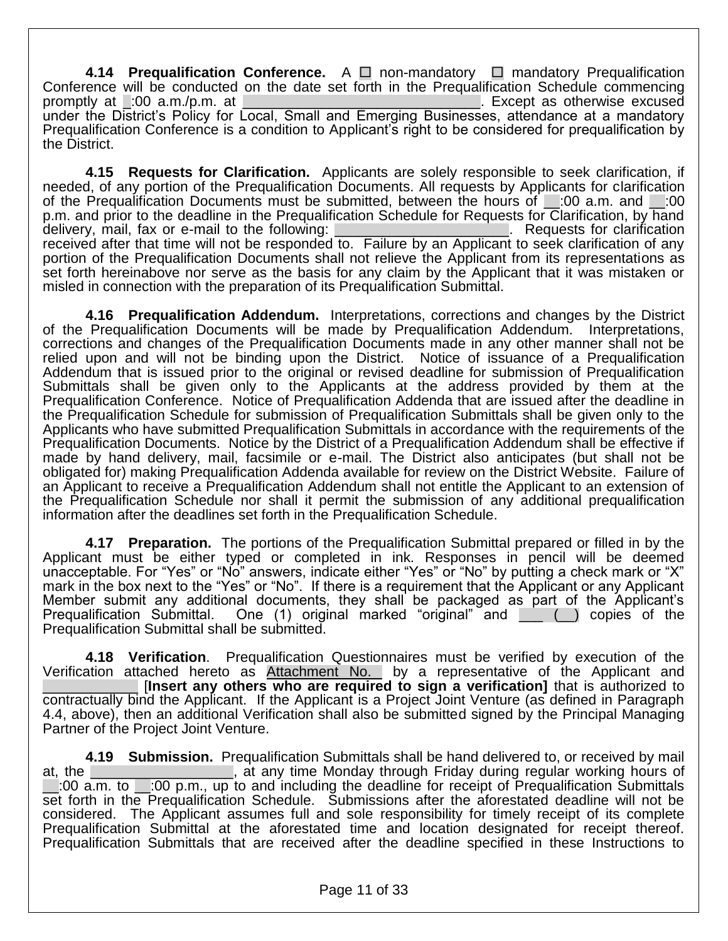**4.14 Prequalification Conference.** A □ non-mandatory □ mandatory Prequalification Conference will be conducted on the date set forth in the Prequalification Schedule commencing promptly at \_:00 a.m./p.m. at \_\_\_\_\_\_\_\_\_\_\_\_\_\_\_\_\_\_\_\_\_\_\_\_\_\_\_\_\_\_. Except as otherwise excused under the District's Policy for Local, Small and Emerging Businesses, attendance at a mandatory Prequalification Conference is a condition to Applicant's right to be considered for prequalification by the District.

**4.15 Requests for Clarification.** Applicants are solely responsible to seek clarification, if needed, of any portion of the Prequalification Documents. All requests by Applicants for clarification of the Prequalification Documents must be submitted, between the hours of \_\_:00 a.m. and \_\_:00 p.m. and prior to the deadline in the Prequalification Schedule for Requests for Clarification, by hand delivery, mail, fax or e-mail to the following: example and the sequests for clarification received after that time will not be responded to. Failure by an Applicant to seek clarification of any portion of the Prequalification Documents shall not relieve the Applicant from its representations as set forth hereinabove nor serve as the basis for any claim by the Applicant that it was mistaken or misled in connection with the preparation of its Prequalification Submittal.

**4.16 Prequalification Addendum.** Interpretations, corrections and changes by the District of the Prequalification Documents will be made by Prequalification Addendum. Interpretations, corrections and changes of the Prequalification Documents made in any other manner shall not be relied upon and will not be binding upon the District. Notice of issuance of a Prequalification Addendum that is issued prior to the original or revised deadline for submission of Prequalification Submittals shall be given only to the Applicants at the address provided by them at the Prequalification Conference. Notice of Prequalification Addenda that are issued after the deadline in the Prequalification Schedule for submission of Prequalification Submittals shall be given only to the Applicants who have submitted Prequalification Submittals in accordance with the requirements of the Prequalification Documents. Notice by the District of a Prequalification Addendum shall be effective if made by hand delivery, mail, facsimile or e-mail. The District also anticipates (but shall not be obligated for) making Prequalification Addenda available for review on the District Website. Failure of an Applicant to receive a Prequalification Addendum shall not entitle the Applicant to an extension of the Prequalification Schedule nor shall it permit the submission of any additional prequalification information after the deadlines set forth in the Prequalification Schedule.

**4.17 Preparation.** The portions of the Prequalification Submittal prepared or filled in by the Applicant must be either typed or completed in ink. Responses in pencil will be deemed unacceptable. For "Yes" or "No" answers, indicate either "Yes" or "No" by putting a check mark or "X" mark in the box next to the "Yes" or "No". If there is a requirement that the Applicant or any Applicant Member submit any additional documents, they shall be packaged as part of the Applicant's Prequalification Submittal. One (1) original marked "original" and  $\Box$  ( $\Box$ ) copies of the Prequalification Submittal shall be submitted.

**4.18 Verification**. Prequalification Questionnaires must be verified by execution of the Verification attached hereto as Attachment No. by a representative of the Applicant and \_\_\_\_\_\_\_\_\_\_\_\_ [**Insert any others who are required to sign a verification]** that is authorized to contractually bind the Applicant. If the Applicant is a Project Joint Venture (as defined in Paragraph 4.4, above), then an additional Verification shall also be submitted signed by the Principal Managing Partner of the Project Joint Venture.

**4.19 Submission.** Prequalification Submittals shall be hand delivered to, or received by mail at any time Monday through Friday during regular working hours of  $\Box$ :00 a.m. to  $\Box$ :00 p.m., up to and including the deadline for receipt of Prequalification Submittals set forth in the Prequalification Schedule. Submissions after the aforestated deadline will not be considered. The Applicant assumes full and sole responsibility for timely receipt of its complete Prequalification Submittal at the aforestated time and location designated for receipt thereof. Prequalification Submittals that are received after the deadline specified in these Instructions to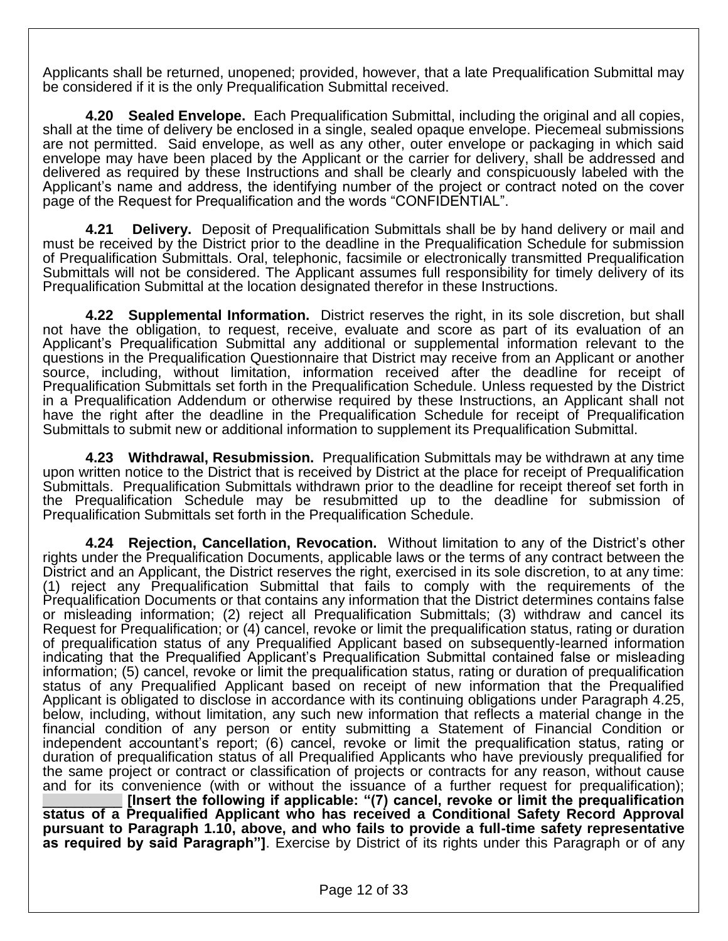Applicants shall be returned, unopened; provided, however, that a late Prequalification Submittal may be considered if it is the only Prequalification Submittal received.

**4.20 Sealed Envelope.** Each Prequalification Submittal, including the original and all copies, shall at the time of delivery be enclosed in a single, sealed opaque envelope. Piecemeal submissions are not permitted. Said envelope, as well as any other, outer envelope or packaging in which said envelope may have been placed by the Applicant or the carrier for delivery, shall be addressed and delivered as required by these Instructions and shall be clearly and conspicuously labeled with the Applicant's name and address, the identifying number of the project or contract noted on the cover page of the Request for Prequalification and the words "CONFIDENTIAL".

**4.21 Delivery.** Deposit of Prequalification Submittals shall be by hand delivery or mail and must be received by the District prior to the deadline in the Prequalification Schedule for submission of Prequalification Submittals. Oral, telephonic, facsimile or electronically transmitted Prequalification Submittals will not be considered. The Applicant assumes full responsibility for timely delivery of its Prequalification Submittal at the location designated therefor in these Instructions.

**4.22 Supplemental Information.** District reserves the right, in its sole discretion, but shall not have the obligation, to request, receive, evaluate and score as part of its evaluation of an Applicant's Prequalification Submittal any additional or supplemental information relevant to the questions in the Prequalification Questionnaire that District may receive from an Applicant or another source, including, without limitation, information received after the deadline for receipt of Prequalification Submittals set forth in the Prequalification Schedule. Unless requested by the District in a Prequalification Addendum or otherwise required by these Instructions, an Applicant shall not have the right after the deadline in the Prequalification Schedule for receipt of Prequalification Submittals to submit new or additional information to supplement its Prequalification Submittal.

**4.23 Withdrawal, Resubmission.** Prequalification Submittals may be withdrawn at any time upon written notice to the District that is received by District at the place for receipt of Prequalification Submittals. Prequalification Submittals withdrawn prior to the deadline for receipt thereof set forth in the Prequalification Schedule may be resubmitted up to the deadline for submission of Prequalification Submittals set forth in the Prequalification Schedule.

**4.24 Rejection, Cancellation, Revocation.** Without limitation to any of the District's other rights under the Prequalification Documents, applicable laws or the terms of any contract between the District and an Applicant, the District reserves the right, exercised in its sole discretion, to at any time: (1) reject any Prequalification Submittal that fails to comply with the requirements of the Prequalification Documents or that contains any information that the District determines contains false or misleading information; (2) reject all Prequalification Submittals; (3) withdraw and cancel its Request for Prequalification; or (4) cancel, revoke or limit the prequalification status, rating or duration of prequalification status of any Prequalified Applicant based on subsequently-learned information indicating that the Prequalified Applicant's Prequalification Submittal contained false or misleading information; (5) cancel, revoke or limit the prequalification status, rating or duration of prequalification status of any Prequalified Applicant based on receipt of new information that the Prequalified Applicant is obligated to disclose in accordance with its continuing obligations under Paragraph 4.25, below, including, without limitation, any such new information that reflects a material change in the financial condition of any person or entity submitting a Statement of Financial Condition or independent accountant's report; (6) cancel, revoke or limit the prequalification status, rating or duration of prequalification status of all Prequalified Applicants who have previously prequalified for the same project or contract or classification of projects or contracts for any reason, without cause and for its convenience (with or without the issuance of a further request for prequalification);

\_\_\_\_\_\_\_\_\_\_ **[Insert the following if applicable: "(7) cancel, revoke or limit the prequalification status of a Prequalified Applicant who has received a Conditional Safety Record Approval pursuant to Paragraph 1.10, above, and who fails to provide a full-time safety representative as required by said Paragraph"]**. Exercise by District of its rights under this Paragraph or of any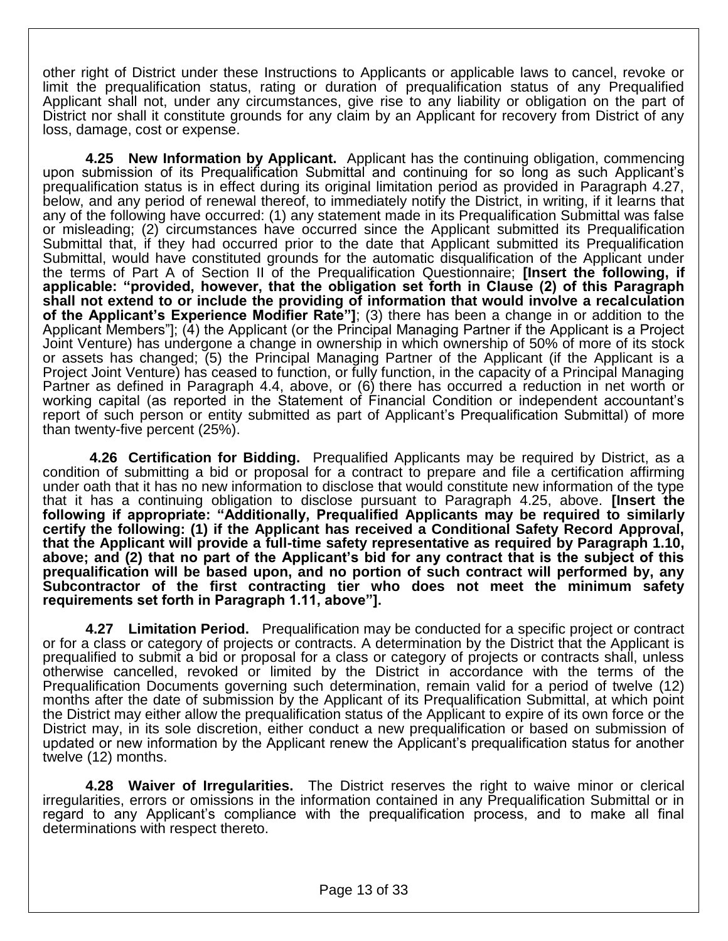other right of District under these Instructions to Applicants or applicable laws to cancel, revoke or limit the prequalification status, rating or duration of prequalification status of any Prequalified Applicant shall not, under any circumstances, give rise to any liability or obligation on the part of District nor shall it constitute grounds for any claim by an Applicant for recovery from District of any loss, damage, cost or expense.

**4.25 New Information by Applicant.** Applicant has the continuing obligation, commencing upon submission of its Prequalification Submittal and continuing for so long as such Applicant's prequalification status is in effect during its original limitation period as provided in Paragraph 4.27, below, and any period of renewal thereof, to immediately notify the District, in writing, if it learns that any of the following have occurred: (1) any statement made in its Prequalification Submittal was false or misleading; (2) circumstances have occurred since the Applicant submitted its Prequalification Submittal that, if they had occurred prior to the date that Applicant submitted its Prequalification Submittal, would have constituted grounds for the automatic disqualification of the Applicant under the terms of Part A of Section II of the Prequalification Questionnaire; **[Insert the following, if applicable: "provided, however, that the obligation set forth in Clause (2) of this Paragraph shall not extend to or include the providing of information that would involve a recalculation of the Applicant's Experience Modifier Rate"]**; (3) there has been a change in or addition to the Applicant Members"]; (4) the Applicant (or the Principal Managing Partner if the Applicant is a Project Joint Venture) has undergone a change in ownership in which ownership of 50% of more of its stock or assets has changed; (5) the Principal Managing Partner of the Applicant (if the Applicant is a Project Joint Venture) has ceased to function, or fully function, in the capacity of a Principal Managing Partner as defined in Paragraph 4.4, above, or (6) there has occurred a reduction in net worth or working capital (as reported in the Statement of Financial Condition or independent accountant's report of such person or entity submitted as part of Applicant's Prequalification Submittal) of more than twenty-five percent (25%).

**4.26 Certification for Bidding.** Prequalified Applicants may be required by District, as a condition of submitting a bid or proposal for a contract to prepare and file a certification affirming under oath that it has no new information to disclose that would constitute new information of the type that it has a continuing obligation to disclose pursuant to Paragraph 4.25, above. **[Insert the following if appropriate: "Additionally, Prequalified Applicants may be required to similarly certify the following: (1) if the Applicant has received a Conditional Safety Record Approval, that the Applicant will provide a full-time safety representative as required by Paragraph 1.10, above; and (2) that no part of the Applicant's bid for any contract that is the subject of this prequalification will be based upon, and no portion of such contract will performed by, any Subcontractor of the first contracting tier who does not meet the minimum safety requirements set forth in Paragraph 1.11, above"].**

**4.27 Limitation Period.** Prequalification may be conducted for a specific project or contract or for a class or category of projects or contracts. A determination by the District that the Applicant is prequalified to submit a bid or proposal for a class or category of projects or contracts shall, unless otherwise cancelled, revoked or limited by the District in accordance with the terms of the Prequalification Documents governing such determination, remain valid for a period of twelve (12) months after the date of submission by the Applicant of its Prequalification Submittal, at which point the District may either allow the prequalification status of the Applicant to expire of its own force or the District may, in its sole discretion, either conduct a new prequalification or based on submission of updated or new information by the Applicant renew the Applicant's prequalification status for another twelve (12) months.

**4.28 Waiver of Irregularities.** The District reserves the right to waive minor or clerical irregularities, errors or omissions in the information contained in any Prequalification Submittal or in regard to any Applicant's compliance with the prequalification process, and to make all final determinations with respect thereto.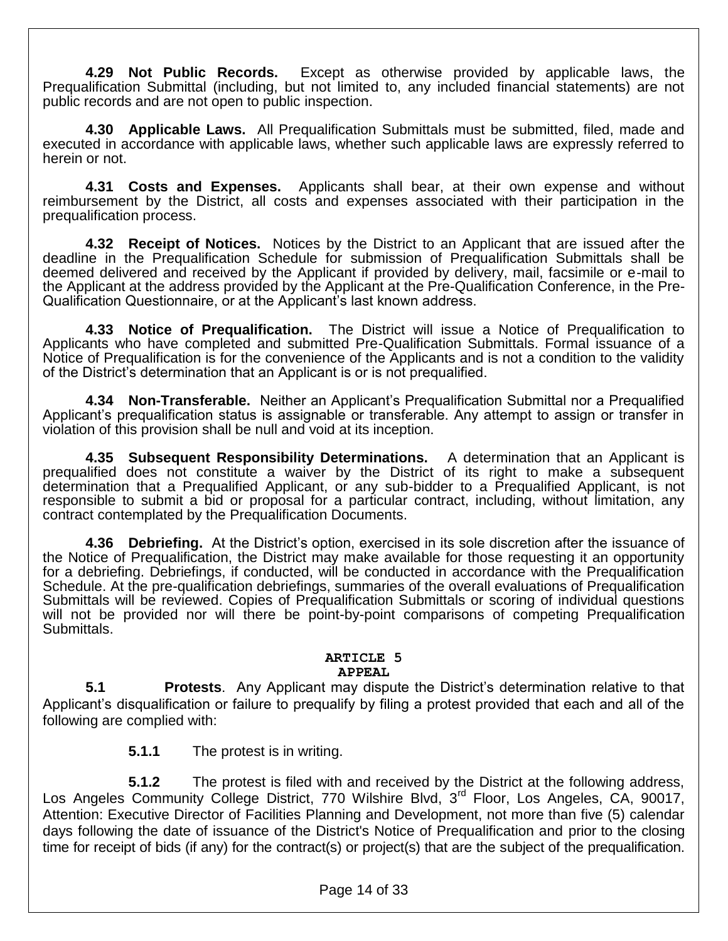**4.29 Not Public Records.** Except as otherwise provided by applicable laws, the Prequalification Submittal (including, but not limited to, any included financial statements) are not public records and are not open to public inspection.

**4.30 Applicable Laws.** All Prequalification Submittals must be submitted, filed, made and executed in accordance with applicable laws, whether such applicable laws are expressly referred to herein or not.

**4.31 Costs and Expenses.** Applicants shall bear, at their own expense and without reimbursement by the District, all costs and expenses associated with their participation in the prequalification process.

**4.32 Receipt of Notices.** Notices by the District to an Applicant that are issued after the deadline in the Prequalification Schedule for submission of Prequalification Submittals shall be deemed delivered and received by the Applicant if provided by delivery, mail, facsimile or e-mail to the Applicant at the address provided by the Applicant at the Pre-Qualification Conference, in the Pre-Qualification Questionnaire, or at the Applicant's last known address.

**4.33 Notice of Prequalification.** The District will issue a Notice of Prequalification to Applicants who have completed and submitted Pre-Qualification Submittals. Formal issuance of a Notice of Prequalification is for the convenience of the Applicants and is not a condition to the validity of the District's determination that an Applicant is or is not prequalified.

**4.34 Non-Transferable.** Neither an Applicant's Prequalification Submittal nor a Prequalified Applicant's prequalification status is assignable or transferable. Any attempt to assign or transfer in violation of this provision shall be null and void at its inception.

**4.35 Subsequent Responsibility Determinations.** A determination that an Applicant is prequalified does not constitute a waiver by the District of its right to make a subsequent determination that a Prequalified Applicant, or any sub-bidder to a Prequalified Applicant, is not responsible to submit a bid or proposal for a particular contract, including, without limitation, any contract contemplated by the Prequalification Documents.

**4.36 Debriefing.** At the District's option, exercised in its sole discretion after the issuance of the Notice of Prequalification, the District may make available for those requesting it an opportunity for a debriefing. Debriefings, if conducted, will be conducted in accordance with the Prequalification Schedule. At the pre-qualification debriefings, summaries of the overall evaluations of Prequalification Submittals will be reviewed. Copies of Prequalification Submittals or scoring of individual questions will not be provided nor will there be point-by-point comparisons of competing Prequalification Submittals.

#### **ARTICLE 5 APPEAL**

**5.1 Protests**. Any Applicant may dispute the District's determination relative to that Applicant's disqualification or failure to prequalify by filing a protest provided that each and all of the following are complied with:

**5.1.1** The protest is in writing.

**5.1.2** The protest is filed with and received by the District at the following address, Los Angeles Community College District, 770 Wilshire Blvd, 3rd Floor, Los Angeles, CA, 90017, Attention: Executive Director of Facilities Planning and Development, not more than five (5) calendar days following the date of issuance of the District's Notice of Prequalification and prior to the closing time for receipt of bids (if any) for the contract(s) or project(s) that are the subject of the prequalification.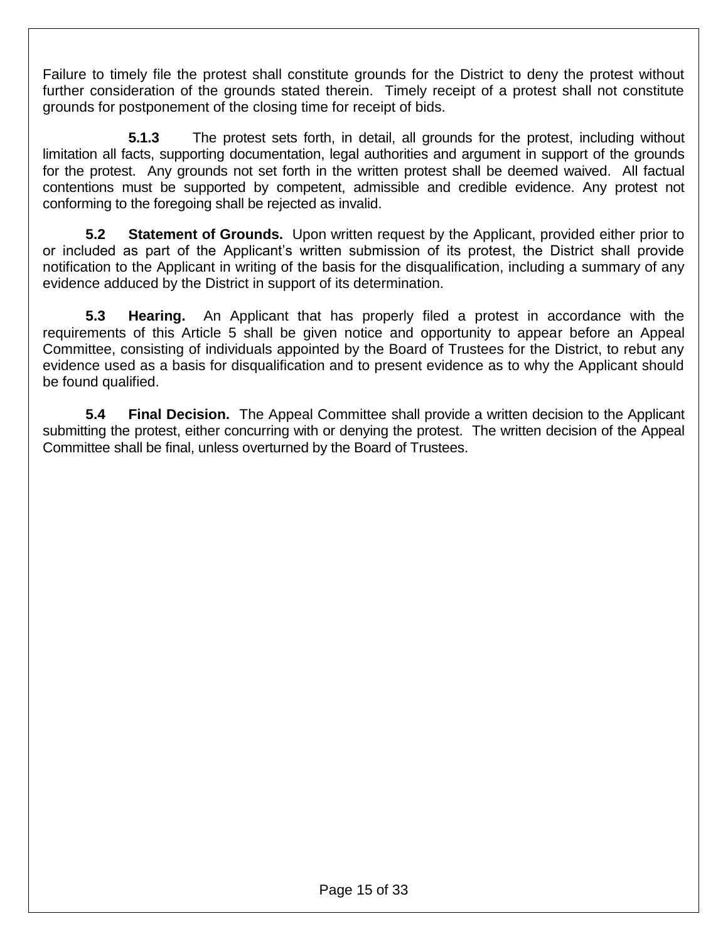Failure to timely file the protest shall constitute grounds for the District to deny the protest without further consideration of the grounds stated therein. Timely receipt of a protest shall not constitute grounds for postponement of the closing time for receipt of bids.

**5.1.3** The protest sets forth, in detail, all grounds for the protest, including without limitation all facts, supporting documentation, legal authorities and argument in support of the grounds for the protest. Any grounds not set forth in the written protest shall be deemed waived. All factual contentions must be supported by competent, admissible and credible evidence. Any protest not conforming to the foregoing shall be rejected as invalid.

**5.2 Statement of Grounds.** Upon written request by the Applicant, provided either prior to or included as part of the Applicant's written submission of its protest, the District shall provide notification to the Applicant in writing of the basis for the disqualification, including a summary of any evidence adduced by the District in support of its determination.

**5.3 Hearing.** An Applicant that has properly filed a protest in accordance with the requirements of this Article 5 shall be given notice and opportunity to appear before an Appeal Committee, consisting of individuals appointed by the Board of Trustees for the District, to rebut any evidence used as a basis for disqualification and to present evidence as to why the Applicant should be found qualified.

**5.4 Final Decision.** The Appeal Committee shall provide a written decision to the Applicant submitting the protest, either concurring with or denying the protest. The written decision of the Appeal Committee shall be final, unless overturned by the Board of Trustees.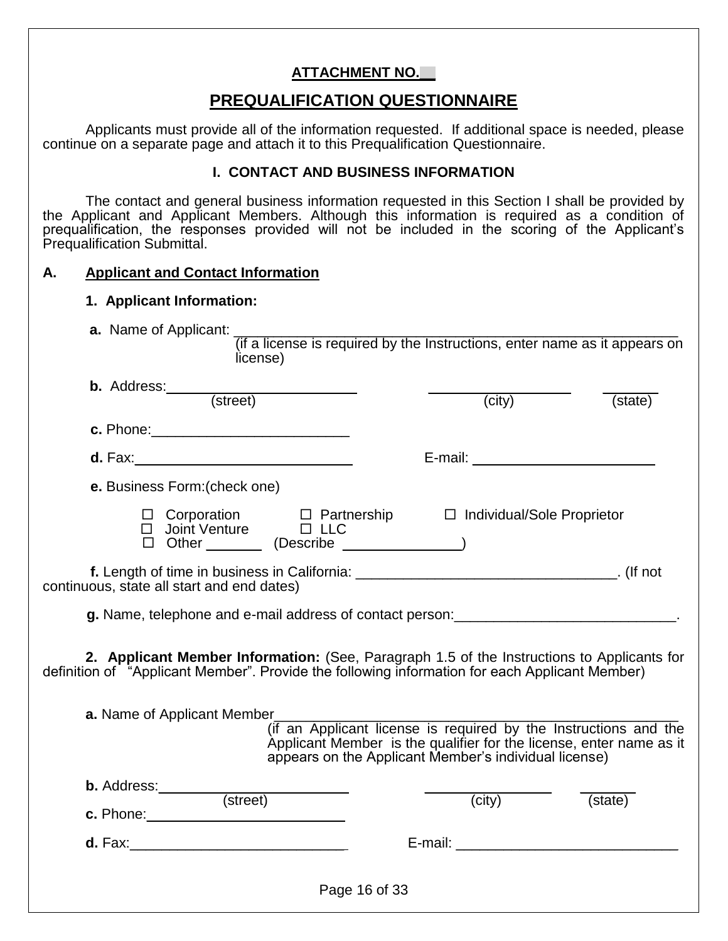## **ATTACHMENT NO.\_\_**

## **PREQUALIFICATION QUESTIONNAIRE**

Applicants must provide all of the information requested. If additional space is needed, please continue on a separate page and attach it to this Prequalification Questionnaire.

### **I. CONTACT AND BUSINESS INFORMATION**

The contact and general business information requested in this Section I shall be provided by the Applicant and Applicant Members. Although this information is required as a condition of prequalification, the responses provided will not be included in the scoring of the Applicant's Prequalification Submittal.

#### **A. Applicant and Contact Information**

#### **1. Applicant Information:**

**a.** Name of Applicant:

(if a license is required by the Instructions, enter name as it appears on license)

| <b>b.</b> Address: (street)                                                                                                                                                                                                                                                                     |                                                                                                                             | (city) | (state) |
|-------------------------------------------------------------------------------------------------------------------------------------------------------------------------------------------------------------------------------------------------------------------------------------------------|-----------------------------------------------------------------------------------------------------------------------------|--------|---------|
|                                                                                                                                                                                                                                                                                                 |                                                                                                                             |        |         |
|                                                                                                                                                                                                                                                                                                 |                                                                                                                             |        |         |
| e. Business Form: (check one)                                                                                                                                                                                                                                                                   |                                                                                                                             |        |         |
|                                                                                                                                                                                                                                                                                                 | □ Corporation □ Partnership □ Individual/Sole Proprietor<br>□ Joint Venture □ LLC<br>$\Box$ Other $\Box$ (Describe $\Box$ ) |        |         |
|                                                                                                                                                                                                                                                                                                 | f. Length of time in business in California: __________________________________. (If not                                    |        |         |
| continuous, state all start and end dates)                                                                                                                                                                                                                                                      |                                                                                                                             |        |         |
| g. Name, telephone and e-mail address of contact person: _____________________________.                                                                                                                                                                                                         |                                                                                                                             |        |         |
| 2. Applicant Member Information: (See, Paragraph 1.5 of the Instructions to Applicants for<br>definition of "Applicant Member". Provide the following information for each Applicant Member)<br>a. Name of Applicant Member<br>(if an Applicant license is required by the Instructions and the | Applicant Member is the qualifier for the license, enter name as it                                                         |        |         |
|                                                                                                                                                                                                                                                                                                 | appears on the Applicant Member's individual license)                                                                       |        |         |
| <b>b.</b> Address: $\_\_$                                                                                                                                                                                                                                                                       |                                                                                                                             |        |         |
| <b>c.</b> Phone: <u>_____________________________</u>                                                                                                                                                                                                                                           | (street)                                                                                                                    | (city) | (state) |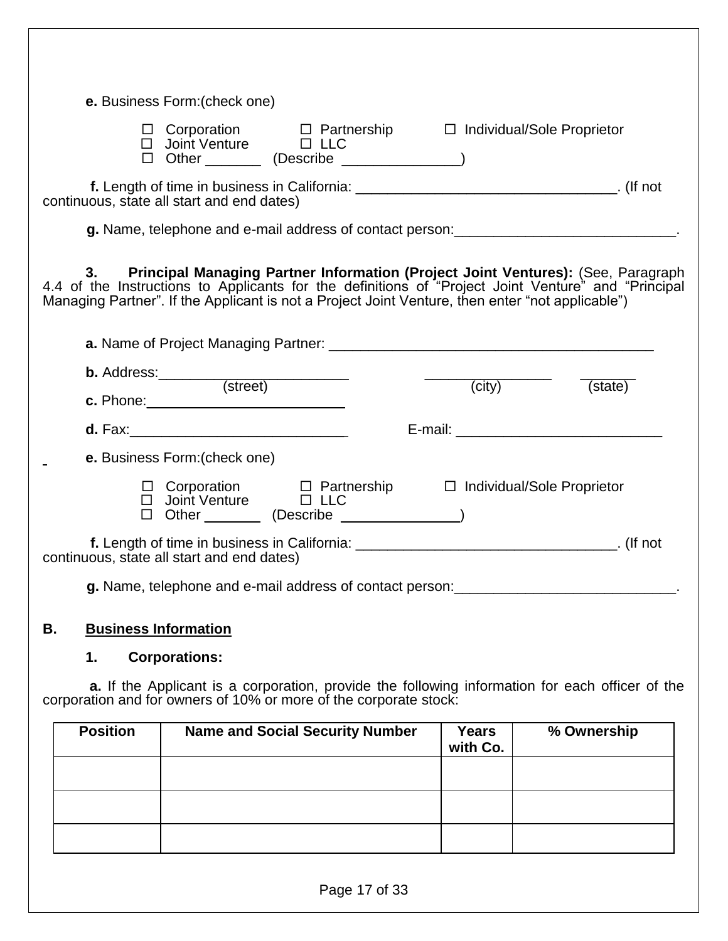|    |                             | e. Business Form: (check one)                                                                                                                                                                                                             | □ Corporation □ Partnership □ Individual/Sole Proprietor<br>□ Joint Venture □ LLC<br>□ Other (Describe ______________)                                                                                                                                                                      |              |             |
|----|-----------------------------|-------------------------------------------------------------------------------------------------------------------------------------------------------------------------------------------------------------------------------------------|---------------------------------------------------------------------------------------------------------------------------------------------------------------------------------------------------------------------------------------------------------------------------------------------|--------------|-------------|
|    |                             | continuous, state all start and end dates)                                                                                                                                                                                                | f. Length of time in business in California: __________________________________. (If not                                                                                                                                                                                                    |              |             |
|    |                             |                                                                                                                                                                                                                                           | g. Name, telephone and e-mail address of contact person: ______________________________.                                                                                                                                                                                                    |              |             |
|    |                             |                                                                                                                                                                                                                                           | 3. Principal Managing Partner Information (Project Joint Ventures): (See, Paragraph<br>4.4 of the Instructions to Applicants for the definitions of "Project Joint Venture" and "Principal Managing Partner". If the Applicant is not a Project Joint Venture, then enter "not applicable") |              |             |
|    |                             |                                                                                                                                                                                                                                           |                                                                                                                                                                                                                                                                                             |              |             |
|    |                             | <b>b.</b> Address: $\qquad \qquad \qquad \qquad$ (street)                                                                                                                                                                                 |                                                                                                                                                                                                                                                                                             | (city)       | (state)     |
|    |                             |                                                                                                                                                                                                                                           |                                                                                                                                                                                                                                                                                             |              |             |
|    |                             | <b>d.</b> Fax: <u>Alexander State of Base of Base of Base of Base of Base of Base of Base of Base of Base of Base of Base of Base of Base of Base of Base of Base of Base of Base of Base of Base of Base of Base of Base of Base of </u> |                                                                                                                                                                                                                                                                                             |              |             |
|    |                             | e. Business Form: (check one)                                                                                                                                                                                                             |                                                                                                                                                                                                                                                                                             |              |             |
|    |                             |                                                                                                                                                                                                                                           | □ Corporation □ Partnership □ Individual/Sole Proprietor<br>□ Joint Venture □ LLC<br>□ Other (Describe (Describe )                                                                                                                                                                          |              |             |
|    |                             | continuous, state all start and end dates)                                                                                                                                                                                                | f. Length of time in business in California: __________________________________. (If not                                                                                                                                                                                                    |              |             |
|    |                             |                                                                                                                                                                                                                                           | g. Name, telephone and e-mail address of contact person:                                                                                                                                                                                                                                    |              |             |
| В. | <b>Business Information</b> |                                                                                                                                                                                                                                           |                                                                                                                                                                                                                                                                                             |              |             |
|    | 1.                          | <b>Corporations:</b>                                                                                                                                                                                                                      |                                                                                                                                                                                                                                                                                             |              |             |
|    |                             |                                                                                                                                                                                                                                           | <b>a.</b> If the Applicant is a corporation, provide the following information for each officer of the<br>corporation and for owners of 10% or more of the corporate stock:                                                                                                                 |              |             |
|    | <b>Position</b>             |                                                                                                                                                                                                                                           | <b>Name and Social Security Number</b>                                                                                                                                                                                                                                                      | <b>Years</b> | % Ownership |

| <b>Position</b> | <b>Name and Social Security Number</b> | Years<br>with Co. | % Ownership |
|-----------------|----------------------------------------|-------------------|-------------|
|                 |                                        |                   |             |
|                 |                                        |                   |             |
|                 |                                        |                   |             |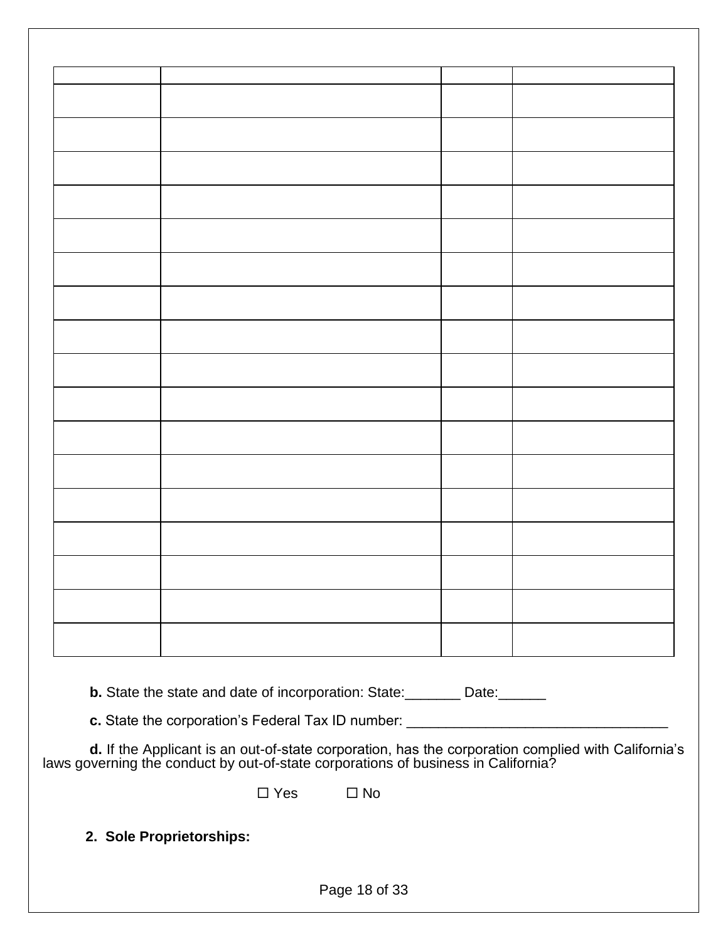**b.** State the state and date of incorporation: State: Date: Date:

**c.** State the corporation's Federal Tax ID number: \_\_\_\_\_\_\_\_\_\_\_\_\_\_\_\_\_\_\_\_\_\_\_\_\_\_\_\_\_

 **d.** If the Applicant is an out-of-state corporation, has the corporation complied with California's laws governing the conduct by out-of-state corporations of business in California?

 $\Box$  Yes  $\Box$  No

**2. Sole Proprietorships:**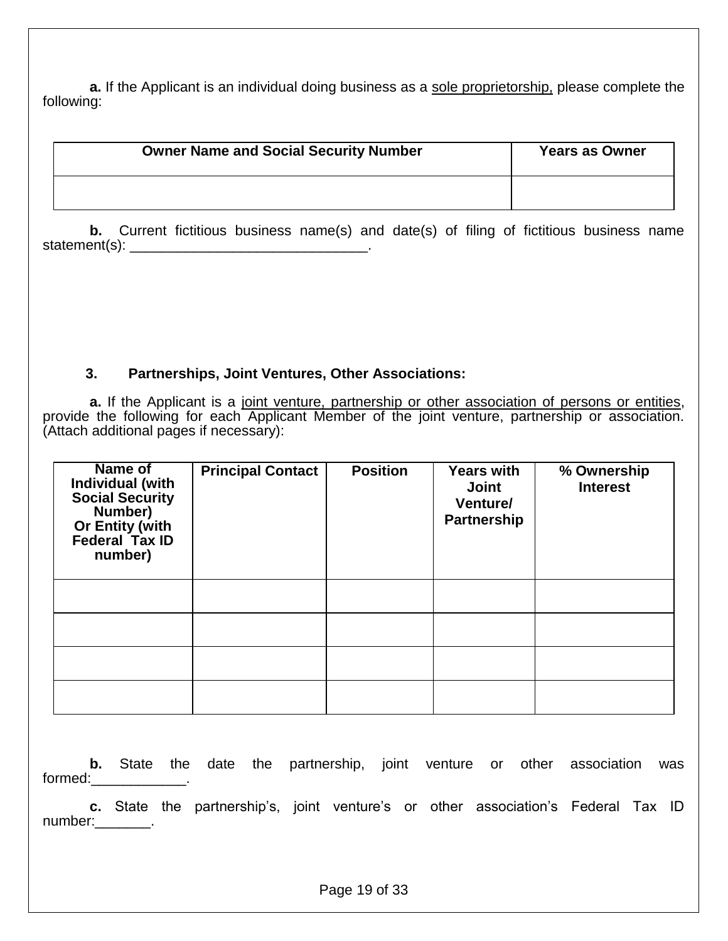**a.** If the Applicant is an individual doing business as a sole proprietorship, please complete the following:

| <b>Owner Name and Social Security Number</b> | <b>Years as Owner</b> |
|----------------------------------------------|-----------------------|
|                                              |                       |

**b.** Current fictitious business name(s) and date(s) of filing of fictitious business name statement(s): \_\_\_\_\_\_\_\_\_\_\_\_\_\_\_\_\_\_\_\_\_\_\_\_\_\_\_\_\_\_.

## **3. Partnerships, Joint Ventures, Other Associations:**

 **a.** If the Applicant is a joint venture, partnership or other association of persons or entities, provide the following for each Applicant Member of the joint venture, partnership or association. (Attach additional pages if necessary):

| <b>Name of</b><br>Individual (with<br><b>Social Security</b><br>Number)<br><b>Or Entity (with</b><br>Federal Tax ID<br>number) | <b>Principal Contact</b> | <b>Position</b> | <b>Years with</b><br><b>Joint</b><br>Venture/<br><b>Partnership</b> | % Ownership<br><b>Interest</b> |
|--------------------------------------------------------------------------------------------------------------------------------|--------------------------|-----------------|---------------------------------------------------------------------|--------------------------------|
|                                                                                                                                |                          |                 |                                                                     |                                |
|                                                                                                                                |                          |                 |                                                                     |                                |
|                                                                                                                                |                          |                 |                                                                     |                                |
|                                                                                                                                |                          |                 |                                                                     |                                |

 **b.** State the date the partnership, joint venture or other association was formed:\_\_\_\_\_\_\_\_\_\_\_\_.

 **c.** State the partnership's, joint venture's or other association's Federal Tax ID number:\_\_\_\_\_\_\_\_.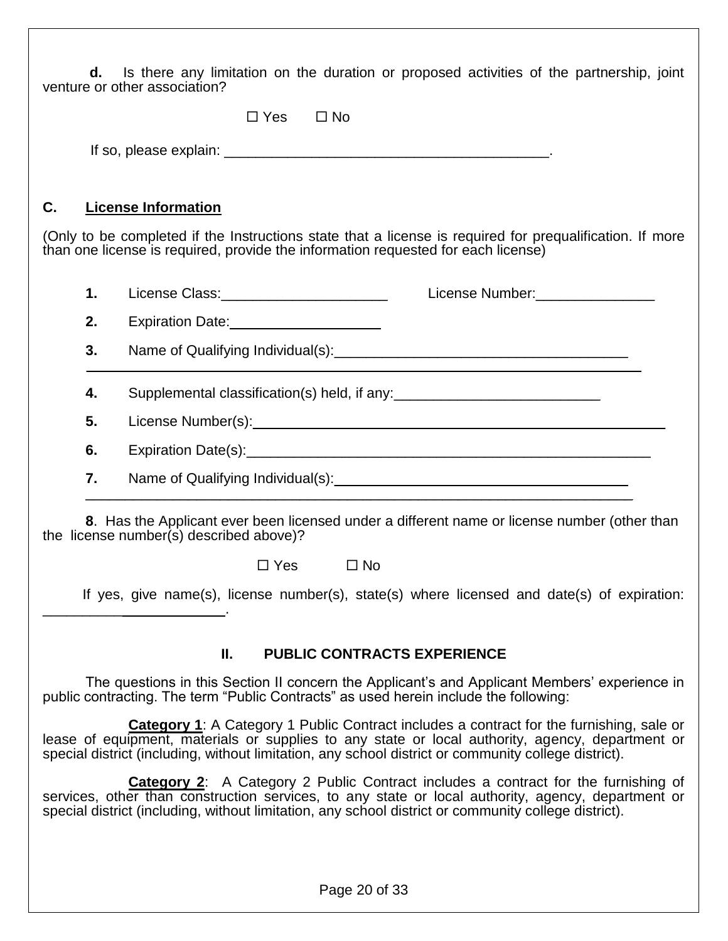|    | d. | Is there any limitation on the duration or proposed activities of the partnership, joint<br>venture or other association?                                                                                                                                                  |  |  |  |  |
|----|----|----------------------------------------------------------------------------------------------------------------------------------------------------------------------------------------------------------------------------------------------------------------------------|--|--|--|--|
|    |    | $\Box$ Yes $\Box$ No                                                                                                                                                                                                                                                       |  |  |  |  |
|    |    |                                                                                                                                                                                                                                                                            |  |  |  |  |
| C. |    | <b>License Information</b>                                                                                                                                                                                                                                                 |  |  |  |  |
|    |    | (Only to be completed if the Instructions state that a license is required for prequalification. If more<br>than one license is required, provide the information requested for each license)                                                                              |  |  |  |  |
|    | 1. | License Number: National Accounts and Accounts and Accounts and Accounts and Accounts and Accounts and Accounts and Accounts and Accounts and Accounts and Accounts and Accounts and Accounts and Accounts and Accounts and Ac<br>License Class: _________________________ |  |  |  |  |
|    | 2. | Expiration Date:_____________________                                                                                                                                                                                                                                      |  |  |  |  |
|    | 3. |                                                                                                                                                                                                                                                                            |  |  |  |  |
|    | 4. |                                                                                                                                                                                                                                                                            |  |  |  |  |
|    | 5. |                                                                                                                                                                                                                                                                            |  |  |  |  |
|    | 6. |                                                                                                                                                                                                                                                                            |  |  |  |  |
|    | 7. |                                                                                                                                                                                                                                                                            |  |  |  |  |
|    |    | 8. Has the Applicant ever been licensed under a different name or license number (other than<br>the license number(s) described above)?                                                                                                                                    |  |  |  |  |
|    |    | $\square$ Yes<br>$\square$ No                                                                                                                                                                                                                                              |  |  |  |  |
|    |    | If yes, give name(s), license number(s), state(s) where licensed and date(s) of expiration:                                                                                                                                                                                |  |  |  |  |

## **II. PUBLIC CONTRACTS EXPERIENCE**

The questions in this Section II concern the Applicant's and Applicant Members' experience in public contracting. The term "Public Contracts" as used herein include the following:

**Category 1**: A Category 1 Public Contract includes a contract for the furnishing, sale or lease of equipment, materials or supplies to any state or local authority, agency, department or special district (including, without limitation, any school district or community college district).

**Category 2**: A Category 2 Public Contract includes a contract for the furnishing of services, other than construction services, to any state or local authority, agency, department or special district (including, without limitation, any school district or community college district).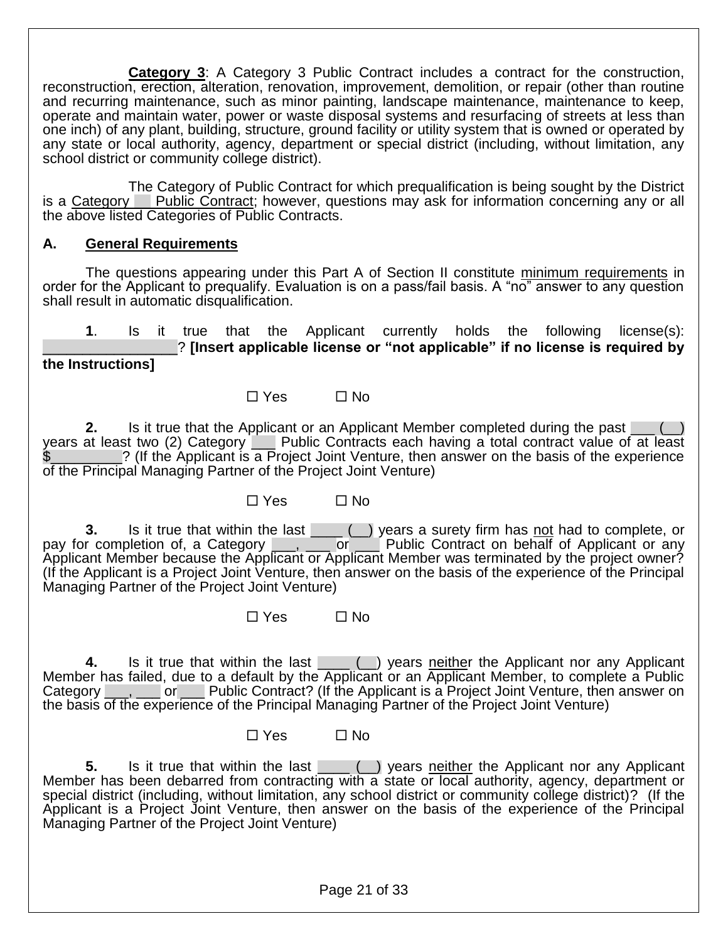**Category 3**: A Category 3 Public Contract includes a contract for the construction, reconstruction, erection, alteration, renovation, improvement, demolition, or repair (other than routine and recurring maintenance, such as minor painting, landscape maintenance, maintenance to keep, operate and maintain water, power or waste disposal systems and resurfacing of streets at less than one inch) of any plant, building, structure, ground facility or utility system that is owned or operated by any state or local authority, agency, department or special district (including, without limitation, any school district or community college district).

The Category of Public Contract for which prequalification is being sought by the District is a Category \_\_ Public Contract; however, questions may ask for information concerning any or all the above listed Categories of Public Contracts.

### **A. General Requirements**

The questions appearing under this Part A of Section II constitute minimum requirements in order for the Applicant to prequalify. Evaluation is on a pass/fail basis. A "no" answer to any question shall result in automatic disqualification.

**1**. Is it true that the Applicant currently holds the following license(s): \_\_\_\_\_\_\_\_\_\_\_\_\_\_\_\_\_? **[Insert applicable license or "not applicable" if no license is required by the Instructions]**

 $\Box$  Yes  $\Box$  No

**2.** Is it true that the Applicant or an Applicant Member completed during the past  $\qquad$  ( years at least two (2) Category **II Public Contracts each having a total contract value of at least**  $\overline{P}$ ? (If the Applicant is a Project Joint Venture, then answer on the basis of the experience of the Principal Managing Partner of the Project Joint Venture)

 $\Box$  Yes  $\Box$  No

**3.** Is it true that within the last  $\boxed{\phantom{a}}$  ( $\boxed{\phantom{a}}$ ) years a surety firm has not had to complete, or pay for completion of, a Category  $\boxed{\phantom{a}}$ ,  $\boxed{\phantom{a}}$  or  $\boxed{\phantom{a}}$  Public Contract on behalf of Applicant or any Applicant Member because the Applicant or Applicant Member was terminated by the project owner? (If the Applicant is a Project Joint Venture, then answer on the basis of the experience of the Principal Managing Partner of the Project Joint Venture)

 $\Box$  Yes  $\Box$  No

**4.** Is it true that within the last **4.** (2) years neither the Applicant nor any Applicant Member has failed, due to a default by the Applicant or an Applicant Member, to complete a Public Category <sub>\_\_\_,</sub> \_\_\_ or \_\_\_ Public Contract? (If the Applicant is a Project Joint Venture, then answer on the basis of the experience of the Principal Managing Partner of the Project Joint Venture)

 $\Box$  Yes  $\Box$  No

**5.** Is it true that within the last  $\Box$  ( $\Box$ ) years neither the Applicant nor any Applicant Member has been debarred from contracting with a state or local authority, agency, department or special district (including, without limitation, any school district or community college district)? (If the Applicant is a Project Joint Venture, then answer on the basis of the experience of the Principal Managing Partner of the Project Joint Venture)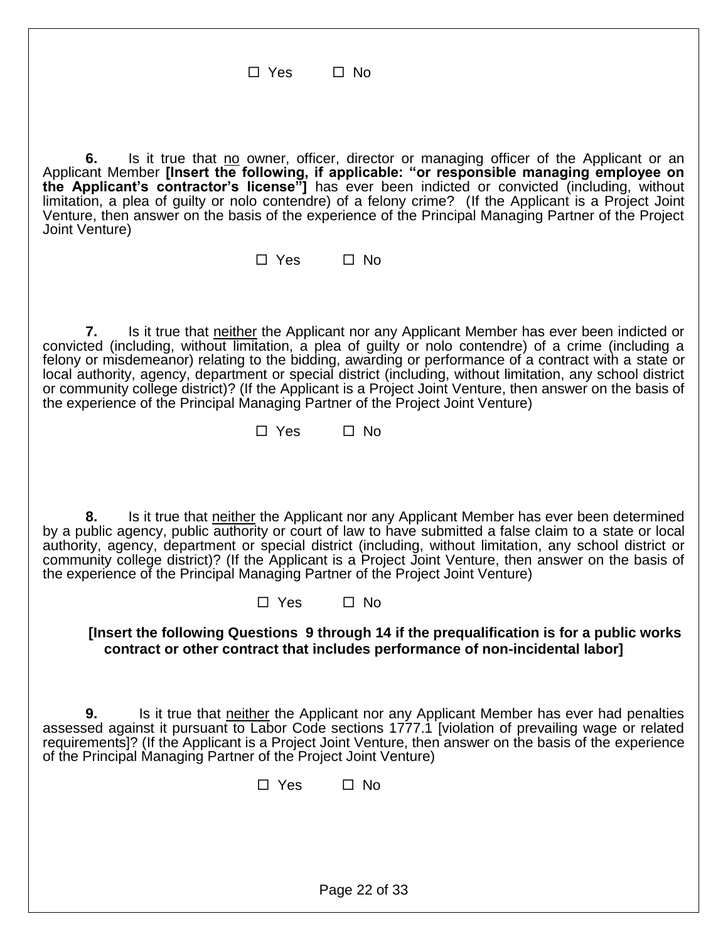$\Box$  Yes  $\Box$  No

**6.** Is it true that no owner, officer, director or managing officer of the Applicant or an Applicant Member **[Insert the following, if applicable: "or responsible managing employee on the Applicant's contractor's license"]** has ever been indicted or convicted (including, without limitation, a plea of guilty or nolo contendre) of a felony crime? (If the Applicant is a Project Joint Venture, then answer on the basis of the experience of the Principal Managing Partner of the Project Joint Venture)

 $\Box$  Yes  $\Box$  No

**7.** Is it true that neither the Applicant nor any Applicant Member has ever been indicted or convicted (including, without limitation, a plea of guilty or nolo contendre) of a crime (including a felony or misdemeanor) relating to the bidding, awarding or performance of a contract with a state or local authority, agency, department or special district (including, without limitation, any school district or community college district)? (If the Applicant is a Project Joint Venture, then answer on the basis of the experience of the Principal Managing Partner of the Project Joint Venture)

### $\square$  Yes  $\square$  No

**8.** Is it true that neither the Applicant nor any Applicant Member has ever been determined by a public agency, public authority or court of law to have submitted a false claim to a state or local authority, agency, department or special district (including, without limitation, any school district or community college district)? (If the Applicant is a Project Joint Venture, then answer on the basis of the experience of the Principal Managing Partner of the Project Joint Venture)

 $\square$  Yes  $\square$  No

**[Insert the following Questions 9 through 14 if the prequalification is for a public works contract or other contract that includes performance of non-incidental labor]**

**9.** Is it true that neither the Applicant nor any Applicant Member has ever had penalties assessed against it pursuant to Labor Code sections 1777.1 [violation of prevailing wage or related requirements]? (If the Applicant is a Project Joint Venture, then answer on the basis of the experience of the Principal Managing Partner of the Project Joint Venture)

 $\square$  Yes  $\square$  No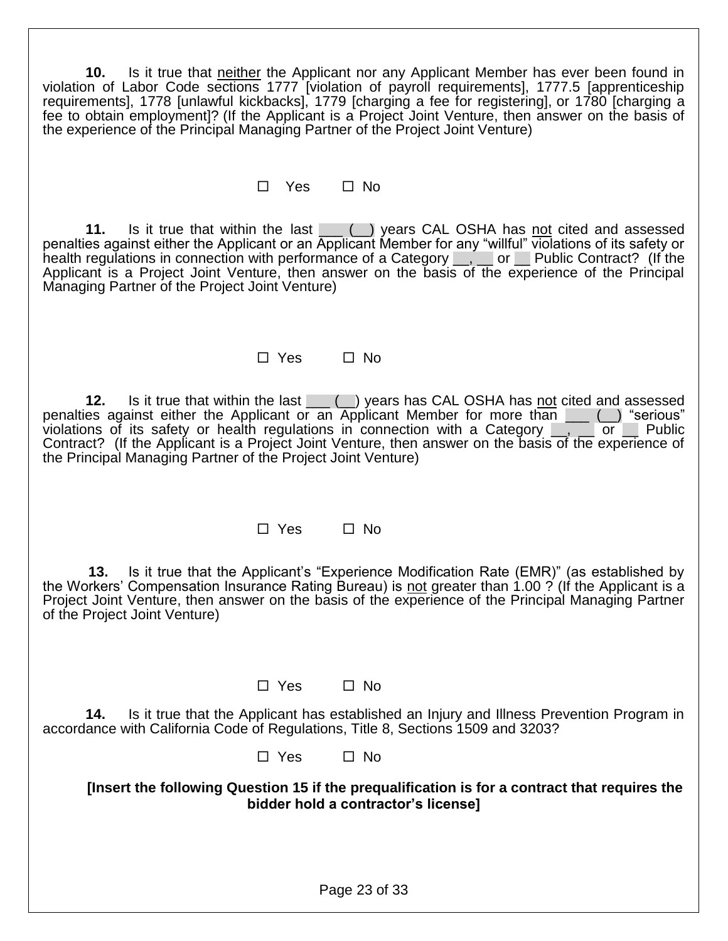**10.** Is it true that neither the Applicant nor any Applicant Member has ever been found in violation of Labor Code sections 1777 [violation of payroll requirements], 1777.5 [apprenticeship requirements], 1778 [unlawful kickbacks], 1779 [charging a fee for registering], or 1780 [charging a fee to obtain employment]? (If the Applicant is a Project Joint Venture, then answer on the basis of the experience of the Principal Managing Partner of the Project Joint Venture)

#### $\Box$  Yes  $\Box$  No

**11.** Is it true that within the last \_\_\_ (\_) years CAL OSHA has not cited and assessed penalties against either the Applicant or an Applicant Member for any "willful" violations of its safety or health regulations in connection with performance of a Category <sub>1</sub> or Public Contract? (If the Applicant is a Project Joint Venture, then answer on the basis of the experience of the Principal Managing Partner of the Project Joint Venture)

### $\Box$  Yes  $\Box$  No

**12.** Is it true that within the last \_\_\_ (\_) years has CAL OSHA has not cited and assessed penalties against either the Applicant or an Applicant Member for more than \_\_\_ (\_\_) "serious" violations of its safety or health regulations in connection with a Category  $\Box$ , or  $\Box$  Public Contract? (If the Applicant is a Project Joint Venture, then answer on the basis of the experience of the Principal Managing Partner of the Project Joint Venture)

 $\square$  Yes  $\square$  No

 **13.** Is it true that the Applicant's "Experience Modification Rate (EMR)" (as established by the Workers' Compensation Insurance Rating Bureau) is not greater than 1.00 ? (If the Applicant is a Project Joint Venture, then answer on the basis of the experience of the Principal Managing Partner of the Project Joint Venture)

 $\square$  Yes  $\square$  No

**14.** Is it true that the Applicant has established an Injury and Illness Prevention Program in accordance with California Code of Regulations, Title 8, Sections 1509 and 3203?

 $\Box$  Yes  $\Box$  No

**[Insert the following Question 15 if the prequalification is for a contract that requires the bidder hold a contractor's license]**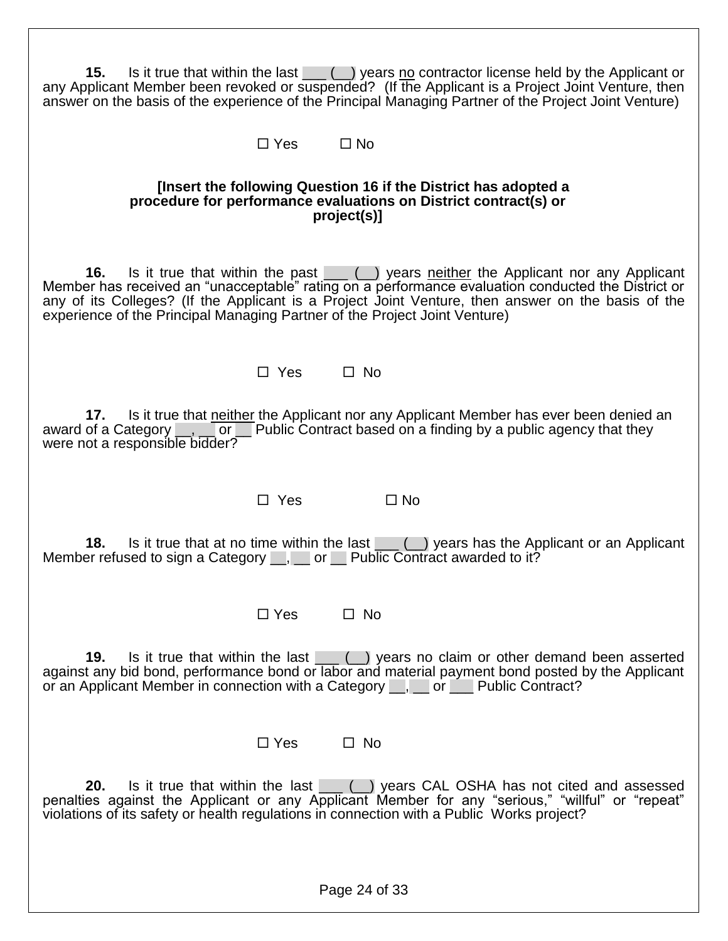| 15.<br>Is it true that within the last $\underline{\hspace{1cm}}$ ( $\underline{\hspace{1cm}}$ ) years no contractor license held by the Applicant or<br>any Applicant Member been revoked or suspended? (If the Applicant is a Project Joint Venture, then<br>answer on the basis of the experience of the Principal Managing Partner of the Project Joint Venture)                                                           |
|--------------------------------------------------------------------------------------------------------------------------------------------------------------------------------------------------------------------------------------------------------------------------------------------------------------------------------------------------------------------------------------------------------------------------------|
| $\square$ No<br>$\square$ Yes                                                                                                                                                                                                                                                                                                                                                                                                  |
| [Insert the following Question 16 if the District has adopted a<br>procedure for performance evaluations on District contract(s) or<br>project(s)]                                                                                                                                                                                                                                                                             |
| Is it true that within the past $\boxed{\phantom{a}}$ ( $\boxed{\phantom{a}}$ ) years neither the Applicant nor any Applicant<br>16.<br>Member has received an "unacceptable" rating on a performance evaluation conducted the District or<br>any of its Colleges? (If the Applicant is a Project Joint Venture, then answer on the basis of the<br>experience of the Principal Managing Partner of the Project Joint Venture) |
| $\Box$ Yes<br>$\Box$ No                                                                                                                                                                                                                                                                                                                                                                                                        |
| Is it true that neither the Applicant nor any Applicant Member has ever been denied an<br>17.<br>award of a Category <sub>1, 1</sub> or <sup>1</sup> Public Contract based on a finding by a public agency that they<br>were not a responsible bidder?                                                                                                                                                                         |
| $\Box$ Yes<br>$\Box$ No                                                                                                                                                                                                                                                                                                                                                                                                        |
| Is it true that at no time within the last $\underline{\hspace{1cm}}$ $(\underline{\hspace{1cm}})$ years has the Applicant or an Applicant<br>18.<br>Member refused to sign a Category _______ or ____ Public Contract awarded to it?                                                                                                                                                                                          |
| $\square$ Yes<br>$\Box$ No                                                                                                                                                                                                                                                                                                                                                                                                     |
| Is it true that within the last $\lfloor \cdot \rfloor$ years no claim or other demand been asserted<br>19.<br>against any bid bond, performance bond or labor and material payment bond posted by the Applicant<br>or an Applicant Member in connection with a Category <b>Fig. 1</b> or <b>Public Contract?</b>                                                                                                              |
| $\square$ Yes<br>$\Box$ No                                                                                                                                                                                                                                                                                                                                                                                                     |
| Is it true that within the last ___ (_) years CAL OSHA has not cited and assessed<br>20.<br>penalties against the Applicant or any Applicant Member for any "serious," "willful" or "repeat"<br>violations of its safety or health regulations in connection with a Public Works project?                                                                                                                                      |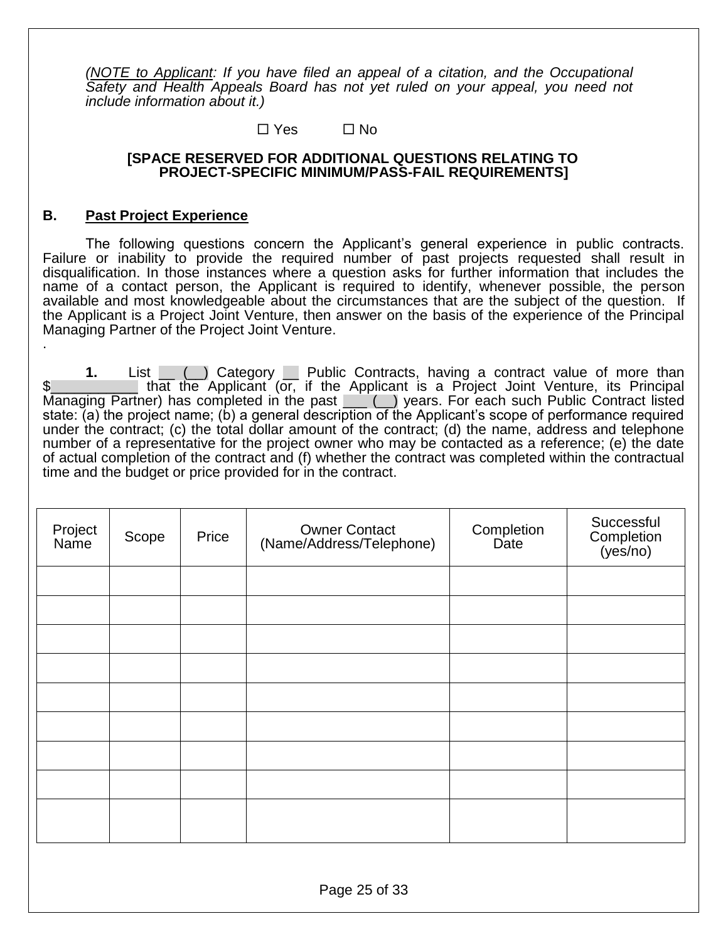*(NOTE to Applicant: If you have filed an appeal of a citation, and the Occupational*  **Safety and Health Appeals Board has not yet ruled on your appeal, you need not** *include information about it.)*

#### $\Box$  Yes  $\Box$  No

#### **[SPACE RESERVED FOR ADDITIONAL QUESTIONS RELATING TO PROJECT-SPECIFIC MINIMUM/PASS-FAIL REQUIREMENTS]**

#### **B. Past Project Experience**

The following questions concern the Applicant's general experience in public contracts. Failure or inability to provide the required number of past projects requested shall result in disqualification. In those instances where a question asks for further information that includes the name of a contact person, the Applicant is required to identify, whenever possible, the person available and most knowledgeable about the circumstances that are the subject of the question. If the Applicant is a Project Joint Venture, then answer on the basis of the experience of the Principal Managing Partner of the Project Joint Venture. .

**1.** List  $\Box$  ( $\Box$ ) Category  $\Box$  Public Contracts, having a contract value of more than that the Applicant (or, if the Applicant is a Project Joint Venture, its Principal Managing Partner) has completed in the past  $\Box$  ( $\Box$ ) years. For each such Public Contract listed state: (a) the project name; (b) a general description of the Applicant's scope of performance required under the contract; (c) the total dollar amount of the contract; (d) the name, address and telephone number of a representative for the project owner who may be contacted as a reference; (e) the date of actual completion of the contract and (f) whether the contract was completed within the contractual time and the budget or price provided for in the contract.

| Project<br>Name | Scope | Price | <b>Owner Contact</b><br>(Name/Address/Telephone) | Completion<br>Date | Successful<br>Completion<br>(yes/no) |
|-----------------|-------|-------|--------------------------------------------------|--------------------|--------------------------------------|
|                 |       |       |                                                  |                    |                                      |
|                 |       |       |                                                  |                    |                                      |
|                 |       |       |                                                  |                    |                                      |
|                 |       |       |                                                  |                    |                                      |
|                 |       |       |                                                  |                    |                                      |
|                 |       |       |                                                  |                    |                                      |
|                 |       |       |                                                  |                    |                                      |
|                 |       |       |                                                  |                    |                                      |
|                 |       |       |                                                  |                    |                                      |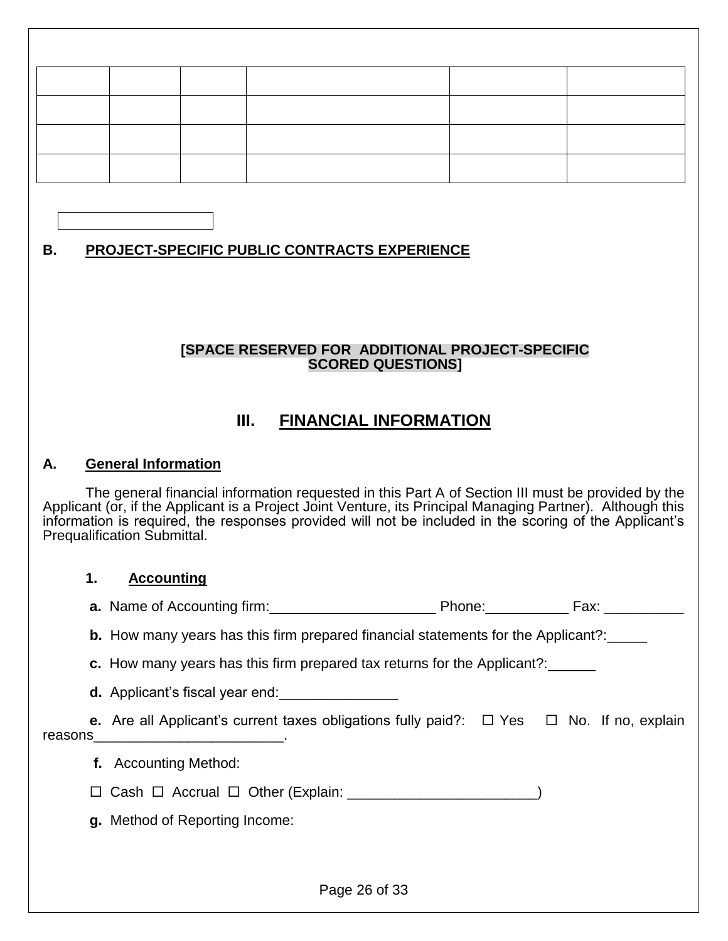## **B. PROJECT-SPECIFIC PUBLIC CONTRACTS EXPERIENCE**

#### **[SPACE RESERVED FOR ADDITIONAL PROJECT-SPECIFIC SCORED QUESTIONS]**

## **III. FINANCIAL INFORMATION**

## **A. General Information**

The general financial information requested in this Part A of Section III must be provided by the Applicant (or, if the Applicant is a Project Joint Venture, its Principal Managing Partner). Although this information is required, the responses provided will not be included in the scoring of the Applicant's **Prequalification Submittal.** 

|         | 1. | <b>Accounting</b>                                                                                                                                                            |  |  |
|---------|----|------------------------------------------------------------------------------------------------------------------------------------------------------------------------------|--|--|
|         |    | <b>a.</b> Name of Accounting firm: Phone: Phone: Fax:                                                                                                                        |  |  |
|         |    | <b>b.</b> How many years has this firm prepared financial statements for the Applicant?:_____                                                                                |  |  |
|         |    | c. How many years has this firm prepared tax returns for the Applicant?:                                                                                                     |  |  |
|         |    | d. Applicant's fiscal year end:                                                                                                                                              |  |  |
| reasons |    | <b>e.</b> Are all Applicant's current taxes obligations fully paid?: $\Box$ Yes $\Box$ No. If no, explain<br>the contract of the contract of the contract of the contract of |  |  |
|         |    | f. Accounting Method:                                                                                                                                                        |  |  |
|         |    |                                                                                                                                                                              |  |  |
|         |    | g. Method of Reporting Income:                                                                                                                                               |  |  |
|         |    |                                                                                                                                                                              |  |  |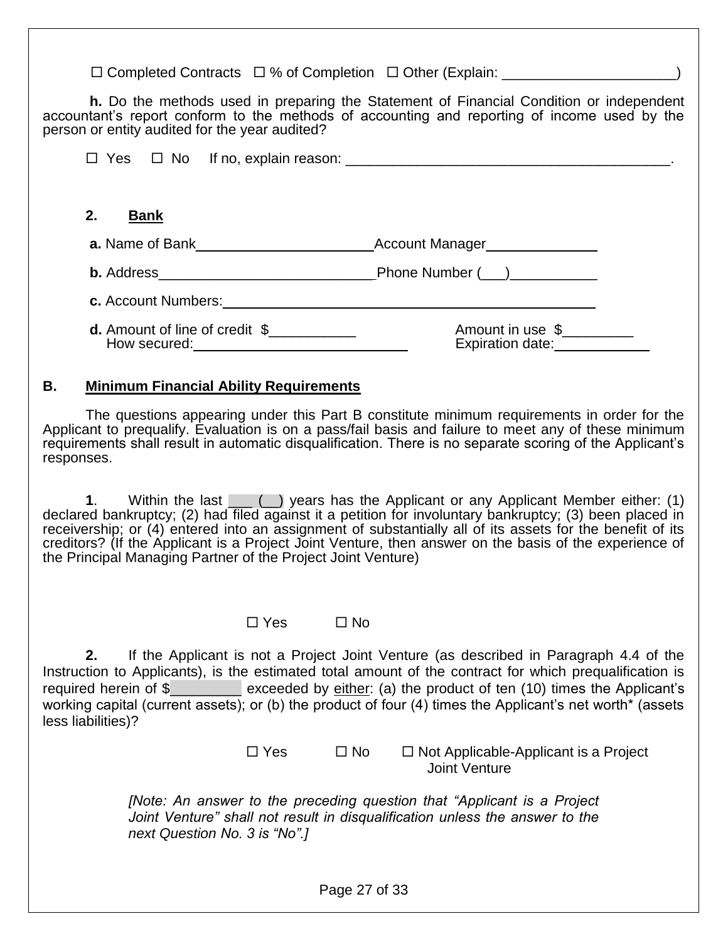$\Box$  Completed Contracts  $\Box$  % of Completion  $\Box$  Other (Explain:

 **h.** Do the methods used in preparing the Statement of Financial Condition or independent accountant's report conform to the methods of accounting and reporting of income used by the person or entity audited for the year audited?

| 2.<br><b>Bank</b>                                                                                                                                                                                                                         |                                           |
|-------------------------------------------------------------------------------------------------------------------------------------------------------------------------------------------------------------------------------------------|-------------------------------------------|
| <b>a.</b> Name of Bank <b>and the Second State and State State and State State and State State State State State State State State State State State State State State State State State State State State State State State State St</b> | Account Manager<br><u>Account Manager</u> |
| <b>b.</b> Address                                                                                                                                                                                                                         | Phone Number (___)___________             |
| c. Account Numbers:                                                                                                                                                                                                                       |                                           |
| How secured: <u>contract and the secure of</u>                                                                                                                                                                                            | Amount in use \$<br>Expiration date:      |

#### **B. Minimum Financial Ability Requirements**

The questions appearing under this Part B constitute minimum requirements in order for the Applicant to prequalify. Evaluation is on a pass/fail basis and failure to meet any of these minimum requirements shall result in automatic disqualification. There is no separate scoring of the Applicant's responses.

**1**. Within the last  $\boxed{\phantom{a}}$   $\boxed{\phantom{a}}$  years has the Applicant or any Applicant Member either: (1) declared bankruptcy; (2) had filed against it a petition for involuntary bankruptcy; (3) been placed in receivership; or (4) entered into an assignment of substantially all of its assets for the benefit of its creditors? (If the Applicant is a Project Joint Venture, then answer on the basis of the experience of the Principal Managing Partner of the Project Joint Venture)

 $\Box$  Yes  $\Box$  No

**2.** If the Applicant is not a Project Joint Venture (as described in Paragraph 4.4 of the Instruction to Applicants), is the estimated total amount of the contract for which prequalification is required herein of \$\_\_\_\_\_\_\_\_\_ exceeded by either: (a) the product of ten (10) times the Applicant's working capital (current assets); or (b) the product of four (4) times the Applicant's net worth\* (assets less liabilities)?

 $\Box$  Yes  $\Box$  No  $\Box$  Not Applicable-Applicant is a Project Joint Venture

*[Note: An answer to the preceding question that "Applicant is a Project*  Joint Venture" shall not result in disqualification unless the answer to the *next Question No. 3 is "No".]*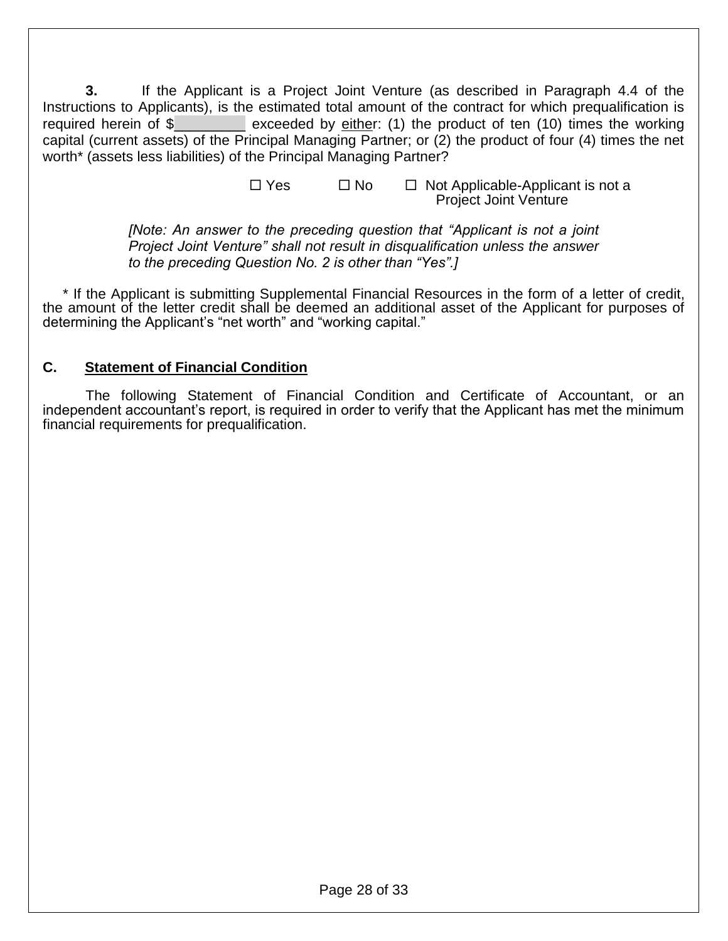**3.** If the Applicant is a Project Joint Venture (as described in Paragraph 4.4 of the Instructions to Applicants), is the estimated total amount of the contract for which prequalification is required herein of \$\_\_\_\_\_\_\_\_\_ exceeded by either: (1) the product of ten (10) times the working capital (current assets) of the Principal Managing Partner; or (2) the product of four (4) times the net worth\* (assets less liabilities) of the Principal Managing Partner?

> $\Box$  Yes  $\Box$  No  $\Box$  Not Applicable-Applicant is not a Project Joint Venture

*[Note: An answer to the preceding question that "Applicant is not a joint Project Joint Venture" shall not result in disqualification unless the answer to the preceding Question No. 2 is other than "Yes".]*

 \* If the Applicant is submitting Supplemental Financial Resources in the form of a letter of credit, the amount of the letter credit shall be deemed an additional asset of the Applicant for purposes of determining the Applicant's "net worth" and "working capital."

## **C. Statement of Financial Condition**

The following Statement of Financial Condition and Certificate of Accountant, or an independent accountant's report, is required in order to verify that the Applicant has met the minimum financial requirements for prequalification.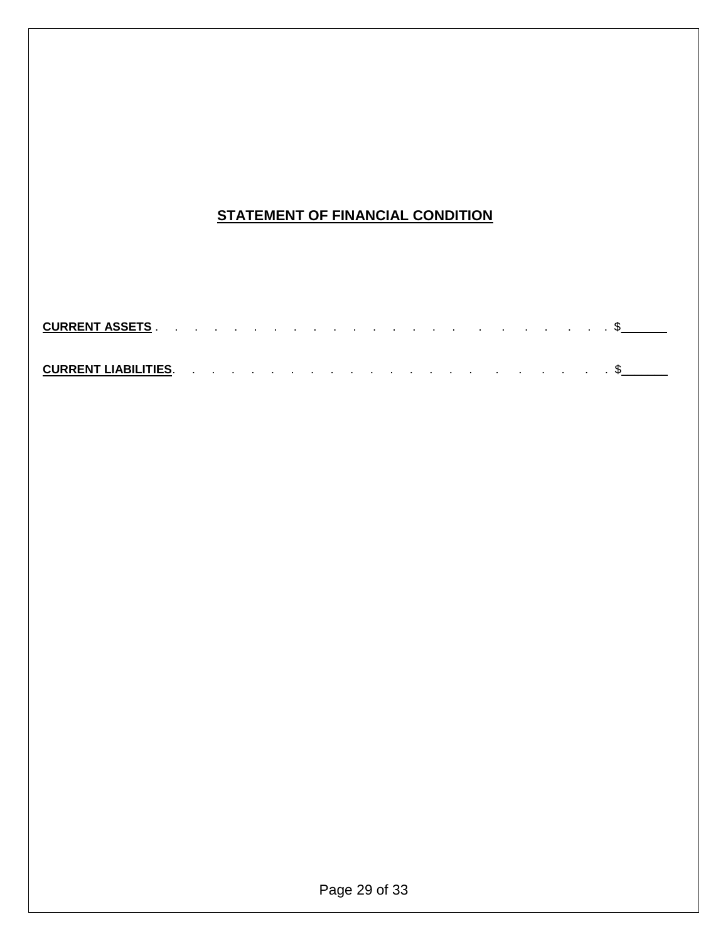## **STATEMENT OF FINANCIAL CONDITION**

| <b>CURRENT ASSETS</b>      |  |  |  |  |  |  |  | the contract of the contract of the contract of the contract of the contract of the contract of the contract of |  |  |  |  |
|----------------------------|--|--|--|--|--|--|--|-----------------------------------------------------------------------------------------------------------------|--|--|--|--|
| <b>CURRENT LIABILITIES</b> |  |  |  |  |  |  |  |                                                                                                                 |  |  |  |  |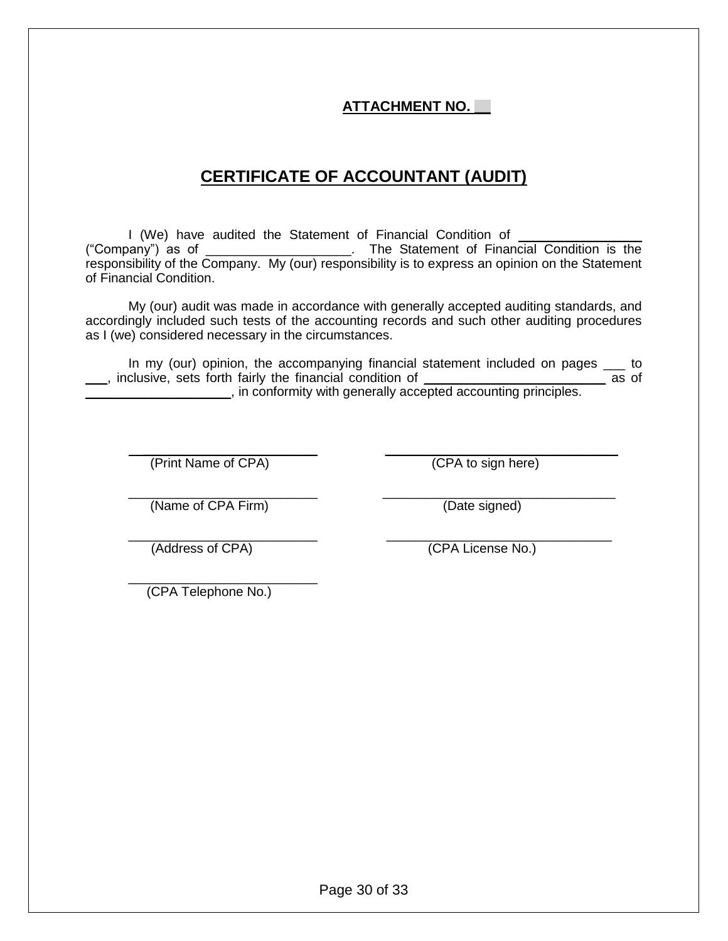## **ATTACHMENT NO. \_\_**

## **CERTIFICATE OF ACCOUNTANT (AUDIT)**

I (We) have audited the Statement of Financial Condition of ("Company") as of \_\_\_\_\_\_\_\_\_\_\_\_\_\_\_\_\_\_\_\_. The Statement of Financial Condition is the responsibility of the Company. My (our) responsibility is to express an opinion on the Statement of Financial Condition.

My (our) audit was made in accordance with generally accepted auditing standards, and accordingly included such tests of the accounting records and such other auditing procedures as I (we) considered necessary in the circumstances.

In my (our) opinion, the accompanying financial statement included on pages \_\_\_ to<br>clusive, sets forth fairly the financial condition of \_\_\_\_\_\_\_\_\_\_\_\_\_ \_\_\_, inclusive, sets forth fairly the financial condition of \_\_\_\_\_\_\_\_\_\_\_\_\_\_\_\_\_\_\_\_\_\_\_\_\_ as of  $\blacksquare$ , in conformity with generally accepted accounting principles.

 $\overline{\phantom{a}}$  ,  $\overline{\phantom{a}}$  ,  $\overline{\phantom{a}}$  ,  $\overline{\phantom{a}}$  ,  $\overline{\phantom{a}}$  ,  $\overline{\phantom{a}}$  ,  $\overline{\phantom{a}}$  ,  $\overline{\phantom{a}}$  ,  $\overline{\phantom{a}}$  ,  $\overline{\phantom{a}}$  ,  $\overline{\phantom{a}}$  ,  $\overline{\phantom{a}}$  ,  $\overline{\phantom{a}}$  ,  $\overline{\phantom{a}}$  ,  $\overline{\phantom{a}}$  ,  $\overline{\phantom{a}}$ (Print Name of CPA) (CPA to sign here)

\_\_\_\_\_\_\_\_\_\_\_\_\_\_\_\_\_\_\_\_\_\_\_\_\_\_ \_\_\_\_\_\_\_\_\_\_\_\_\_\_\_\_\_\_\_\_\_\_\_\_\_\_\_\_\_\_\_\_ (Name of CPA Firm) (Date signed)

\_\_\_\_\_\_\_\_\_\_\_\_\_\_\_\_\_\_\_\_\_\_\_\_\_\_ \_\_\_\_\_\_\_\_\_\_\_\_\_\_\_\_\_\_\_\_\_\_\_\_\_\_\_\_\_\_\_

(Address of CPA) (CPA License No.)

\_\_\_\_\_\_\_\_\_\_\_\_\_\_\_\_\_\_\_\_\_\_\_\_\_\_ (CPA Telephone No.)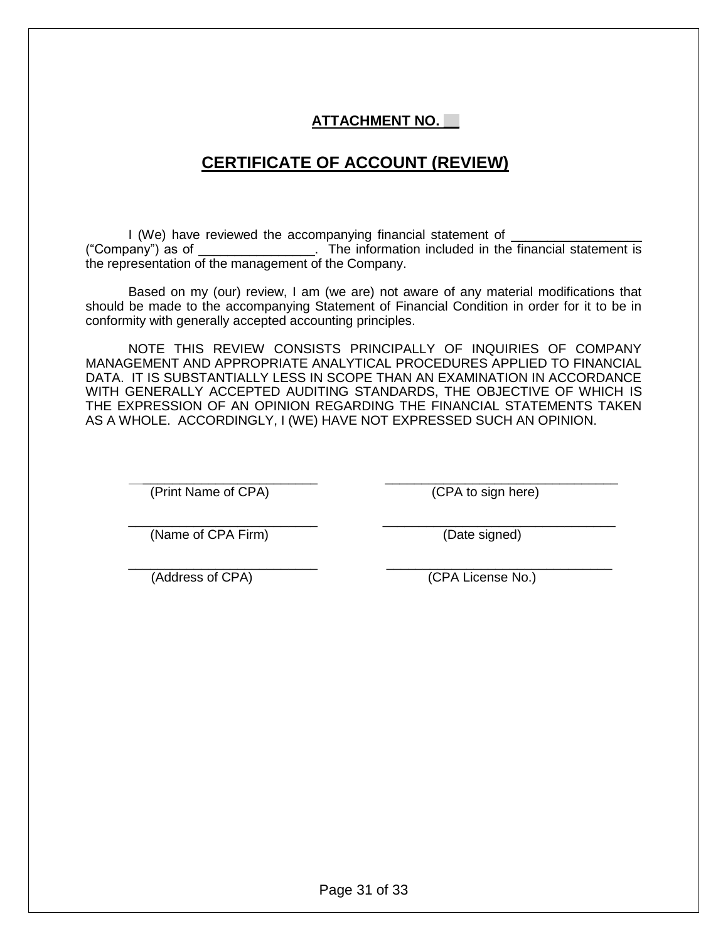## **ATTACHMENT NO. \_\_**

# **CERTIFICATE OF ACCOUNT (REVIEW)**

I (We) have reviewed the accompanying financial statement of ("Company") as of \_\_\_\_\_\_\_\_\_\_\_\_\_\_\_\_. The information included in the financial statement is the representation of the management of the Company.

Based on my (our) review, I am (we are) not aware of any material modifications that should be made to the accompanying Statement of Financial Condition in order for it to be in conformity with generally accepted accounting principles.

NOTE THIS REVIEW CONSISTS PRINCIPALLY OF INQUIRIES OF COMPANY MANAGEMENT AND APPROPRIATE ANALYTICAL PROCEDURES APPLIED TO FINANCIAL DATA. IT IS SUBSTANTIALLY LESS IN SCOPE THAN AN EXAMINATION IN ACCORDANCE WITH GENERALLY ACCEPTED AUDITING STANDARDS, THE OBJECTIVE OF WHICH IS THE EXPRESSION OF AN OPINION REGARDING THE FINANCIAL STATEMENTS TAKEN AS A WHOLE. ACCORDINGLY, I (WE) HAVE NOT EXPRESSED SUCH AN OPINION.

 $\overline{\phantom{a}}$  ,  $\overline{\phantom{a}}$  ,  $\overline{\phantom{a}}$  ,  $\overline{\phantom{a}}$  ,  $\overline{\phantom{a}}$  ,  $\overline{\phantom{a}}$  ,  $\overline{\phantom{a}}$  ,  $\overline{\phantom{a}}$  ,  $\overline{\phantom{a}}$  ,  $\overline{\phantom{a}}$  ,  $\overline{\phantom{a}}$  ,  $\overline{\phantom{a}}$  ,  $\overline{\phantom{a}}$  ,  $\overline{\phantom{a}}$  ,  $\overline{\phantom{a}}$  ,  $\overline{\phantom{a}}$ (Print Name of CPA) (CPA to sign here)

\_\_\_\_\_\_\_\_\_\_\_\_\_\_\_\_\_\_\_\_\_\_\_\_\_\_ \_\_\_\_\_\_\_\_\_\_\_\_\_\_\_\_\_\_\_\_\_\_\_\_\_\_\_\_\_\_\_\_ (Name of CPA Firm) (Date signed)

\_\_\_\_\_\_\_\_\_\_\_\_\_\_\_\_\_\_\_\_\_\_\_\_\_\_ \_\_\_\_\_\_\_\_\_\_\_\_\_\_\_\_\_\_\_\_\_\_\_\_\_\_\_\_\_\_\_ (Address of CPA) (CPA License No.)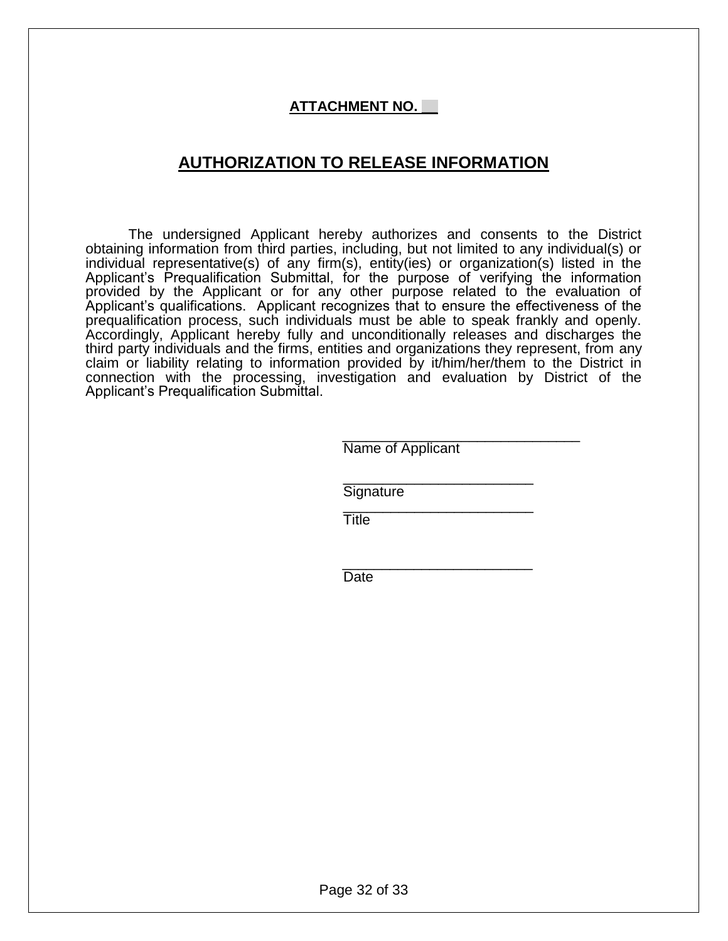## **ATTACHMENT NO. \_\_**

## **AUTHORIZATION TO RELEASE INFORMATION**

The undersigned Applicant hereby authorizes and consents to the District obtaining information from third parties, including, but not limited to any individual(s) or individual representative(s) of any firm(s), entity(ies) or organization(s) listed in the Applicant's Prequalification Submittal, for the purpose of verifying the information provided by the Applicant or for any other purpose related to the evaluation of Applicant's qualifications. Applicant recognizes that to ensure the effectiveness of the prequalification process, such individuals must be able to speak frankly and openly. Accordingly, Applicant hereby fully and unconditionally releases and discharges the third party individuals and the firms, entities and organizations they represent, from any claim or liability relating to information provided by it/him/her/them to the District in connection with the processing, investigation and evaluation by District of the Applicant's Prequalification Submittal.

| Name of Applicant |  |
|-------------------|--|

 $\frac{1}{\sqrt{2}}$  ,  $\frac{1}{\sqrt{2}}$  ,  $\frac{1}{\sqrt{2}}$  ,  $\frac{1}{\sqrt{2}}$  ,  $\frac{1}{\sqrt{2}}$  ,  $\frac{1}{\sqrt{2}}$  ,  $\frac{1}{\sqrt{2}}$  ,  $\frac{1}{\sqrt{2}}$  ,  $\frac{1}{\sqrt{2}}$  ,  $\frac{1}{\sqrt{2}}$  ,  $\frac{1}{\sqrt{2}}$  ,  $\frac{1}{\sqrt{2}}$  ,  $\frac{1}{\sqrt{2}}$  ,  $\frac{1}{\sqrt{2}}$  ,  $\frac{1}{\sqrt{2}}$ **Signature** 

 $\overline{\phantom{a}}$  , which is a set of the set of the set of the set of the set of the set of the set of the set of the set of the set of the set of the set of the set of the set of the set of the set of the set of the set of th **Title** The Communication of the Title

\_\_\_\_\_\_\_\_\_\_\_\_\_\_\_\_\_\_\_\_\_\_\_\_ **Date Date Date**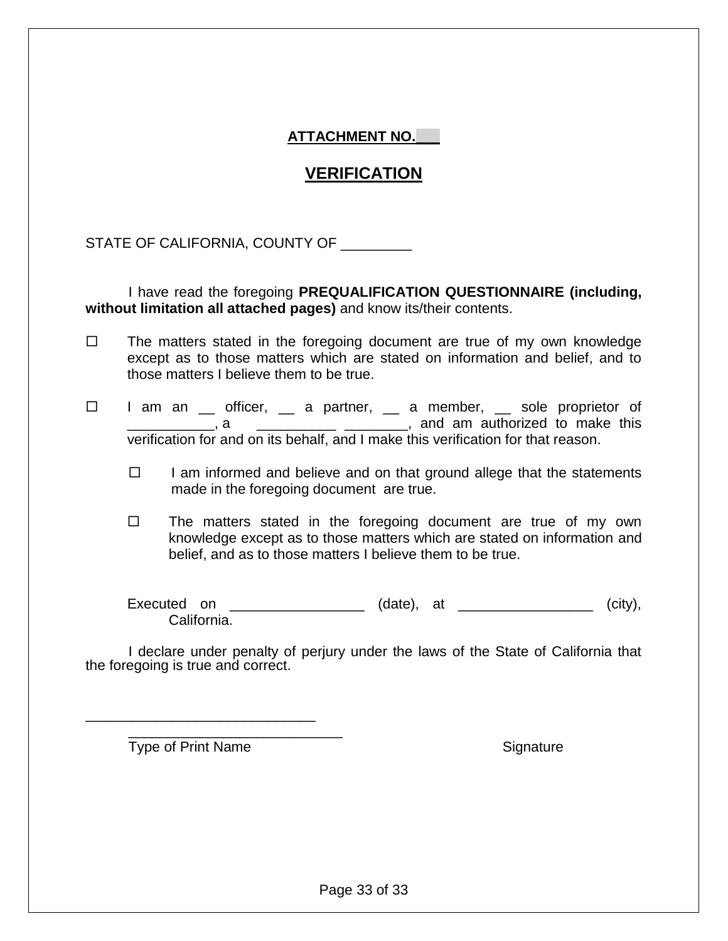## **ATTACHMENT NO.\_\_\_**

## **VERIFICATION**

STATE OF CALIFORNIA, COUNTY OF

I have read the foregoing **PREQUALIFICATION QUESTIONNAIRE (including, without limitation all attached pages)** and know its/their contents.

- $\Box$  The matters stated in the foregoing document are true of my own knowledge except as to those matters which are stated on information and belief, and to those matters I believe them to be true.
- $\Box$  I am an  $\Box$  officer,  $\Box$  a partner,  $\Box$  a member,  $\Box$  sole proprietor of \_\_\_\_\_\_\_, a \_\_\_\_\_\_\_\_\_\_\_\_\_ \_\_\_\_\_\_\_\_\_, and am authorized to make this verification for and on its behalf, and I make this verification for that reason.
	- $\Box$  I am informed and believe and on that ground allege that the statements made in the foregoing document are true.
	- $\Box$  The matters stated in the foregoing document are true of my own knowledge except as to those matters which are stated on information and belief, and as to those matters I believe them to be true.

Executed on \_\_\_\_\_\_\_\_\_\_\_\_\_\_\_\_\_\_\_\_\_ (date), at \_\_\_\_\_\_\_\_\_\_\_\_\_\_\_\_\_\_\_\_ (city), California.

I declare under penalty of perjury under the laws of the State of California that the foregoing is true and correct.

Type of Print Name Signature

\_\_\_\_\_\_\_\_\_\_\_\_\_\_\_\_\_\_\_\_\_\_\_\_\_\_\_\_\_

\_\_\_\_\_\_\_\_\_\_\_\_\_\_\_\_\_\_\_\_\_\_\_\_\_\_\_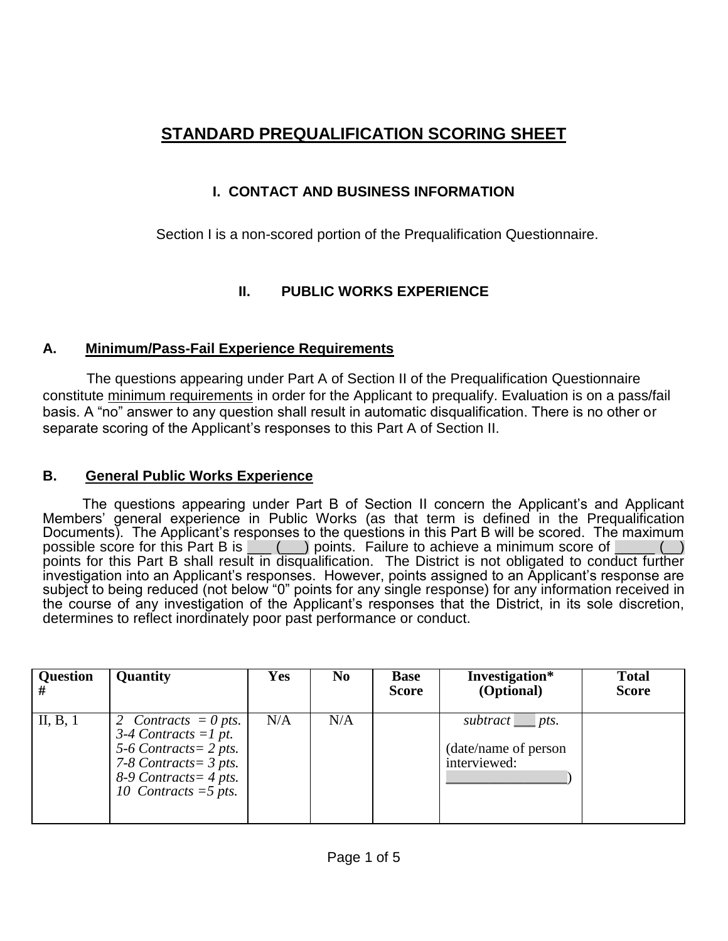# **STANDARD PREQUALIFICATION SCORING SHEET**

## **I. CONTACT AND BUSINESS INFORMATION**

Section I is a non-scored portion of the Prequalification Questionnaire.

## **II. PUBLIC WORKS EXPERIENCE**

## **A. Minimum/Pass-Fail Experience Requirements**

 The questions appearing under Part A of Section II of the Prequalification Questionnaire constitute minimum requirements in order for the Applicant to prequalify. Evaluation is on a pass/fail basis. A "no" answer to any question shall result in automatic disqualification. There is no other or separate scoring of the Applicant's responses to this Part A of Section II.

## **B. General Public Works Experience**

 The questions appearing under Part B of Section II concern the Applicant's and Applicant Members' general experience in Public Works (as that term is defined in the Prequalification Documents). The Applicant's responses to the questions in this Part B will be scored. The maximum possible score for this Part B is  $\boxed{\phantom{a} \phantom{a}}$  points. Failure to achieve a minimum score of  $\boxed{\phantom{a}}$ points for this Part B shall result in disqualification. The District is not obligated to conduct further investigation into an Applicant's responses. However, points assigned to an Applicant's response are subject to being reduced (not below "0" points for any single response) for any information received in the course of any investigation of the Applicant's responses that the District, in its sole discretion, determines to reflect inordinately poor past performance or conduct.

| <b>Question</b> | Quantity                                                                                                                                                         | <b>Yes</b> | N <sub>0</sub> | <b>Base</b><br><b>Score</b> | Investigation*<br>(Optional)                                    | <b>Total</b><br><b>Score</b> |
|-----------------|------------------------------------------------------------------------------------------------------------------------------------------------------------------|------------|----------------|-----------------------------|-----------------------------------------------------------------|------------------------------|
| II, B, 1        | 2 Contracts $= 0$ pts.<br>$3-4$ Contracts = 1 pt.<br>5-6 Contracts = $2$ pts.<br>7-8 Contracts = $3$ pts.<br>$8-9$ Contracts = 4 pts.<br>10 Contracts = $5$ pts. | N/A        | N/A            |                             | subtract $\equiv$ pts.<br>(date/name of person)<br>interviewed: |                              |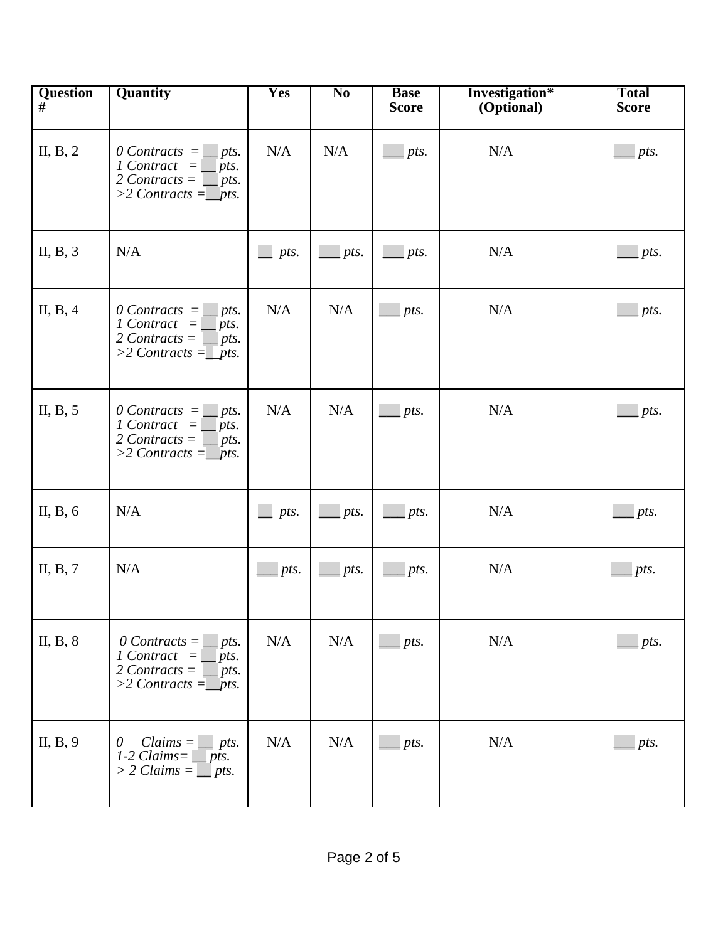| $\overline{\text{Question}}$ # | Quantity                                                                                                                            | Yes         | $\overline{\bf N}$ <sub>0</sub> | <b>Base</b><br><b>Score</b> | Investigation*<br>(Optional) | <b>Total</b><br><b>Score</b> |
|--------------------------------|-------------------------------------------------------------------------------------------------------------------------------------|-------------|---------------------------------|-----------------------------|------------------------------|------------------------------|
| II, B, 2                       | $0$ Contracts $=\Box$ pts.<br>$1$ Contract $=$ $\mu$ ts.<br>2 Contracts = $\Box$ pts.<br>$>$ 2 Contracts = _pts.                    | N/A         | N/A                             | pts.                        | N/A                          | $\Box$ pts.                  |
| II, $B$ , $3$                  | N/A                                                                                                                                 | pts.        | $\Box$ pts.                     | pts.                        | N/A                          | $\equiv$ pts.                |
| II, $B$ , $4$                  | $0$ Contracts $=\underline{\phantom{a}}$ pts.<br>$1$ Contract $=$ $p$ ts.<br>2 Contracts = $\Box$ pts.<br>>2 Contracts = $_{pts.}$  | N/A         | N/A                             | pts.                        | N/A                          | pts.                         |
| II, $B, 5$                     | $0$ Contracts $=$ $p$ ts.<br>1 Contract $=$ $p$ ts.<br>2 Contracts = $\Box$ pts.<br>$>$ 2 Contracts = _pts.                         | N/A         | N/A                             | pts.                        | N/A                          | pts.                         |
| II, B, 6                       | N/A                                                                                                                                 | $\Box$ pts. | pts.                            | pts.                        | N/A                          | pts.                         |
| II, B, $7$                     | N/A                                                                                                                                 | pts.        | $\_pts.$                        | pts.                        | N/A                          | pts.                         |
| II, B, 8                       | $0$ Contracts = $\underline{\qquad}$ pts.<br>1 Contract $=$ $\sqrt{p}$ ts.<br>2 Contracts = $\Box$ pts.<br>>2 Contracts = $_{pts.}$ | N/A         | N/A                             | $p$ ts.                     | N/A                          | pts.                         |
| II, B, 9                       | $Claims = \underline{\hspace{2cm}} pts.$<br>$\theta$<br>$1-2$ Claims = __pts.<br>$>$ 2 Claims = $\mu$ ts.                           | N/A         | N/A                             | $\Box$ pts.                 | N/A                          | pts.                         |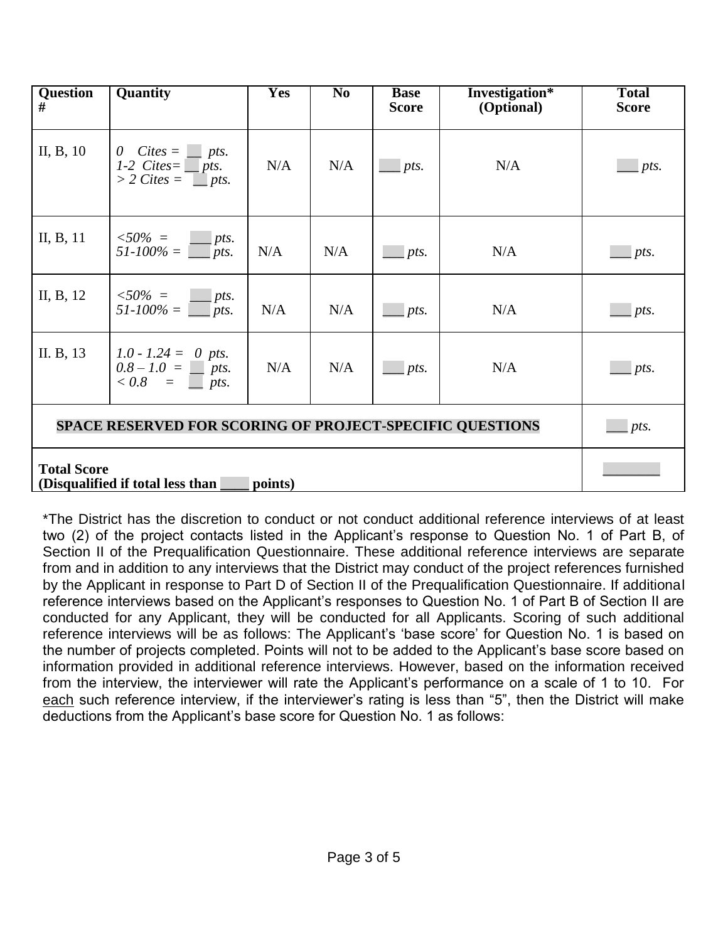| Question<br>$\overline{H}$                                     | Quantity                                                                                                          | <b>Yes</b> | N <sub>0</sub> | <b>Base</b><br><b>Score</b> | Investigation*<br>(Optional) | <b>Total</b><br><b>Score</b> |
|----------------------------------------------------------------|-------------------------------------------------------------------------------------------------------------------|------------|----------------|-----------------------------|------------------------------|------------------------------|
| II, B, 10                                                      | 0 $Cites = \underline{\hspace{1cm}} pts.$<br>1-2 Cites = $\frac{\ }{\ }$ pts.<br>> 2 Cites = $\frac{\ }{\ }$ pts. | N/A        | N/A            | pts.                        | N/A                          | pts.                         |
| II, B, 11                                                      | $\leq 50\% = \Box$ pts.<br>$51-100\% =$ pts.                                                                      | N/A        | N/A            | $\rightharpoonup$ pts.      | N/A                          | pts.                         |
| II, B, 12                                                      | $<\!\!50\% = \Box$ pts.<br>$51-100\% =$ pts.                                                                      | N/A        | N/A            | pts.                        | N/A                          | pts.                         |
| II. B, 13                                                      | $1.0 - 1.24 = 0$ pts.<br>$0.8 - 1.0 = 0$ pts.<br>$< 0.8 = \Box$ pts.                                              | N/A        | N/A            | $\equiv$ pts.               | N/A                          | $\Box$ pts.                  |
| SPACE RESERVED FOR SCORING OF PROJECT-SPECIFIC QUESTIONS       | $\equiv$ pts.                                                                                                     |            |                |                             |                              |                              |
| <b>Total Score</b><br>(Disqualified if total less than points) |                                                                                                                   |            |                |                             |                              |                              |

\*The District has the discretion to conduct or not conduct additional reference interviews of at least two (2) of the project contacts listed in the Applicant's response to Question No. 1 of Part B, of Section II of the Prequalification Questionnaire. These additional reference interviews are separate from and in addition to any interviews that the District may conduct of the project references furnished by the Applicant in response to Part D of Section II of the Prequalification Questionnaire. If additional reference interviews based on the Applicant's responses to Question No. 1 of Part B of Section II are conducted for any Applicant, they will be conducted for all Applicants. Scoring of such additional reference interviews will be as follows: The Applicant's 'base score' for Question No. 1 is based on the number of projects completed. Points will not to be added to the Applicant's base score based on information provided in additional reference interviews. However, based on the information received from the interview, the interviewer will rate the Applicant's performance on a scale of 1 to 10. For each such reference interview, if the interviewer's rating is less than "5", then the District will make deductions from the Applicant's base score for Question No. 1 as follows: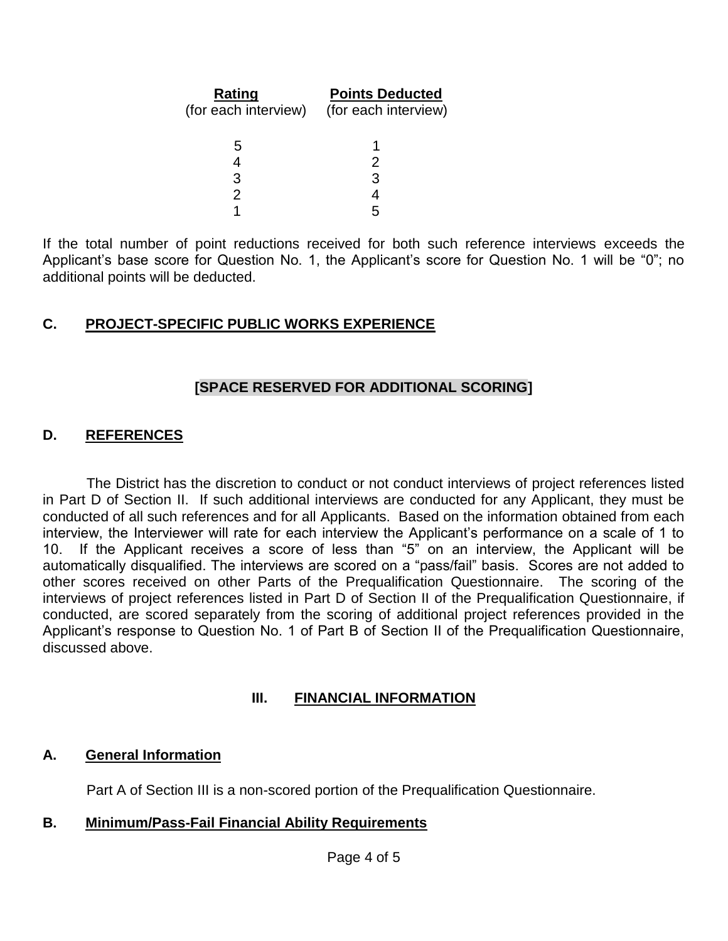| Rating | <b>Points Deducted</b><br>(for each interview) (for each interview) |
|--------|---------------------------------------------------------------------|
| 5      |                                                                     |
|        |                                                                     |
| 3      | З                                                                   |
|        |                                                                     |
|        | 5                                                                   |

If the total number of point reductions received for both such reference interviews exceeds the Applicant's base score for Question No. 1, the Applicant's score for Question No. 1 will be "0"; no additional points will be deducted.

## **C. PROJECT-SPECIFIC PUBLIC WORKS EXPERIENCE**

## **[SPACE RESERVED FOR ADDITIONAL SCORING]**

## **D. REFERENCES**

 The District has the discretion to conduct or not conduct interviews of project references listed in Part D of Section II. If such additional interviews are conducted for any Applicant, they must be conducted of all such references and for all Applicants. Based on the information obtained from each interview, the Interviewer will rate for each interview the Applicant's performance on a scale of 1 to 10. If the Applicant receives a score of less than "5" on an interview, the Applicant will be automatically disqualified. The interviews are scored on a "pass/fail" basis. Scores are not added to other scores received on other Parts of the Prequalification Questionnaire. The scoring of the interviews of project references listed in Part D of Section II of the Prequalification Questionnaire, if conducted, are scored separately from the scoring of additional project references provided in the Applicant's response to Question No. 1 of Part B of Section II of the Prequalification Questionnaire, discussed above.

## **III. FINANCIAL INFORMATION**

## **A. General Information**

Part A of Section III is a non-scored portion of the Prequalification Questionnaire.

## **B. Minimum/Pass-Fail Financial Ability Requirements**